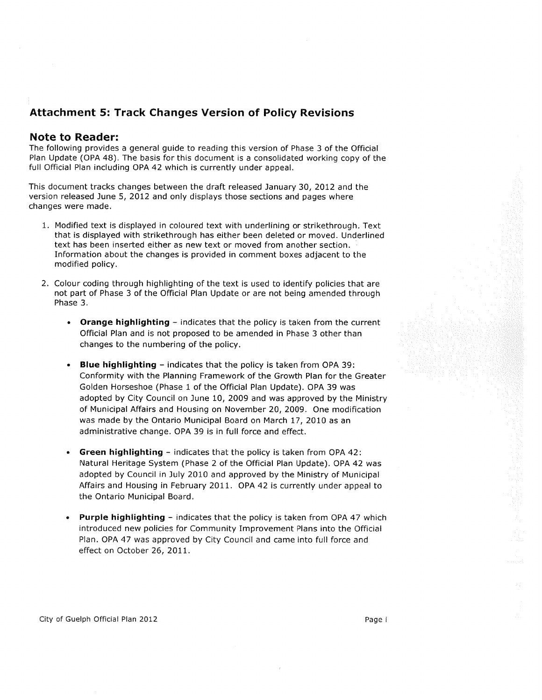# **Attachment 5: Track Changes Version of Policy Revisions**

# **Note to Reader:**

The following provides a general guide to reading this version of Phase 3 of the Official Plan Update (OPA 48). The basis for this document is a consolidated working copy of the full Official Plan including OPA 42 which is currently under appeal.

This document tracks changes between the draft released January 30, 2012 and the version released June 5, 2012 and only displays those sections and pages where changes were made.

- 1. Modified text is displayed in coloured text with underlining or strikethrough. Text that is displayed with strikethrough has either been deleted or moved. Underlined text has been inserted either as new text or moved from another section. Information about the changes is provided in comment boxes adjacent to the modified policy.
- 2. Colour coding through highlighting of the text is used to identify policies that are not part of Phase 3 of the Official Plan Update or are not being amended through Phase 3.
	- Orange highlighting indicates that the policy is taken from the current Official Plan and is not proposed to be amended in Phase 3 other than changes to the numbering of the policy.
	- Blue highlighting indicates that the policy is taken from OPA 39: Conformity with the Planning Framework of the Growth Plan for the Greater Golden Horseshoe (Phase 1 of the Official Plan Update). OPA 39 was adopted by City Council on June 10, 2009 and was approved by the Ministry of Municipal Affairs and Housing on November 20, 2009. One modification was made by the Ontario Municipal Board on March 17, 2010 as an administrative change. OPA 39 is in full force and effect.
	- **Green highlighting indicates that the policy is taken from OPA 42:** Natural Heritage System (Phase 2 of the Official Plan Update). OPA 42 was adopted by Council in July 2010 and approved by the Ministry of Municipal Affairs and Housing in February 2011. OPA 42 is currently under appeal to the Ontario Municipal Board.
	- Purple highlighting indicates that the policy is taken from OPA 47 which introduced new policies for Community Improvement Plans into the Official Plan. OPA 47 was approved by City Council and came into full force and effect on October 26, 2011.

City of Guelph Official Plan 2012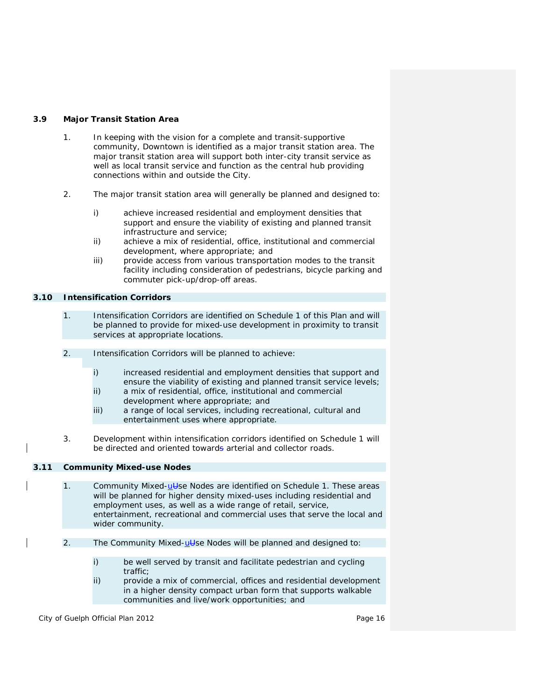# **3.9 Major Transit Station Area**

- 1. In keeping with the vision for a complete and *transit-supportive* community, Downtown is identified as a *major transit station area*. The *major transit station area* will support both inter-city transit service as well as local transit service and function as the central hub providing connections within and outside the City.
- 2. The *major transit station area* will generally be planned and designed to:
	- i) achieve increased residential and employment densities that support and ensure the viability of existing and planned transit infrastructure and service;
	- ii) achieve a mix of residential, office, institutional and commercial development, where appropriate; and
	- iii) provide access from various transportation modes to the transit facility including consideration of pedestrians, bicycle parking and commuter pick-up/drop-off areas.

# **3.10 Intensification Corridors**

- 1. *Intensification Corridors* are identified on Schedule 1 of this Plan and will be planned to provide for mixed-use *development* in proximity to transit services at appropriate locations.
- 2. *Intensification Corridors* will be planned to achieve:
	- i) increased residential and employment densities that support and ensure the viability of existing and planned transit service levels;
	- ii) a mix of residential, office, institutional and commercial *development* where appropriate; and
	- iii) a range of local services, including recreational, cultural and entertainment uses where appropriate.
- 3. *Development* within *intensification corridors* identified on Schedule 1 will be directed and oriented towards arterial and collector roads.

# **3.11 Community Mixed-use Nodes**

- 1. Community Mixed-ulled Nodes are identified on Schedule 1. These areas will be planned for higher density mixed-uses including residential and employment uses, as well as a wide range of retail, service, entertainment, recreational and commercial uses that serve the local and wider community.
- 2. The Community Mixed-ulleright and be planned and designed to:
	- i) be well served by transit and facilitate pedestrian and cycling traffic;
	- ii) provide a mix of commercial, offices and residential *development* in a higher density *compact urban form* that supports *walkable communities* and *live/work* opportunities; and

City of Guelph Official Plan 2012 **Page 16** Page 16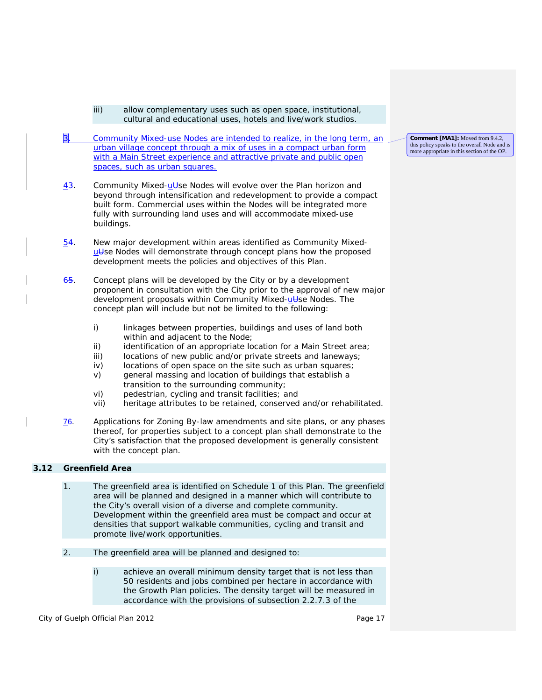cultural and educational uses, hotels and *live/work* studios. 3. Community Mixed-use Nodes are intended to realize, in the long term, an urban village concept through a mix of uses in a compact urban form with a Main Street experience and attractive private and public open spaces, such as urban squares.

iii) allow complementary uses such as open space, institutional,

- $\frac{43}{1}$ . Community Mixed- $\frac{11}{2}$ se Nodes will evolve over the Plan horizon and beyond through *intensification* and *redevelopment* to provide a compact built form. Commercial uses within the Nodes will be integrated more fully with surrounding land uses and will accommodate mixed-use buildings.
- 54. New major *development* within areas identified as Community Mixedutse Nodes will demonstrate through concept plans how the proposed *development* meets the policies and objectives of this Plan.
- 65. Concept plans will be developed by the City or by a *development* proponent in consultation with the City prior to the approval of new major development proposals within Community Mixed-ut see Nodes. The concept plan will include but not be limited to the following:
	- i) linkages between properties, buildings and uses of land both within and adjacent to the Node;
	- ii) identification of an appropriate location for a Main Street area;
	- iii) locations of new public and/or private streets and laneways;
	- iv) locations of open space on the site such as urban squares;
	- v) general massing and location of buildings that establish a transition to the surrounding community;
	- vi) pedestrian, cycling and transit facilities; and
	- vii) *heritage attributes* to be retained, conserved and/or rehabilitated.
- 76. Applications for *Zoning By-law* amendments and site plans, or any phases thereof, for properties subject to a concept plan shall demonstrate to the City's satisfaction that the proposed *development* is generally consistent with the concept plan.

# **3.12 Greenfield Area**

- 1. The *greenfield area* is identified on Schedule 1 of this Plan. The *greenfield area* will be planned and designed in a manner which will contribute to the City's overall vision of a diverse and *complete community*. *Development* within the *greenfield area* must be compact and occur at densities that support *walkable communities*, cycling and transit and promote *live/work* opportunities.
- 2. The *greenfield area* will be planned and designed to:
	- i) achieve an overall minimum *density target* that is not less than 50 residents and jobs combined per hectare in accordance with the *Growth Plan* policies. The *density target* will be measured in accordance with the provisions of subsection 2.2.7.3 of the

City of Guelph Official Plan 2012 **Page 17** Page 17

**Comment [MA1]:** Moved from 9.4.2, this policy speaks to the overall Node and is more appropriate in this section of the OP.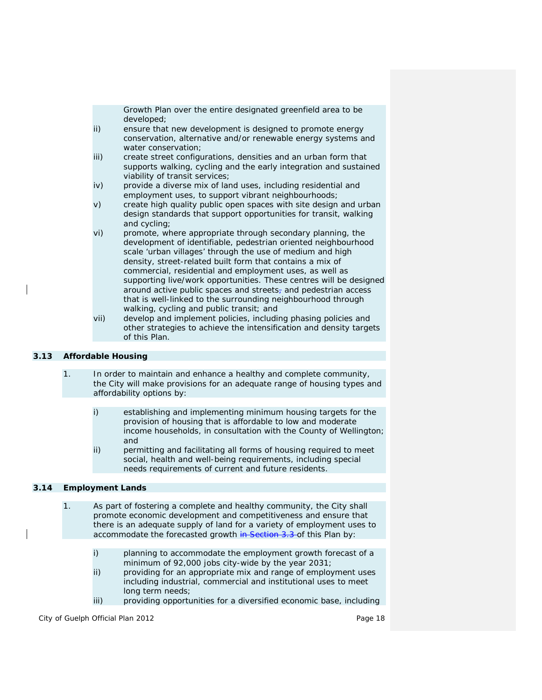*Growth Plan* over the entire designated *greenfield area* to be developed;

- ii) ensure that new *development* is designed to promote energy conservation, *alternative* and/or *renewable energy systems* and water conservation;
- iii) create street configurations, densities and an urban form that supports walking, cycling and the early integration and sustained viability of transit services;
- iv) provide a diverse mix of land uses, including residential and employment uses, to support vibrant neighbourhoods;
- v) create high quality public open spaces with site design and urban design standards that support opportunities for transit, walking and cycling;
- vi) promote, where appropriate through secondary planning, the *development* of identifiable, pedestrian oriented neighbourhood scale 'urban villages' through the use of medium and high density, street-related built form that contains a mix of commercial, residential and employment uses, as well as supporting *live/work* opportunities. These centres will be designed around active public spaces and streets<sub> $<sub>7</sub>$ </sub> and pedestrian access</sub> that is well-linked to the surrounding neighbourhood through walking, cycling and public transit; and
- vii) develop and implement policies, including phasing policies and other strategies to achieve the *intensification* and *density targets* of this Plan.

# **3.13 Affordable Housing**

- 1. In order to maintain and enhance a healthy and *complete community*, the City will make provisions for an adequate range of housing types and affordability options by:
	- i) establishing and implementing minimum housing targets for the provision of housing that is affordable to *low and moderate income households*, in consultation with the County of Wellington; and
	- ii) permitting and facilitating all forms of housing required to meet social, health and well-being requirements, including *special needs* requirements of current and future residents.

# **3.14 Employment Lands**

- 1. As part of fostering a complete and healthy community, the City shall promote economic development and competitiveness and ensure that there is an adequate supply of land for a variety of employment uses to accommodate the forecasted growth in Section 3.3 of this Plan by:
	- i) planning to accommodate the employment growth forecast of a minimum of 92,000 jobs city-wide by the year 2031;
	- ii) providing for an appropriate mix and range of employment uses including industrial, commercial and institutional uses to meet long term needs;
	- iii) providing opportunities for a diversified economic base, including

City of Guelph Official Plan 2012 **Page 18** Page 18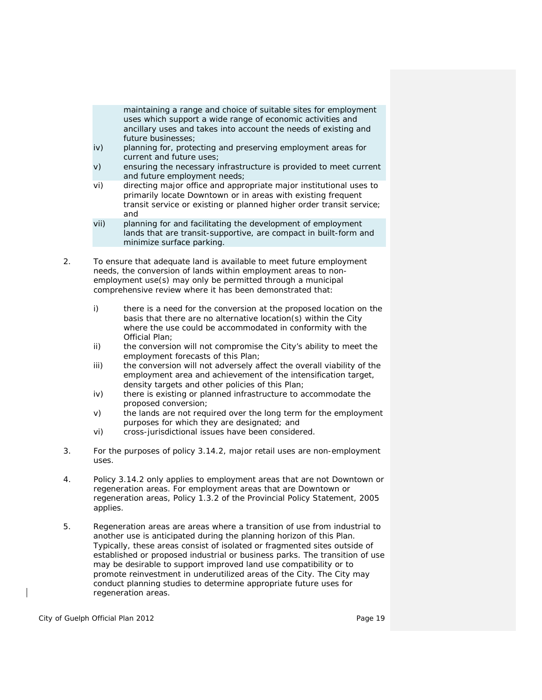maintaining a range and choice of suitable sites for employment uses which support a wide range of economic activities and *ancillary uses* and takes into account the needs of existing and future businesses;

- iv) planning for, protecting and preserving *employment areas* for current and future uses;
- v) ensuring the necessary infrastructure is provided to meet current and future employment needs;
- vi) directing *major office* and appropriate major institutional uses to primarily locate Downtown or in areas with existing frequent transit service or existing or planned higher order transit service; and
- vii) planning for and facilitating the *development* of employment lands that are *transit-supportive*, are compact in built-form and minimize surface parking.
- 2. To ensure that adequate land is available to meet future employment needs, the conversion of lands within e*mployment areas* to nonemployment use(s) may only be permitted through a *municipal comprehensive review* where it has been demonstrated that:
	- i) there is a need for the conversion at the proposed location on the basis that there are no alternative location(s) within the City where the use could be accommodated in conformity with the Official Plan;
	- ii) the conversion will not compromise the City's ability to meet the employment forecasts of this Plan;
	- iii) the conversion will not adversely affect the overall viability of the *employment area* and achievement of the *intensification target*, *density targets* and other policies of this Plan;
	- iv) there is existing or planned *infrastructure* to accommodate the proposed conversion;
	- v) the lands are not required over the long term for the employment purposes for which they are designated; and
	- vi) cross-jurisdictional issues have been considered.
- 3. For the purposes of policy 3.14.2, *major retail uses* are non-employment uses.
- 4. Policy 3.14.2 only applies to *employment areas* that are not Downtown or regeneration areas. For *employment areas* that are Downtown or regeneration areas, Policy 1.3.2 of the Provincial Policy Statement, 2005 applies.
- 5. Regeneration areas are areas where a transition of use from industrial to another use is anticipated during the planning horizon of this Plan. Typically, these areas consist of isolated or fragmented sites outside of established or proposed industrial or business parks. The transition of use may be desirable to support improved land use compatibility or to promote reinvestment in underutilized areas of the City. The City may conduct planning studies to determine appropriate future uses for regeneration areas.

City of Guelph Official Plan 2012 **Page 19** Page 19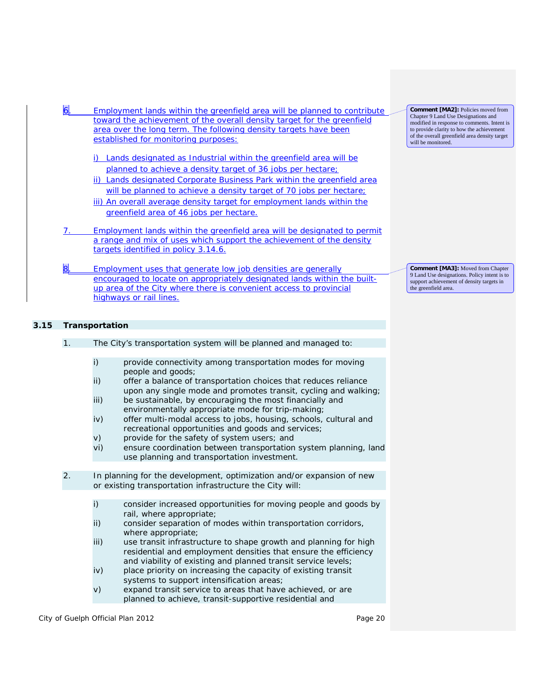| Employment lands within the <i>greenfield area</i> will be planned to contribute<br>toward the achievement of the overall density target for the greenfield<br>area over the long term. The following density targets have been<br>established for monitoring purposes:                                                                                                                                                             | <b>Comment [MA2]:</b> Policies moved from<br>Chapter 9 Land Use Designations and<br>modified in response to comments. Intent is<br>to provide clarity to how the achievement<br>of the overall greenfield area density target<br>will be monitored. |
|-------------------------------------------------------------------------------------------------------------------------------------------------------------------------------------------------------------------------------------------------------------------------------------------------------------------------------------------------------------------------------------------------------------------------------------|-----------------------------------------------------------------------------------------------------------------------------------------------------------------------------------------------------------------------------------------------------|
| Lands designated as Industrial within the <i>greenfield area</i> will be<br>planned to achieve a <i>density target</i> of 36 jobs per hectare;<br>ii) Lands designated Corporate Business Park within the greenfield area<br>will be planned to achieve a <i>density target</i> of 70 jobs per hectare;<br>iii) An overall average <i>density target</i> for employment lands within the<br>greenfield area of 46 jobs per hectare. |                                                                                                                                                                                                                                                     |
| Employment lands within the greenfield area will be designated to permit<br>a range and mix of uses which support the achievement of the <i>density</i><br><i>targets</i> identified in policy 3.14.6.                                                                                                                                                                                                                              |                                                                                                                                                                                                                                                     |
| Employment uses that generate low job densities are generally<br>encouraged to locate on appropriately designated lands within the built-<br><i>up area</i> of the City where there is convenient access to provincial                                                                                                                                                                                                              | <b>Comment [MA3]:</b> Moved from Chapter<br>9 Land Use designations. Policy intent is to<br>support achievement of density targets in<br>the greenfield area.                                                                                       |

# **3.15 Transportation**

highways or rail lines.

| 1. | The City's transportation system will be planned and managed to:                                                                                                                                                                                                                                                                                                                                                                                                                                                                                                                                                                                                           |  |
|----|----------------------------------------------------------------------------------------------------------------------------------------------------------------------------------------------------------------------------------------------------------------------------------------------------------------------------------------------------------------------------------------------------------------------------------------------------------------------------------------------------------------------------------------------------------------------------------------------------------------------------------------------------------------------------|--|
|    | i)<br>provide connectivity among transportation modes for moving<br>people and goods;<br>ii)<br>offer a balance of transportation choices that reduces reliance<br>upon any single mode and promotes transit, cycling and walking;<br>iii)<br>be sustainable, by encouraging the most financially and<br>environmentally appropriate mode for trip-making;<br>iv)<br>offer multi-modal access to jobs, housing, schools, cultural and<br>recreational opportunities and goods and services;<br>V)<br>provide for the safety of system users; and<br>ensure coordination between transportation system planning, land<br>vi)<br>use planning and transportation investment. |  |
| 2. | In planning for the development, optimization and/or expansion of new                                                                                                                                                                                                                                                                                                                                                                                                                                                                                                                                                                                                      |  |
|    | or existing <i>transportation infrastructure</i> the City will:                                                                                                                                                                                                                                                                                                                                                                                                                                                                                                                                                                                                            |  |
|    | i)<br>consider increased opportunities for moving people and goods by<br>rail, where appropriate;<br>ii)<br>consider separation of modes within <i>transportation corridors</i> ,<br>where appropriate;<br>iii)<br>use transit infrastructure to shape growth and planning for high<br>residential and employment densities that ensure the efficiency<br>and viability of existing and planned transit service levels;<br>iv)<br>place priority on increasing the capacity of existing transit<br>systems to support intensification areas;<br>V)<br>expand transit service to areas that have achieved, or are<br>planned to achieve, transit-supportive residential and |  |

City of Guelph Official Plan 2012 **Page 20** Page 20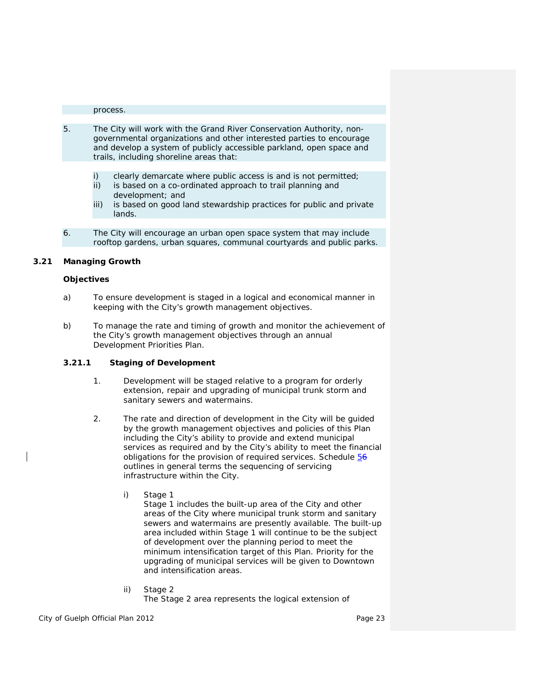#### process.

- 5. The City will work with the Grand River Conservation Authority, nongovernmental organizations and other interested parties to encourage and develop a system of publicly accessible parkland, open space and trails, including shoreline areas that:
	- i) clearly demarcate where public access is and is not permitted;
	- ii) is based on a co-ordinated approach to trail planning and development; and
	- iii) is based on good land stewardship practices for public and private lands.
- 6. The City will encourage an urban open space system that may include rooftop gardens, urban squares, communal courtyards and public parks.

# **3.21 Managing Growth**

#### **Objectives**

- a) To ensure *development* is staged in a logical and economical manner in keeping with the City's growth management objectives.
- b) To manage the rate and timing of growth and monitor the achievement of the City's growth management objectives through an annual Development Priorities Plan.

## **3.21.1 Staging of Development**

- 1. *Development* will be staged relative to a program for orderly extension, repair and upgrading of municipal trunk storm and sanitary sewers and watermains.
- 2. The rate and direction of *development* in the City will be guided by the growth management objectives and policies of this Plan including the City's ability to provide and extend municipal services as required and by the City's ability to meet the financial obligations for the provision of required services. Schedule 56 outlines in general terms the sequencing of servicing infrastructure within the City.
	- i) Stage 1

Stage 1 includes the *built-up area* of the City and other areas of the City where municipal trunk storm and sanitary sewers and watermains are presently available. The *built-up area* included within Stage 1 will continue to be the subject of development over the planning period to meet the minimum *intensification target* of this Plan. Priority for the upgrading of municipal services will be given to Downtown and *intensification areas*.

ii) Stage 2 The Stage 2 area represents the logical extension of

City of Guelph Official Plan 2012 **Page 23** Page 23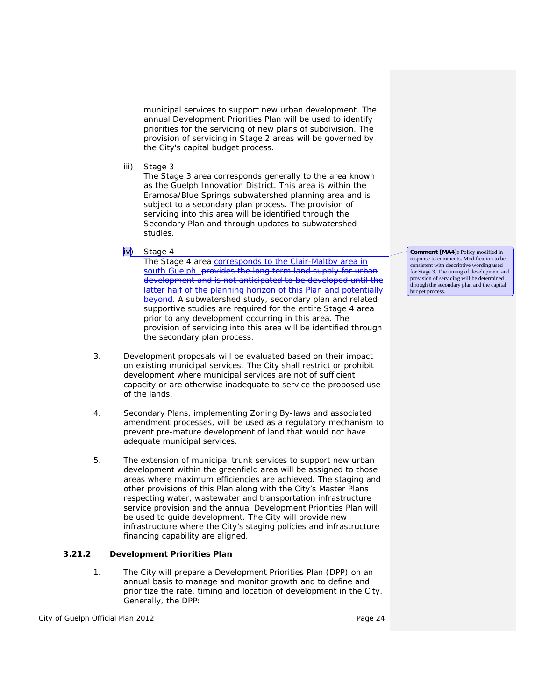municipal services to support new urban development*.* The annual Development Priorities Plan will be used to identify priorities for the servicing of new *plans of subdivision*. The provision of servicing in Stage 2 areas will be governed by the City's capital budget process.

iii) Stage 3

The Stage 3 area corresponds generally to the area known as the Guelph Innovation District. This area is within the Eramosa/Blue Springs subwatershed planning area and is subject to a secondary plan process. The provision of servicing into this area will be identified through the Secondary Plan and through updates to subwatershed studies.

iv) Stage 4

The Stage 4 area corresponds to the Clair-Maltby area in south Guelph. provides the long term land supply for urban development and is not anticipated to be developed until the latter half of the planning horizon of this Plan and potentially beyond. A subwatershed study, secondary plan and related supportive studies are required for the entire Stage 4 area prior to any *development* occurring in this area. The provision of servicing into this area will be identified through the secondary plan process.

- 3. *Development* proposals will be evaluated based on their impact on existing municipal services. The City shall restrict or prohibit *development* where municipal services are not of sufficient capacity or are otherwise inadequate to service the proposed use of the lands.
- 4. Secondary Plans, implementing *Zoning By*-*laws* and associated amendment processes, will be used as a regulatory mechanism to prevent pre-mature *development* of land that would not have adequate municipal services.
- 5. The extension of municipal trunk services to support new urban *development* within the *greenfield area* will be assigned to those areas where maximum efficiencies are achieved. The staging and other provisions of this Plan along with the City's Master Plans respecting water, wastewater and *transportation infrastructure* service provision and the annual Development Priorities Plan will be used to guide *development*. The City will provide new *infrastructure* where the City's staging policies and infrastructure financing capability are aligned.

# **3.21.2 Development Priorities Plan**

1. The City will prepare a *Development Priorities Plan* (DPP) on an annual basis to manage and monitor growth and to define and prioritize the rate, timing and location of *development* in the City. Generally, the DPP:

City of Guelph Official Plan 2012 **Page 24** Page 24

**Comment [MA4]:** Policy modified in response to comments. Modification to be consistent with descriptive wording used for Stage 3. The timing of development and provision of servicing will be determined through the secondary plan and the capital budget process.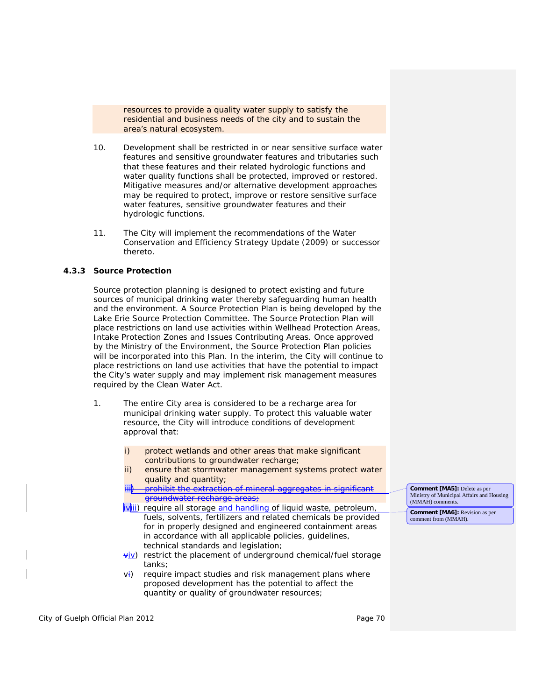resources to provide a quality water supply to satisfy the residential and business needs of the city and to sustain the area's natural ecosystem.

- 10. *Development* shall be restricted in or near *sensitive surface water features* and *sensitive groundwater features* and tributaries such that these features and their related *hydrologic functions* and water quality functions shall be protected, improved or restored. Mitigative measures and/or alternative *development* approaches may be required to protect, improve or restore *sensitive surface water features*, *sensitive groundwater features* and their *hydrologic functions*.
- 11. The City will implement the recommendations of the Water Conservation and Efficiency Strategy Update (2009) or successor thereto.

#### **4.3.3 Source Protection**

Source protection planning is designed to protect existing and future sources of municipal drinking water thereby safeguarding human health and the environment. A Source Protection Plan is being developed by the Lake Erie Source Protection Committee. The Source Protection Plan will place restrictions on land use activities within Wellhead Protection Areas, Intake Protection Zones and Issues Contributing Areas. Once approved by the Ministry of the Environment, the Source Protection Plan policies will be incorporated into this Plan. In the interim, the City will continue to place restrictions on land use activities that have the potential to impact the City's water supply and may implement risk management measures required by the *Clean Water Act*.

- 1. The entire City area is considered to be a recharge area for municipal drinking water supply. To protect this valuable water resource, the City will introduce conditions of *development* approval that:
	- i) protect wetlands and other areas that make significant contributions to *groundwater* recharge;
	- ii) ensure that stormwater management systems protect water quality and quantity;
	- prohibit the extraction of *groundwater* recharge areas;
	- iviii) require all storage and handling of liquid waste, petroleum, fuels, solvents, fertilizers and related chemicals be provided for in properly designed and engineered containment areas in accordance with all applicable policies, guidelines, technical standards and legislation;
	- $\frac{\forall i \vee}{\forall j}$  restrict the placement of underground chemical/fuel storage tanks;
	- vi) require impact studies and risk management plans where proposed *development* has the potential to affect the quantity or quality of *groundwater* resources;

**Comment [MA5]:** Delete as per Ministry of Municipal Affairs and Housing

**Comment [MA6]:** Revision as per comment from (MMAH).

(MMAH) comments.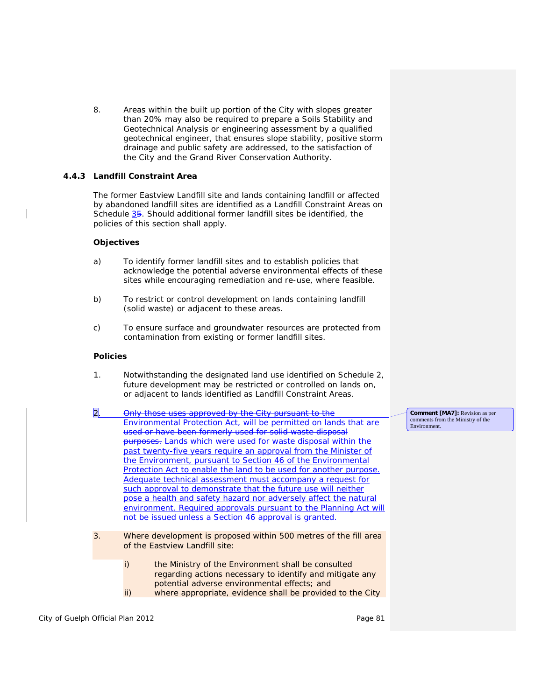8. Areas within the built up portion of the City with slopes greater than 20% may also be required to prepare a Soils Stability and Geotechnical Analysis or engineering assessment by a qualified geotechnical engineer, that ensures slope stability, positive storm drainage and public safety are addressed, to the satisfaction of the City and the Grand River Conservation Authority.

# **4.4.3 Landfill Constraint Area**

The former Eastview Landfill site and lands containing landfill or affected by abandoned *landfill sites* are identified as a Landfill Constraint Areas on Schedule 35. Should additional former *landfill sites* be identified, the policies of this section shall apply.

#### **Objectives**

- a) To identify former *landfill sites* and to establish policies that acknowledge the potential adverse environmental effects of these sites while encouraging remediation and re-use, where feasible.
- b) To restrict or control *development* on lands containing landfill (solid waste) or adjacent to these areas.
- c) To ensure surface and *groundwater* resources are protected from contamination from existing or former *landfill sites*.

#### **Policies**

- 1. Notwithstanding the designated land use identified on Schedule 2, future *development* may be restricted or controlled on lands on, or adjacent to lands identified as Landfill Constraint Areas.
- 2. Only those uses approved by the City pursuant to the *Environmental Protection Act*, will be permitted on lands that are used or have been formerly used for solid waste disposal purposes. Lands which were used for waste disposal within the past twenty-five years require an approval from the Minister of the Environment, pursuant to Section 46 of the Environmental Protection Act to enable the land to be used for another purpose. Adequate technical assessment must accompany a request for such approval to demonstrate that the future use will neither pose a health and safety hazard nor adversely affect the natural environment. Required approvals pursuant to the *Planning Act* will not be issued unless a Section 46 approval is granted.
- 3. Where *development* is proposed within 500 metres of the fill area of the Eastview Landfill site:
	- i) the Ministry of the Environment shall be consulted regarding actions necessary to identify and mitigate any potential adverse environmental effects; and
	- ii) where appropriate, evidence shall be provided to the City

City of Guelph Official Plan 2012 **Page 81** Page 81

comments from the Ministry of the Environment.

**Comment [MA7]:** Revision as per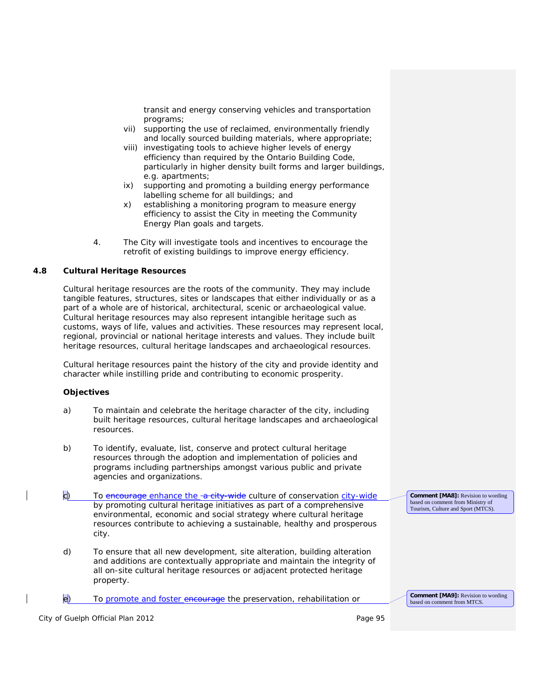transit and energy conserving vehicles and transportation programs;

- vii) supporting the use of reclaimed, environmentally friendly and locally sourced building materials, where appropriate;
- viii) investigating tools to achieve higher levels of energy efficiency than required by the Ontario Building Code, particularly in higher density built forms and larger buildings, e.g. apartments;
- ix) supporting and promoting a building energy *performance labelling* scheme for all buildings; and
- x) establishing a monitoring program to measure energy efficiency to assist the City in meeting the Community Energy Plan goals and targets.
- 4. The City will investigate tools and incentives to encourage the retrofit of existing buildings to improve energy efficiency.

## **4.8 Cultural Heritage Resources**

*Cultural heritage resources* are the roots of the community. They may include tangible features, structures, sites or landscapes that either individually or as a part of a whole are of historical, architectural, scenic or archaeological value. *Cultural heritage resources* may also represent intangible heritage such as customs, ways of life, values and activities. These resources may represent local, regional, provincial or national heritage interests and values. They include *built heritage resources, cultural heritage landscapes* and *archaeological resources*.

*Cultural heritage resources* paint the history of the city and provide identity and character while instilling pride and contributing to economic prosperity.

## **Objectives**

- a) To maintain and celebrate the heritage character of the city, including *built heritage resources, cultural heritage landscapes and archaeological resources*.
- b) To identify, evaluate, *list*, *conserve* and protect *cultural heritage resources* through the adoption and implementation of policies and programs including partnerships amongst various public and private agencies and organizations.
- c) To encourage enhance the -a city-wide culture of conservation city-wide by promoting cultural heritage initiatives as part of a comprehensive environmental, economic and social strategy where *cultural heritage resources* contribute to achieving a sustainable, healthy and prosperous city.
- d) To ensure that all new *development*, *site alteration*, building *alteration* and additions are contextually appropriate and maintain the integrity of all on-site *cultural heritage resources* or *adjacent protected heritage property*.

e) To promote and foster encourage the preservation, rehabilitation or

**Comment [MA9]:** Revision to wording based on comment from MTCS

**Comment [MA8]:** Revision to wording based on comment from Ministry of Tourism, Culture and Sport (MTCS).

City of Guelph Official Plan 2012 **Page 95** Page 95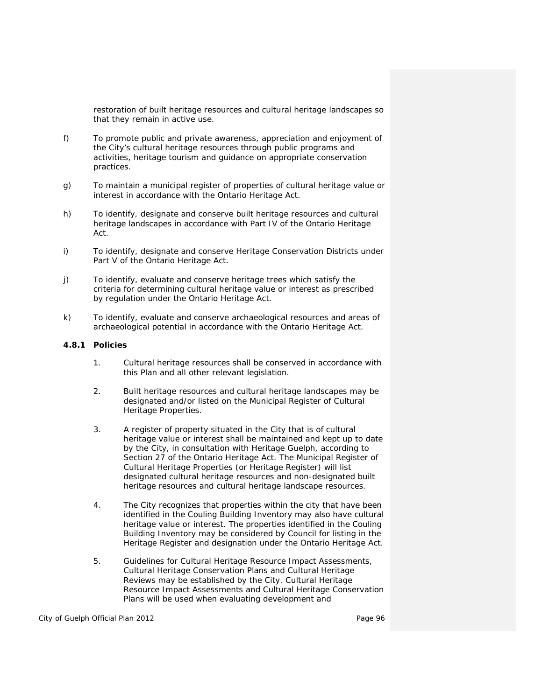restoration of *built heritage resources* and *cultural heritage landscapes* so that they remain in active use.

- f) To promote public and private awareness, appreciation and enjoyment of the City's *cultural heritage resources* through public programs and activities, heritage tourism and guidance on appropriate conservation practices.
- g) To maintain a municipal register of properties of *cultural heritage value or interest* in accordance with the *Ontario Heritage Act.*
- h) To identify, designate and *conserve built heritage resources* and *cultural heritage landscapes* in accordance with Part IV of the *Ontario Heritage Act*.
- i) To identify, designate and *conserve Heritage Conservation Districts* under Part V of the *Ontario Heritage Act*.
- j) To identify, evaluate and *conserve heritage trees* which satisfy the criteria for determining *cultural heritage value or interest* as prescribed by regulation under the *Ontario Heritage Act*.
- k) To identify, evaluate and *conserve archaeological resources* and *areas of archaeological potential* in accordance with the *Ontario Heritage Act*.

#### **4.8.1 Policies**

- 1. *Cultural heritage resources* shall be *conserved* in accordance with this Plan and all other relevant legislation.
- 2. *Built heritage resources* and *cultural heritage landscapes* may be designated and/or *listed* on the *Municipal Register of Cultural Heritage Properties.*
- 3. A register of *property* situated in the City that is of *cultural heritage value or interest* shall be maintained and kept up to date by the City, in consultation with Heritage Guelph, according to Section 27 of the *Ontario Heritage Act*. The *Municipal Register of Cultural Heritage Properties* (or *Heritage Register*) will *list designated cultural heritage resources* and non-designated *built heritage resources* and *cultural heritage landscape resources*.
- 4. The City recognizes that properties within the city that have been identified in the Couling Building Inventory may also have *cultural heritage value or interest*. The properties identified in the Couling Building Inventory may be considered by Council for *listing* in the *Heritage Register* and designation under the *Ontario Heritage Act.*
- 5. Guidelines for *Cultural Heritage Resource Impact Assessments, Cultural Heritage Conservation Plans* and *Cultural Heritage Reviews* may be established by the City. *Cultural Heritage Resource Impact Assessments* and *Cultural Heritage Conservation Plan*s will be used when evaluating *development* and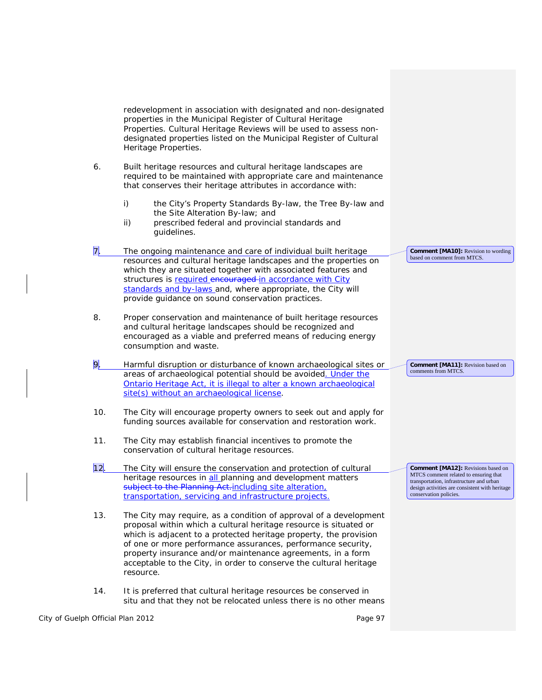*redevelopment* in association with designated and non-*designated properties* in the *Municipal Register of Cultural Heritage Properties*. *Cultural Heritage Reviews* will be used to assess non*designated properties listed* on the *Municipal Register of Cultural Heritage Properties*.

- 6. *Built heritage resources* and *cultural heritage landscapes* are required to be maintained with appropriate care and maintenance that conserves their *heritage attributes* in accordance with:
	- i) the City's *Property Standards By-law*, the Tree By-law and the *Site Alteration* By-law; and
	- ii) prescribed federal and provincial standards and guidelines.
- 7. The ongoing maintenance and care of individual *built heritage resources* and *cultural heritage landscapes* and the properties on which they are situated together with associated features and structures is required encouraged in accordance with City standards and by-laws and, where appropriate, the City will provide guidance on sound conservation practices.
- 8. Proper conservation and maintenance of *built heritage resources* and *cultural heritage landscapes* should be recognized and encouraged as a viable and preferred means of reducing energy consumption and waste.
- 9. Harmful disruption or disturbance of known *archaeological sites* or *areas of archaeological potential* should be avoided. Under the Ontario Heritage Act, it is illegal to alter a known archaeological site(s) without an archaeological license.
- 10. The City will encourage *property* owners to seek out and apply for funding sources available for *conservation* and restoration work.
- 11. The City may establish financial incentives to promote the *conservation* of *cultural heritage resources*.
- 12. The City will ensure the *conservation* and protection of *cultural heritage resources* in all planning and *development* matters subject to the *Planning Act*.including site alteration, transportation, servicing and infrastructure projects.
- 13. The City may require, as a condition of approval of a *development* proposal within which a *cultural heritage resource* is situated or which is adjacent to a *protected heritage property*, the provision of one or more performance assurances, performance security, property insurance and/or maintenance agreements, in a form acceptable to the City, in order to conserve the *cultural heritage resource*.
- 14. It is preferred that *cultural heritage resources* be conserved in situ and that they not be relocated unless there is no other means

**Comment [MA10]:** Revision to wording based on comment from MTCS.

**Comment [MA11]:** Revision based on

**Comment [MA12]:** Revisions based on MTCS comment related to ensuring that transportation, infrastructure and urban design activities are consistent with heritage

comments from MTCS.

conservation policies.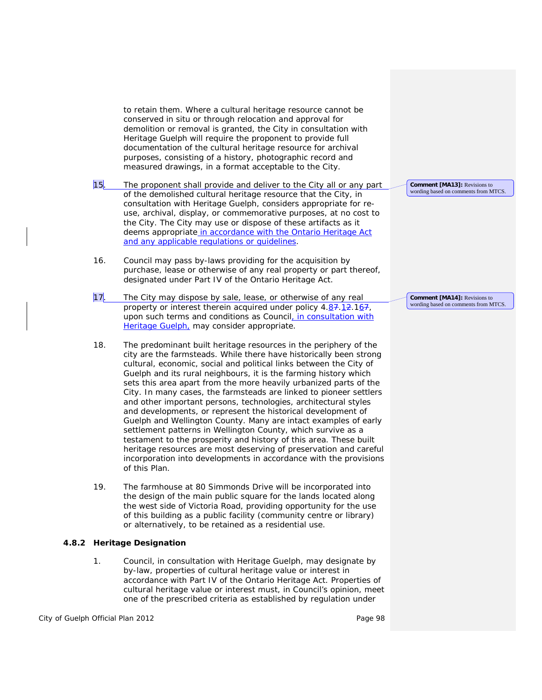to retain them. Where a *cultural heritage resource* cannot be *conserved* in situ or through relocation and approval for demolition or removal is granted, the City in consultation with Heritage Guelph will require the proponent to provide full documentation of the *cultural heritage resource* for archival purposes, consisting of a history, photographic record and measured drawings, in a format acceptable to the City.

- 15. The proponent shall provide and deliver to the City all or any part of the demolished *cultural heritage resource* that the City, in consultation with Heritage Guelph, considers appropriate for reuse, archival, display, or commemorative purposes, at no cost to the City. The City may use or dispose of these *artifacts* as it deems appropriate in accordance with the Ontario Heritage Act and any applicable regulations or guidelines.
- 16. Council may pass by-laws providing for the acquisition by purchase, lease or otherwise of any real *property* or part thereof, designated under Part IV of the *Ontario Heritage Act*.
- 17. The City may dispose by sale, lease, or otherwise of any real *property* or interest therein acquired under policy 4.87.12.167, upon such terms and conditions as Council, in consultation with Heritage Guelph, may consider appropriate.
- 18. The predominant *built heritage resources* in the periphery of the city are the farmsteads. While there have historically been strong cultural, economic, social and political links between the City of Guelph and its rural neighbours, it is the farming history which sets this area apart from the more heavily urbanized parts of the City. In many cases, the farmsteads are linked to pioneer settlers and other important persons, technologies, architectural styles and developments, or represent the historical development of Guelph and Wellington County. Many are intact examples of early settlement patterns in Wellington County, which survive as a testament to the prosperity and history of this area. These *built heritage resources* are most deserving of preservation and careful incorporation into *developments* in accordance with the provisions of this Plan.
- 19. The farmhouse at 80 Simmonds Drive will be incorporated into the design of the main public square for the lands located along the west side of Victoria Road, providing opportunity for the use of this building as a public facility (community centre or library) or alternatively, to be retained as a residential use.

## **4.8.2 Heritage Designation**

1. Council, in consultation with Heritage Guelph, may designate by by-law, properties of *cultural heritage value or interest* in accordance with Part IV of the *Ontario Heritage Act*. Properties of *cultural heritage value or interest* must, in Council's opinion, meet one of the prescribed criteria as established by regulation under

City of Guelph Official Plan 2012 **Page 98** Page 98

**Comment [MA14]:** Revisions to wording based on comments from MTCS.

**Comment [MA13]:** Revisions to wording based on comments from MTCS.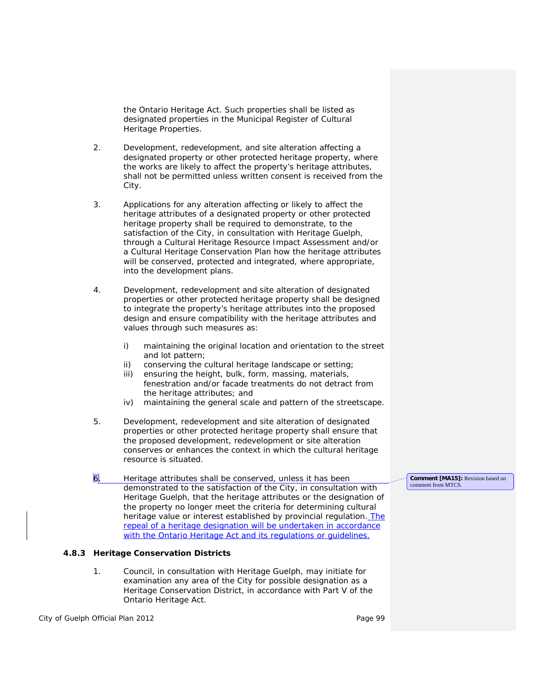the *Ontario Heritage Act.* Such properties shall be *listed* as *designated properties* in the *Municipal Register of Cultural Heritage Properties*.

- 2. *Development*, *redevelopment*, and *site alteration* affecting a *designated property* or other *protected heritage property,* where the works are likely to affect the *property*'s *heritage attributes*, shall not be permitted unless written *consent* is received from the City.
- 3. Applications for any *alteration* affecting or likely to affect the *heritage attributes* of a *designated property* or other *protected heritage property* shall be required to demonstrate, to the satisfaction of the City, in consultation with Heritage Guelph, through a *Cultural Heritage Resource Impact Assessment* and/or a *Cultural Heritage Conservation Plan* how the *heritage attributes* will be *conserved*, protected and integrated, where appropriate, into the *development* plans.
- 4. *Development, redevelopment* and *site alteration* of *designated properties* or other *protected heritage property* shall be designed to integrate the property's *heritage attributes* into the proposed design and ensure *compatibility* with the *heritage attributes* and values through such measures as:
	- i) maintaining the original location and orientation to the street and lot pattern;
	- ii) conserving the *cultural heritage landscape* or setting;
	- iii) ensuring the height, bulk, form, massing, materials, fenestration and/or facade treatments do not detract from the *heritage attributes*; and
	- iv) maintaining the general scale and pattern of the streetscape.
- 5*. Development*, *redevelopment* and *site alteration* of *designated properties* or other *protected heritage property* shall ensure that the proposed *development, redevelopment* or *site alteration conserves* or enhances the context in which the *cultural heritage resource* is situated.
- 6. *Heritage attributes* shall be *conserved*, unless it has been demonstrated to the satisfaction of the City, in consultation with Heritage Guelph, that the *heritage attributes* or the designation of the property no longer meet the criteria for determining *cultural heritage value or interest* established by provincial regulation. The repeal of a heritage designation will be undertaken in accordance with the Ontario Heritage Act and its regulations or guidelines.

## **4.8.3 Heritage Conservation Districts**

1. Council, in consultation with Heritage Guelph, may initiate for examination any area of the City for possible designation as a *Heritage Conservation District,* in accordance with Part V of the *Ontario Heritage Act*.

City of Guelph Official Plan 2012 **Page 99** Page 99

**Comment [MA15]:** Revision based on comment from MTCS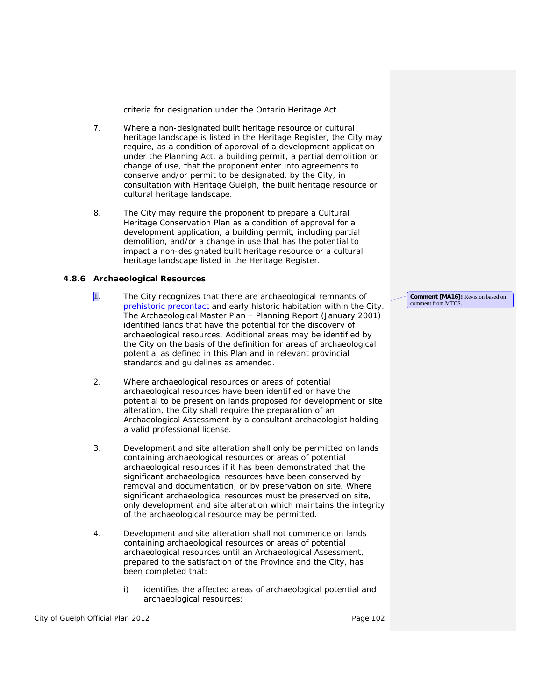criteria for designation under the *Ontario Heritage Act*.

- 7. Where a non-designated *built heritage resource* or *cultural heritage landscape* is *listed* in the *Heritage Register*, the City may require, as a condition of approval of a *development* application under the *Planning Act*, a building permit, a partial demolition or change of use, that the proponent enter into agreements to *conserve* and/or permit to be designated, by the City, in consultation with Heritage Guelph, the *built heritage resource* or *cultural heritage landscape.*
- 8. The City may require the proponent to prepare a *Cultural Heritage Conservation Plan* as a condition of approval for a *development* application, a building permit, including partial demolition, and/or a change in use that has the potential to impact a non-designated *built heritage resource* or a *cultural heritage landscape listed* in the *Heritage Register*.

#### **4.8.6 Archaeological Resources**

- 1. The City recognizes that there are archaeological remnants of prehistoric precontact and early historic habitation within the City. The Archaeological Master Plan – Planning Report (January 2001) identified lands that have the potential for the discovery of *archaeological resources.* Additional areas may be identified by the City on the basis of the definition for *areas of archaeological potential* as defined in this Plan and in relevant provincial standards and guidelines as amended.
- 2. Where *archaeological resources* or *areas of potential archaeological resources* have been identified or have the potential to be present on lands proposed for *development* or *site alteration*, the City shall require the preparation of an *Archaeological Assessment* by a consultant archaeologist holding a valid professional license.
- 3. *Development* and *site alteration* shall only be permitted on lands containing *archaeological resources* or *areas of potential archaeological resources* if it has been demonstrated that the *significant archaeological resources* have been *conserved* by removal and documentation, or by preservation on site. Where *significant archaeological resources* must be preserved on site, only *development* and *site alteration* which maintains the integrity of the *archaeological resource* may be permitted.
- 4. *Development and site alteration* shall not commence on lands containing *archaeological resources* or *areas of potential archaeological resources* until an *Archaeological Assessment*, prepared to the satisfaction of the Province and the City, has been completed that:
	- i) identifies the affected *areas of archaeological potential* and *archaeological resources;*

City of Guelph Official Plan 2012 **Page 102** Page 102

**Comment [MA16]:** Revision based on comment from MTCS.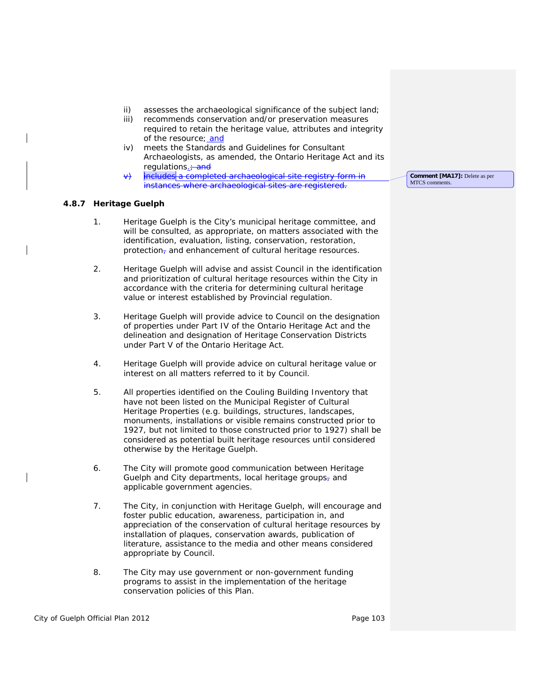- ii) *assesses the archaeological significance* of the subject land;
- iii) recommends *conservation* and/or preservation measures required to retain the heritage value, attributes and integrity of the resource; and
- iv) meets the *Standards and Guidelines for Consultant Archaeologists,* as amended, the *Ontario Heritage Act* and its regulations. + and
- includes a completed archaeological site registry form in instances where *archaeological sites* are registered.

#### **4.8.7 Heritage Guelph**

- 1. Heritage Guelph is the City's municipal heritage committee, and will be consulted, as appropriate, on matters associated with the identification, evaluation, *listing*, *conservation*, restoration, protection, and enhancement of *cultural heritage resources*.
- 2. Heritage Guelph will advise and assist Council in the identification and prioritization of *cultural heritage resources* within the City in accordance with the criteria for determining *cultural heritage value or interest* established by Provincial regulation.
- 3. Heritage Guelph will provide advice to Council on the designation of properties under Part IV of the *Ontario Heritage Act* and the delineation and designation of *Heritage Conservation Districts* under Part V of the *Ontario Heritage Act*.
- 4. Heritage Guelph will provide advice on *cultural heritage value or interest* on all matters referred to it by Council.
- 5. All properties identified on the Couling Building Inventory that have not been *listed* on the *Municipal Register of Cultural Heritage Properties* (e.g. buildings, structures, landscapes, monuments, installations or visible remains constructed prior to 1927, but not limited to those constructed prior to 1927) shall be considered as potential *built heritage resources* until considered otherwise by the Heritage Guelph.
- 6. The City will promote good communication between Heritage Guelph and City departments, local heritage groups- $\pi$  and applicable government agencies.
- 7. The City, in conjunction with Heritage Guelph, will encourage and foster public education, awareness, participation in, and appreciation of the conservation of *cultural heritage resources* by installation of plaques, *conservation* awards, publication of literature, assistance to the media and other means considered appropriate by Council.
- 8. The City may use government or non-government funding programs to assist in the implementation of the heritage *conservation* policies of this Plan.

**Comment [MA17]:** Delete as per MTCS comments.

City of Guelph Official Plan 2012 **Page 103** Page 103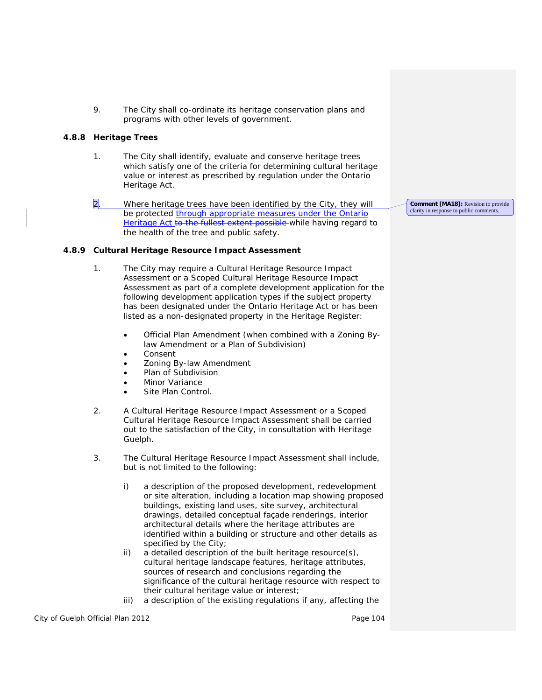9. The City shall co-ordinate its heritage *conservation* plans and programs with other levels of government.

## **4.8.8 Heritage Trees**

- 1. The City shall identify, evaluate and *conserve heritage trees* which satisfy one of the criteria for determining *cultural heritage value or interest* as prescribed by regulation under the *Ontario Heritage Act*.
- 2. Where *heritage trees* have been identified by the City, they will be protected through appropriate measures under the Ontario Heritage Act to the fullest extent possible while having regard to the health of the tree and public safety.

# **4.8.9 Cultural Heritage Resource Impact Assessment**

- 1. The City may require a *Cultural Heritage Resource Impact Assessment* or a *Scoped Cultural Heritage Resource Impact Assessment* as part of a complete *development* application for the following *development* application types if the subject *property* has been designated under the *Ontario Heritage Act* or has been *listed* as a non-*designated property* in the *Heritage Register*:
	- Official Plan Amendment (when combined with a *Zoning Bylaw Amendment* or a Plan of Subdivision)
	- *Consent*
	- *Zoning By-law* Amendment
	- Plan of Subdivision
	- Minor Variance
	- Site Plan Control.
- 2. A *Cultural Heritage Resource Impact Assessment* or a *Scoped Cultural Heritage Resource Impact Assessment* shall be carried out to the satisfaction of the City, in consultation with Heritage Guelph.
- 3. The *Cultural Heritage Resource Impact Assessment* shall include, but is not limited to the following:
	- i) a description of the proposed *development*, *redevelopment or site alteration*, including a location map showing proposed buildings, existing land uses, site survey, architectural drawings, detailed conceptual façade renderings, interior architectural details where the *heritage attributes* are identified within a building or structure and other details as specified by the City;
	- ii) a detailed description of the *built heritage resource(s), cultural heritage landscape* features, *heritage attributes*, sources of research and conclusions regarding the significance of the *cultural heritage resource* with respect to their *cultural heritage value or interest*;
	- iii) a description of the existing regulations if any, affecting the

City of Guelph Official Plan 2012 **Page 104** Page 104

**Comment [MA18]:** Revision to provide clarity in response to public comments.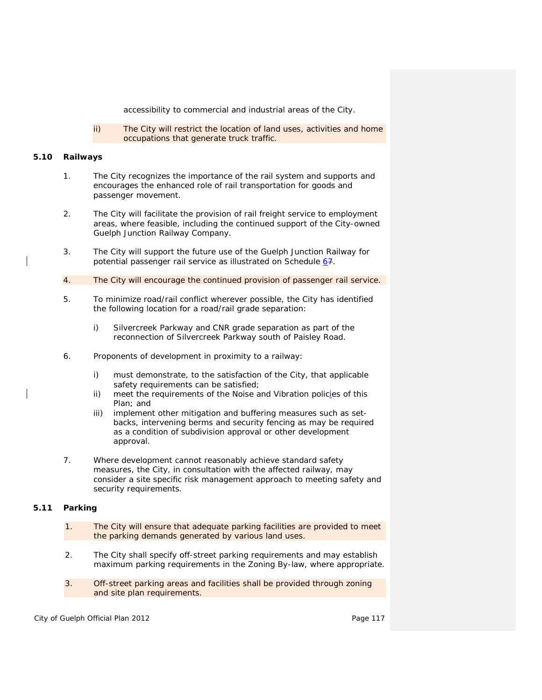accessibility to commercial and industrial areas of the City.

ii) The City will restrict the location of land uses, activities and home occupations that generate truck traffic.

#### **5.10 Railways**

- 1. The City recognizes the importance of the rail system and supports and encourages the enhanced role of rail transportation for goods and passenger movement.
- 2. The City will facilitate the provision of rail freight service to *employment areas*, where feasible, including the continued support of the City-owned Guelph Junction Railway Company.
- 3. The City will support the future use of the Guelph Junction Railway for potential passenger rail service as illustrated on Schedule  $67$ .
- 4. The City will encourage the continued provision of passenger rail service.
- 5. To minimize road/rail conflict wherever possible, the City has identified the following location for a road/rail grade separation:
	- i) Silvercreek Parkway and CNR grade separation as part of the reconnection of Silvercreek Parkway south of Paisley Road.
- 6. Proponents of *development* in proximity to a railway:
	- i) must demonstrate, to the satisfaction of the City, that applicable safety requirements can be satisfied;
	- ii) meet the requirements of the Noise and Vibration policies of this Plan; and
	- iii) implement other mitigation and buffering measures such as setbacks, intervening berms and security fencing as may be required as a condition of subdivision approval or other *development* approval.
- 7. Where *development* cannot reasonably achieve standard safety measures, the City, in consultation with the affected railway, may consider a site specific risk management approach to meeting safety and security requirements.

## **5.11 Parking**

- 1. The City will ensure that adequate parking facilities are provided to meet the parking demands generated by various land uses.
- 2. The City shall specify off-street parking requirements and may establish maximum parking requirements in the *Zoning By-law*, where appropriate.
- 3. Off-street parking areas and facilities shall be provided through zoning and site plan requirements.

City of Guelph Official Plan 2012 **Page 117** Page 117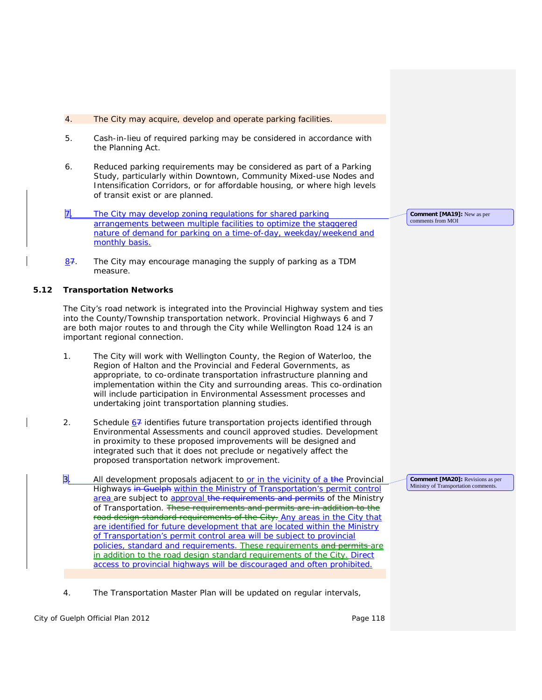- 4. The City may acquire, develop and operate parking facilities.
- 5. Cash-in-lieu of required parking may be considered in accordance with the *Planning Act*.
- 6. Reduced parking requirements may be considered as part of a Parking Study, particularly within Downtown, Community Mixed-use Nodes and *Intensification Corridors,* or for *affordable housing*, or where high levels of transit exist or are planned.
- 7. The City may develop zoning regulations for shared parking arrangements between multiple facilities to optimize the staggered nature of demand for parking on a time-of-day, weekday/weekend and monthly basis.
- 87. The City may encourage managing the supply of parking as a *TDM* measure.

## **5.12 Transportation Networks**

The City's road network is integrated into the Provincial Highway system and ties into the County/Township transportation network. Provincial Highways 6 and 7 are both major routes to and through the City while Wellington Road 124 is an important regional connection.

- 1. The City will work with Wellington County, the Region of Waterloo, the Region of Halton and the Provincial and Federal Governments, as appropriate, to co-ordinate *transportation infrastructure* planning and implementation within the City and surrounding areas. This co-ordination will include participation in *Environmental Assessment* processes and undertaking joint transportation planning studies.
- 2. Schedule  $67$  identifies future transportation projects identified through *Environmental Assessments* and council approved studies. *Development* in proximity to these proposed improvements will be designed and integrated such that it does not preclude or negatively affect the proposed transportation network improvement.
- 3. All *development* proposals adjacent to or in the vicinity of a the Provincial Highways in Guelph within the Ministry of Transportation's permit control area are subject to approval the requirements and permits of the Ministry of Transportation. These requirements and permits are in addition to the road design standard requirements of the City. Any areas in the City that are identified for future development that are located within the Ministry of Transportation's permit control area will be subject to provincial policies, standard and requirements. These requirements and permits are in addition to the road design standard requirements of the City. Direct access to provincial highways will be discouraged and often prohibited.
- 4. The Transportation Master Plan will be updated on regular intervals,

City of Guelph Official Plan 2012 **Page 118** Page 118

**Comment [MA19]:** New as per comments from MOI

**Comment [MA20]:** Revisions as per Ministry of Transportation comments.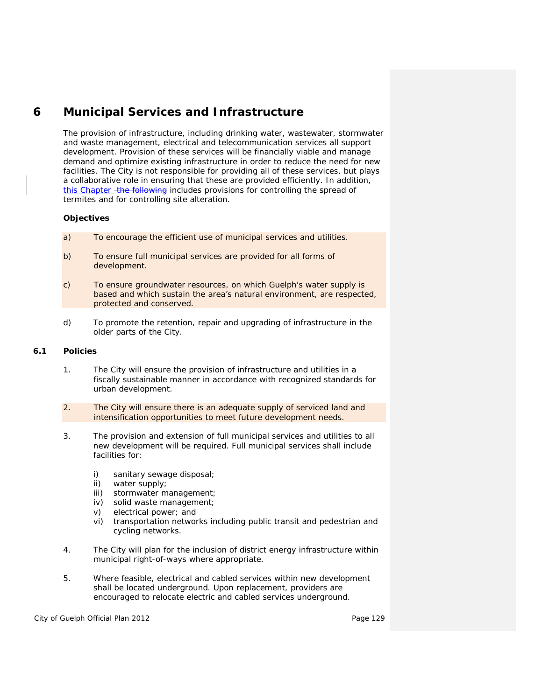# **6 Municipal Services and Infrastructure**

The provision of *infrastructure*, including drinking water, wastewater, stormwater and waste management, electrical and telecommunication services all support *development*. Provision of these services will be financially viable and manage demand and optimize existing infrastructure in order to reduce the need for new facilities. The City is not responsible for providing all of these services, but plays a collaborative role in ensuring that these are provided efficiently. In addition, this Chapter the following includes provisions for controlling the spread of termites and for controlling *site alteration.* 

# **Objectives**

- a) To encourage the efficient use of municipal services and utilities.
- b) To ensure full municipal services are provided for all forms of *development*.
- c) To ensure *groundwater* resources, on which Guelph's water supply is based and which sustain the area's natural environment, are respected, protected and conserved.
- d) To promote the retention, repair and upgrading of *infrastructure* in the older parts of the City.

# **6.1 Policies**

- 1. The City will ensure the provision of *infrastructure* and utilities in a fiscally sustainable manner in accordance with recognized standards for urban *development*.
- 2. The City will ensure there is an adequate supply of serviced land and *intensification* opportunities to meet future *development* needs.
- 3. The provision and extension of full municipal services and utilities to all new *development* will be required. Full municipal services shall include facilities for:
	- i) sanitary sewage disposal;
	- ii) water supply;
	- iii) stormwater management;
	- iv) solid waste management;
	- v) electrical power; and
	- vi) transportation networks including public transit and pedestrian and cycling networks.
- 4. The City will plan for the inclusion of *district energy* infrastructure within municipal right-of-ways where appropriate.
- 5. Where feasible, electrical and cabled services within new *development* shall be located underground. Upon replacement, providers are encouraged to relocate electric and cabled services underground.

City of Guelph Official Plan 2012 **Page 129** Page 129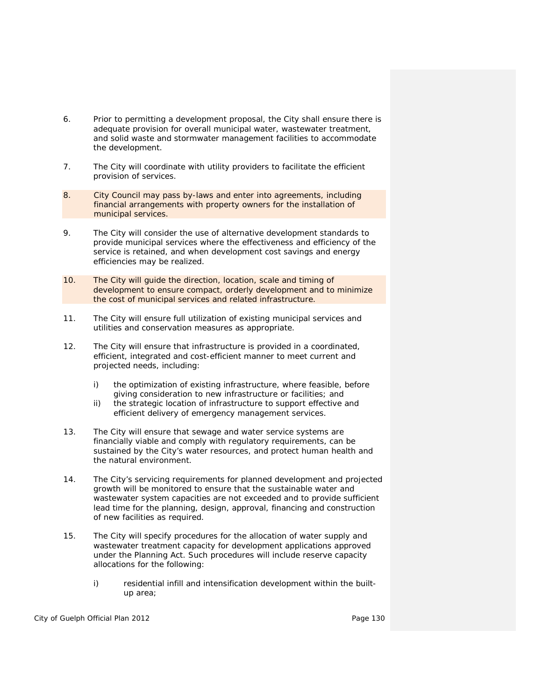- 6. Prior to permitting a *development* proposal, the City shall ensure there is adequate provision for overall *municipal water*, wastewater treatment, and solid waste and stormwater management facilities to accommodate the *development*.
- 7. The City will coordinate with utility providers to facilitate the efficient provision of services.
- 8. City Council may pass by-laws and enter into agreements, including financial arrangements with property owners for the installation of municipal services.
- 9. The City will consider the use of alternative development standards to provide municipal services where the effectiveness and efficiency of the service is retained, and when *development* cost savings and energy efficiencies may be realized.
- 10. The City will guide the direction, location, scale and timing of *development* to ensure compact, orderly *development* and to minimize the cost of municipal services and related *infrastructure*.
- 11. The City will ensure full utilization of existing municipal services and utilities and conservation measures as appropriate.
- 12. The City will ensure that *infrastructure* is provided in a coordinated, efficient, integrated and cost-efficient manner to meet current and projected needs, including:
	- i) the optimization of existing *infrastructure*, where feasible, before giving consideration to new *infrastructure* or facilities; and
	- ii) the strategic location of *infrastructure* to support effective and efficient delivery of emergency management services.
- 13. The City will ensure that *sewage and water service systems* are financially viable and comply with regulatory requirements, can be sustained by the City's water resources, and protect human health and the natural environment.
- 14. The City's servicing requirements for planned development and projected growth will be monitored to ensure that the sustainable water and wastewater system capacities are not exceeded and to provide sufficient lead time for the planning, design, approval, financing and construction of new facilities as required.
- 15. The City will specify procedures for the allocation of water supply and wastewater treatment capacity for *development* applications approved under the *Planning Act*. Such procedures will include reserve capacity allocations for the following:
	- i) residential infill and *intensificatio*n *development* within the *builtup area*;

City of Guelph Official Plan 2012 **Page 130** Page 130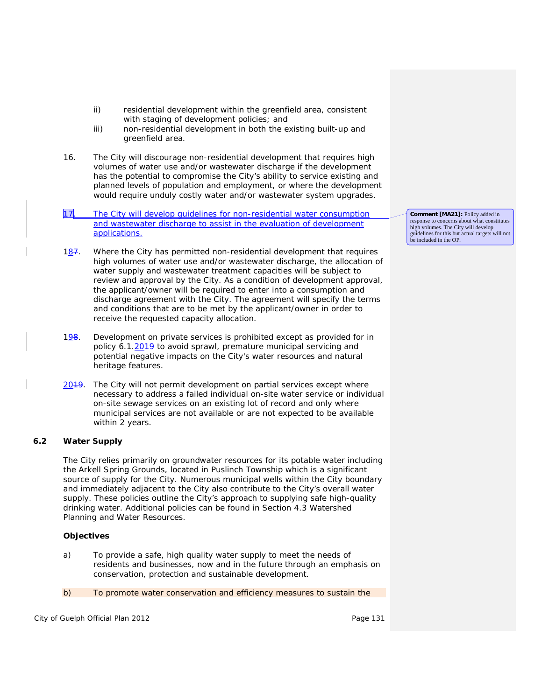- ii) residential *development* within the *greenfield area*, consistent with staging of development policies; and
- iii) non-residential *development* in both the existing *built-up* and *greenfield area*.
- 16. The City will discourage non-residential *development* that requires high volumes of water use and/or wastewater discharge if the *development* has the potential to compromise the City's ability to service existing and planned levels of population and employment, or where the *development*  would require unduly costly water and/or wastewater system upgrades.
- 17. The City will develop guidelines for non-residential water consumption and wastewater discharge to assist in the evaluation of development applications.
- 187. Where the City has permitted non-residential *development* that requires high volumes of water use and/or wastewater discharge, the allocation of water supply and wastewater treatment capacities will be subject to review and approval by the City. As a condition of *development* approval, the applicant/owner will be required to enter into a consumption and discharge agreement with the City. The agreement will specify the terms and conditions that are to be met by the applicant/owner in order to receive the requested capacity allocation.
- 198. *Development* on private services is prohibited except as provided for in policy 6.1.20<sup>19</sup> to avoid sprawl, premature municipal servicing and potential *negative impacts* on the City's water resources and *natural heritage features*.
- 2019. The City will not permit *development* on *partial services* except where necessary to address a failed *individual on-site water service* or *individual on-site sewage services* on an existing lot of record and only where municipal services are not available or are not expected to be available within 2 years.

# **6.2 Water Supply**

The City relies primarily on *groundwater* resources for its potable water including the Arkell Spring Grounds, located in Puslinch Township which is a significant source of supply for the City. Numerous municipal wells within the City boundary and immediately adjacent to the City also contribute to the City's overall water supply. These policies outline the City's approach to supplying safe high-quality drinking water. Additional policies can be found in Section 4.3 Watershed Planning and Water Resources.

## **Objectives**

- a) To provide a safe, high quality water supply to meet the needs of residents and businesses, now and in the future through an emphasis on conservation, protection and sustainable *development*.
- b) To promote water conservation and efficiency measures to sustain the

City of Guelph Official Plan 2012 **Page 131** Page 131

**Comment [MA21]:** Policy added in response to concerns about what constitutes high volumes. The City will develop guidelines for this but actual targets will not be included in the OP.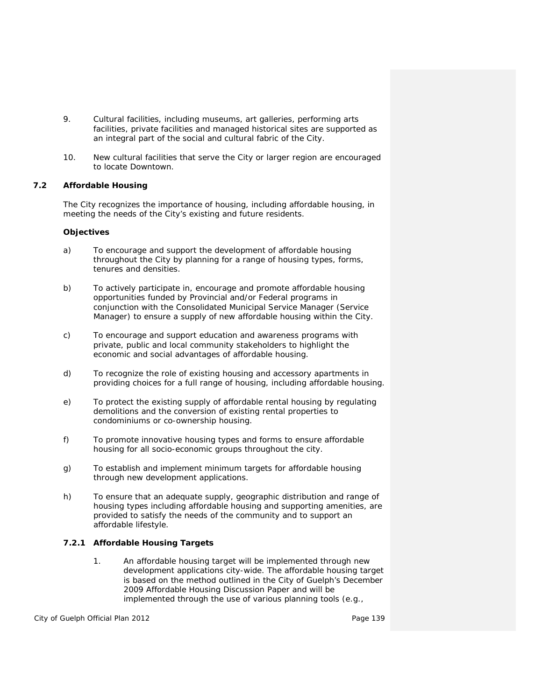- 9. Cultural facilities, including museums, art galleries, performing arts facilities, private facilities and managed historical sites are supported as an integral part of the social and cultural fabric of the City.
- 10. New cultural facilities that serve the City or larger region are encouraged to locate Downtown.

# **7.2 Affordable Housing**

The City recognizes the importance of housing, including *affordable housing*, in meeting the needs of the City's existing and future residents.

## **Objectives**

- a) To encourage and support the development of *affordable housing* throughout the City by planning for a range of housing types, forms, tenures and densities.
- b) To actively participate in, encourage and promote *affordable housing* opportunities funded by Provincial and/or Federal programs in conjunction with the *Consolidated Municipal Service Manager* (*Service Manager*) to ensure a supply of new *affordable housing* within the City.
- c) To encourage and support education and awareness programs with private, public and local community stakeholders to highlight the economic and social advantages of *affordable housing*.
- d) To recognize the role of existing housing and *accessory apartments* in providing choices for a full range of housing, including *affordable housing*.
- e) To protect the existing supply of affordable rental housing by regulating demolitions and the *conversion* of existing rental properties to *condominiums* or co-ownership housing.
- f) To promote innovative housing types and forms to ensure *affordable housing* for all socio-economic groups throughout the city.
- g) To establish and implement minimum targets for *affordable housing* through new *development* applications.
- h) To ensure that an adequate supply, geographic distribution and range of housing types including *affordable housing* and supporting amenities, are provided to satisfy the needs of the community and to support an affordable lifestyle.

# **7.2.1 Affordable Housing Targets**

1. An *affordable housing* target will be implemented through new *development* applications city-wide. The *affordable housing* target is based on the method outlined in the City of Guelph's December 2009 Affordable Housing Discussion Paper and will be implemented through the use of various planning tools (e.g.,

City of Guelph Official Plan 2012 **Page 139** Page 139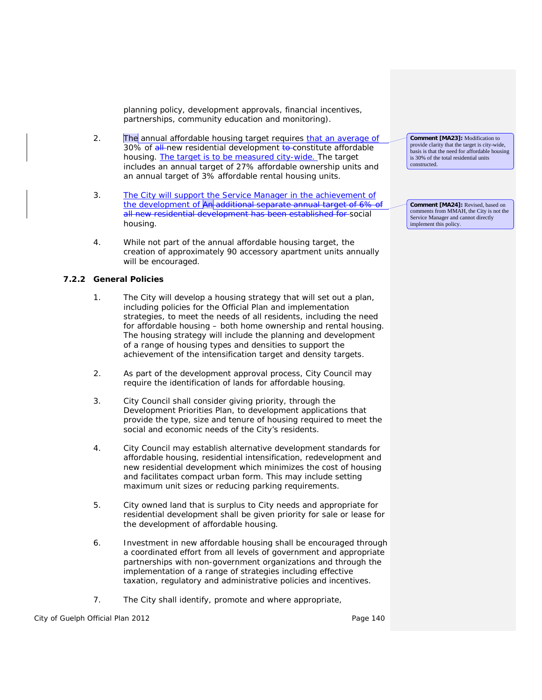planning policy, development approvals, financial incentives, partnerships, community education and monitoring).

- 2. The annual *affordable housing* target requires that an average of 30% of all-new residential development to-constitute *affordable housing.* The target is to be measured city-wide. The target includes an annual target of 27% affordable ownership units and an annual target of 3% affordable rental housing units.
- 3. The City will support the *Service Manager* in the achievement of the development of An additional separate annual target of 6% all new residential development has been established for *social housing*.
- 4. While not part of the annual *affordable housing* target, the creation of approximately 90 accessory apartment units annually will be encouraged*.*

# **7.2.2 General Policies**

- 1. The City will develop a housing strategy that will set out a plan, including policies for the Official Plan and implementation strategies, to meet the needs of all residents, including the need for *affordable housing* – both home ownership and rental housing. The housing strategy will include the planning and development of a range of housing types and densities to support the achievement of the *intensification target* and *density targets*.
- 2. As part of the *development* approval process, City Council may require the identification of lands for *affordable housing*.
- 3. City Council shall consider giving priority, through the Development Priorities Plan, to *development* applications that provide the type, size and tenure of housing required to meet the social and economic needs of the City's residents.
- 4. City Council may establish alternative development standards for *affordable housing*, *residential intensification*, *redevelopment* and new residential development which minimizes the cost of housing and facilitates *compact urban form*. This may include setting maximum unit sizes or reducing parking requirements.
- 5. City owned land that is surplus to City needs and appropriate for residential development shall be given priority for sale or lease for the development of *affordable housing*.
- 6. Investment in new *affordable housing* shall be encouraged through a coordinated effort from all levels of government and appropriate partnerships with non-government organizations and through the implementation of a range of strategies including effective taxation, regulatory and administrative policies and incentives.
- 7. The City shall identify, promote and where appropriate,

City of Guelph Official Plan 2012 **Page 140** Page 140

**Comment [MA23]:** Modification to provide clarity that the target is city-wide, basis is that the need for affordable housing is 30% of the total residential units constructed.

**Comment [MA24]:** Revised, based on comments from MMAH, the City is not the Service Manager and cannot directly implement this policy.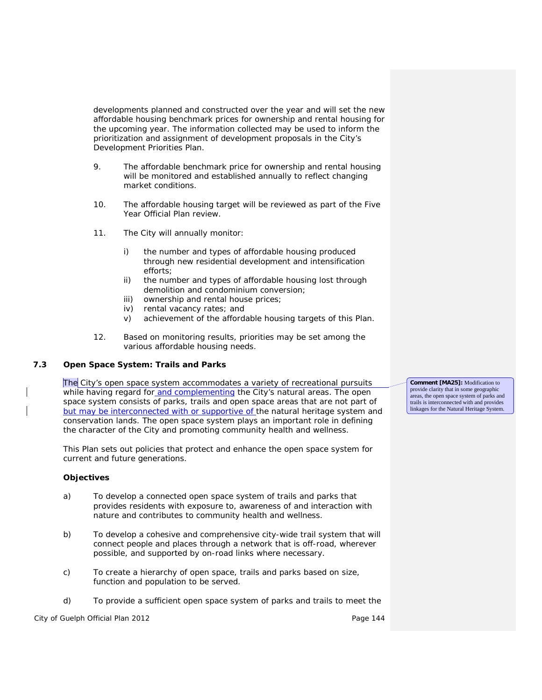developments planned and constructed over the year and will set the new *affordable housing benchmark* prices for ownership and rental housing for the upcoming year. The information collected may be used to inform the prioritization and assignment of development proposals in the City's Development Priorities Plan.

- 9. The *affordable benchmark* price for ownership and rental housing will be monitored and established annually to reflect changing market conditions.
- 10. The *affordable housing* target will be reviewed as part of the Five Year Official Plan review.
- 11. The City will annually monitor:
	- i) the number and types of *affordable housing* produced through new residential *development* and *intensification* efforts;
	- ii) the number and types of *affordable housing* lost through demolition and condominium conversion;
	- iii) ownership and rental house prices;
	- iv) rental *vacancy rates*; and
	- v) achievement of the *affordable housing* targets of this Plan.
- 12. Based on monitoring results, priorities may be set among the various *affordable housing* needs.

# **7.3 Open Space System: Trails and Parks**

The City's open space system accommodates a variety of recreational pursuits while having regard for and complementing the City's natural areas. The open space system consists of parks, trails and open space areas that are not part of but may be interconnected with or supportive of the natural heritage system and conservation lands. The open space system plays an important role in defining the character of the City and promoting community health and wellness.

This Plan sets out policies that protect and enhance the open space system for current and future generations.

#### **Objectives**

- a) To develop a connected open space system of trails and parks that provides residents with exposure to, awareness of and interaction with nature and contributes to community health and wellness.
- b) To develop a cohesive and comprehensive city-wide trail system that will connect people and places through a network that is off-road, wherever possible, and supported by on-road links where necessary.
- c) To create a hierarchy of open space, trails and parks based on size, function and population to be served.
- d) To provide a sufficient open space system of parks and trails to meet the

City of Guelph Official Plan 2012 **Page 144** Page 144

**Comment [MA25]:** Modification to provide clarity that in some geographic areas, the open space system of parks and trails is interconnected with and provides linkages for the Natural Heritage System.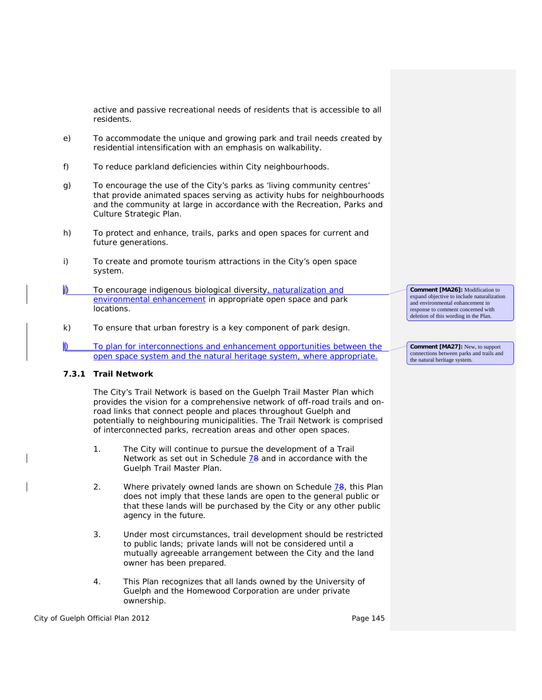active and passive recreational needs of residents that is accessible to all residents.

- e) To accommodate the unique and growing park and trail needs created by *residential intensification* with an emphasis on walkability.
- f) To reduce parkland deficiencies within City neighbourhoods.
- g) To encourage the use of the City's parks as '*living community centres'* that provide animated spaces serving as activity hubs for neighbourhoods and the community at large in accordance with the Recreation, Parks and Culture Strategic Plan.
- h) To protect and enhance, trails, parks and open spaces for current and future generations.
- i) To create and promote tourism attractions in the City's open space system.
- j) To encourage indigenous biological diversity, naturalization and environmental enhancement in appropriate open space and park locations.
- k) To ensure that urban forestry is a key component of park design.
- To plan for interconnections and enhancement opportunities between the open space system and the natural heritage system, where appropriate.

## **7.3.1 Trail Network**

The City's Trail Network is based on the Guelph Trail Master Plan which provides the vision for a comprehensive network of off-road trails and onroad links that connect people and places throughout Guelph and potentially to neighbouring municipalities. The Trail Network is comprised of interconnected parks, recreation areas and other open spaces.

- 1. The City will continue to pursue the development of a Trail Network as set out in Schedule 78 and in accordance with the Guelph Trail Master Plan.
- 2. Where privately owned lands are shown on Schedule  $78$ , this Plan does not imply that these lands are open to the general public or that these lands will be purchased by the City or any other public agency in the future.
- 3. Under most circumstances, trail development should be restricted to public lands; private lands will not be considered until a mutually agreeable arrangement between the City and the land owner has been prepared.
- 4. This Plan recognizes that all lands owned by the University of Guelph and the Homewood Corporation are under private ownership.

City of Guelph Official Plan 2012 **Page 145** Page 145

**Comment [MA26]:** Modification to expand objective to include naturalization and environmental enhancement in response to comment concerned with deletion of this wording in the Plan.

**Comment [MA27]:** New, to support connections between parks and trails and the natural heritage system.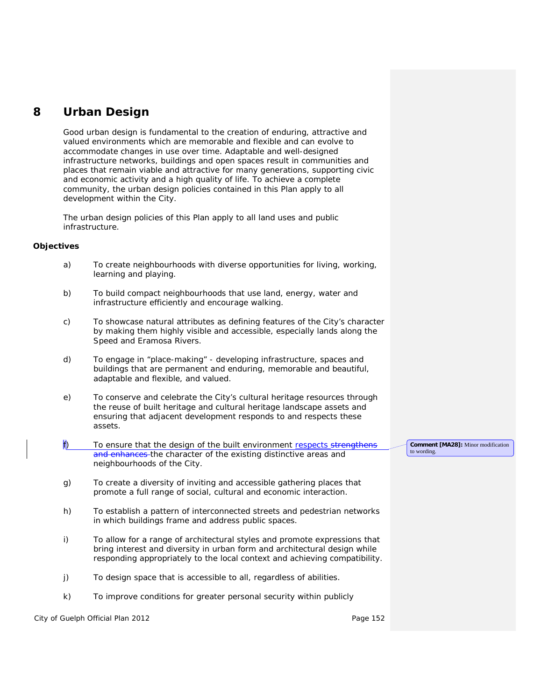# **8 Urban Design**

Good urban design is fundamental to the creation of enduring, attractive and valued environments which are memorable and flexible and can evolve to accommodate changes in use over time. Adaptable and well-designed infrastructure networks, buildings and open spaces result in communities and places that remain viable and attractive for many generations, supporting civic and economic activity and a high quality of life. To achieve a *complete community*, the urban design policies contained in this Plan apply to all development within the City.

The urban design policies of this Plan apply to all land uses and public *infrastructure*.

# **Objectives**

| a)           | To create neighbourhoods with diverse opportunities for living, working,<br>learning and playing.                                                                                                                                    |                                                   |  |
|--------------|--------------------------------------------------------------------------------------------------------------------------------------------------------------------------------------------------------------------------------------|---------------------------------------------------|--|
| b)           | To build compact neighbourhoods that use land, energy, water and<br>infrastructure efficiently and encourage walking.                                                                                                                |                                                   |  |
| c)           | To showcase natural attributes as defining features of the City's character<br>by making them highly visible and accessible, especially lands along the<br>Speed and Eramosa Rivers.                                                 |                                                   |  |
| d)           | To engage in "place-making" - developing infrastructure, spaces and<br>buildings that are permanent and enduring, memorable and beautiful,<br>adaptable and flexible, and valued.                                                    |                                                   |  |
| e)           | To conserve and celebrate the City's cultural heritage resources through<br>the reuse of built heritage and cultural heritage landscape assets and<br>ensuring that adjacent development responds to and respects these<br>assets.   |                                                   |  |
| $\mathsf{f}$ | To ensure that the design of the built environment respects strengthens<br>and enhances the character of the existing distinctive areas and<br>neighbourhoods of the City.                                                           | Comment [MA28]: Minor modification<br>to wording. |  |
| g)           | To create a diversity of inviting and accessible gathering places that<br>promote a full range of social, cultural and economic interaction.                                                                                         |                                                   |  |
| h)           | To establish a pattern of interconnected streets and pedestrian networks<br>in which buildings frame and address public spaces.                                                                                                      |                                                   |  |
| i)           | To allow for a range of architectural styles and promote expressions that<br>bring interest and diversity in urban form and architectural design while<br>responding appropriately to the local context and achieving compatibility. |                                                   |  |
| j)           | To design space that is accessible to all, regardless of abilities.                                                                                                                                                                  |                                                   |  |
| k)           | To improve conditions for greater personal security within publicly                                                                                                                                                                  |                                                   |  |

City of Guelph Official Plan 2012 **Page 152 Page 152**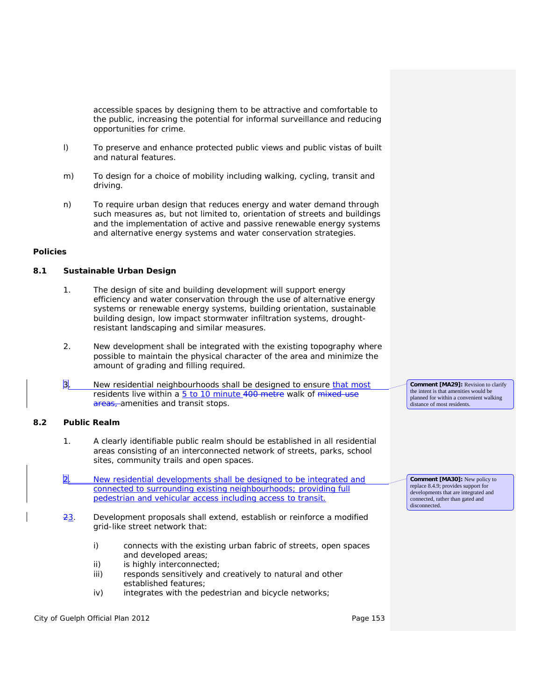accessible spaces by designing them to be attractive and comfortable to the public, increasing the potential for informal surveillance and reducing opportunities for crime.

- l) To preserve and enhance protected *public views* and *public vistas* of built and natural features.
- m) To design for a choice of mobility including walking, cycling, transit and driving.
- n) To require urban design that reduces energy and water demand through such measures as, but not limited to, orientation of streets and buildings and the implementation of active and passive *renewable energy systems* and *alternative energy systems* and water conservation strategies.

#### **Policies**

## **8.1 Sustainable Urban Design**

- 1. The design of site and building development will support energy efficiency and water conservation through the use of *alternative energy systems* or *renewable energy systems*, building orientation, sustainable building design, low impact stormwater infiltration systems, droughtresistant landscaping and similar measures.
- 2. New *development* shall be integrated with the existing topography where possible to maintain the physical character of the area and minimize the amount of grading and filling required.
- 3. New residential neighbourhoods shall be designed to ensure that most residents live within a 5 to 10 minute 400 metre walk of mixed-use areas, amenities and transit stops.

## **8.2 Public Realm**

- 1. A clearly identifiable *public realm* should be established in all residential areas consisting of an interconnected network of streets, parks, school sites, community trails and open spaces.
- New residential developments shall be designed to be integrated and connected to surrounding existing neighbourhoods; providing full pedestrian and vehicular access including access to transit.
- 23. *Development* proposals shall extend, establish or reinforce a modified grid-like street network that:
	- i) connects with the existing urban fabric of streets, open spaces and developed areas;
	- ii) is highly interconnected;
	- iii) responds sensitively and creatively to natural and other established features;
	- iv) integrates with the pedestrian and bicycle networks;

City of Guelph Official Plan 2012 **Page 153** Page 153

**Comment [MA29]:** Revision to clarify the intent is that amenities would be planned for within a convenient walking distance of most residents.

**Comment [MA30]:** New policy to replace 8.4.9; provides support for developments that are integrated and connected, rather than gated and disconnected.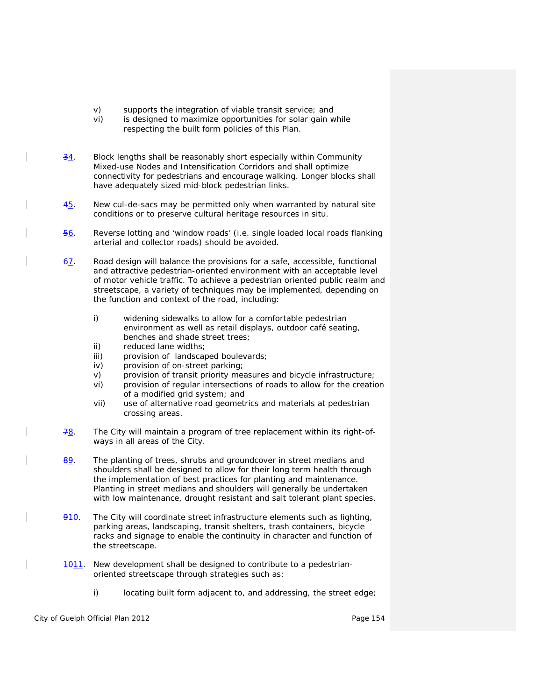- v) supports the integration of viable transit service; and
- vi) is designed to maximize opportunities for solar gain while respecting the built form policies of this Plan.
- $\frac{34}{1}$ . Block lengths shall be reasonably short especially within Community Mixed-use Nodes and *Intensification Corridors* and shall optimize connectivity for pedestrians and encourage walking. Longer blocks shall have adequately sized mid-block pedestrian links.
- $45.$  New cul-de-sacs may be permitted only when warranted by natural site conditions or to preserve *cultural heritage resources* in situ.
- 56. Reverse lotting and 'window roads' (i.e. single loaded local roads flanking arterial and collector roads) should be avoided.
- 67. Road design will balance the provisions for a safe, accessible, functional and attractive pedestrian-oriented environment with an acceptable level of motor vehicle traffic. To achieve a pedestrian oriented *public realm* and streetscape, a variety of techniques may be implemented, depending on the function and context of the road, including:
	- i) widening sidewalks to allow for a comfortable pedestrian environment as well as retail displays, outdoor café seating, benches and shade street trees;
	- ii) reduced lane widths;
	- iii) provision of landscaped boulevards;
	- iv) provision of on-street parking;
	- v) provision of transit priority measures and bicycle infrastructure;
	- vi) provision of regular intersections of roads to allow for the creation of a modified grid system; and
	- vii) use of alternative road geometrics and materials at pedestrian crossing areas.
- $78.$  The City will maintain a program of tree replacement within its right-ofways in all areas of the City.
- 89. The planting of trees, shrubs and groundcover in street medians and shoulders shall be designed to allow for their long term health through the implementation of best practices for planting and maintenance. Planting in street medians and shoulders will generally be undertaken with low maintenance, drought resistant and salt tolerant plant species.
- 910. The City will coordinate street infrastructure elements such as lighting, parking areas, landscaping, transit shelters, trash containers, bicycle racks and signage to enable the continuity in character and function of the streetscape.
- **1011**. New *development* shall be designed to contribute to a pedestrianoriented streetscape through strategies such as:
	- i) locating built form adjacent to, and addressing, the street edge;

City of Guelph Official Plan 2012 **Page 154** Page 154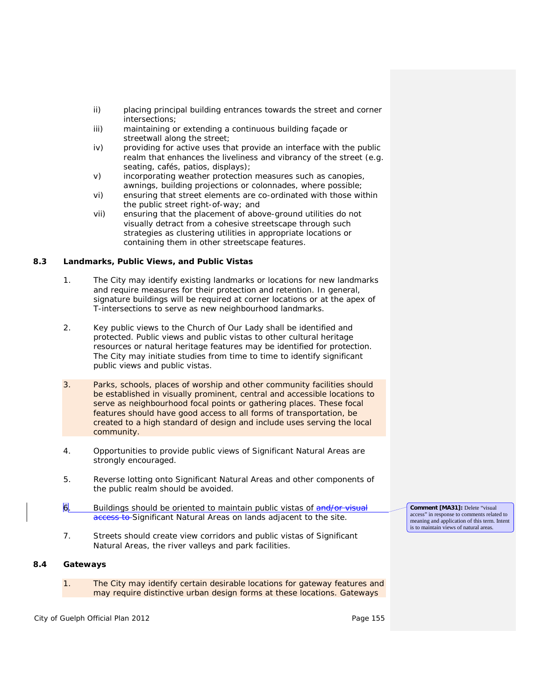- ii) placing principal building entrances towards the street and corner intersections;
- iii) maintaining or extending a continuous building façade or streetwall along the street;
- iv) providing for active uses that provide an interface with the *public realm* that enhances the liveliness and vibrancy of the street (e.g. seating, cafés, patios, displays);
- v) incorporating weather protection measures such as canopies, awnings, building projections or colonnades, where possible;
- vi) ensuring that street elements are co-ordinated with those within the public street right-of-way; and
- vii) ensuring that the placement of above-ground utilities do not visually detract from a cohesive streetscape through such strategies as clustering utilities in appropriate locations or containing them in other streetscape features.

# **8.3 Landmarks, Public Views, and Public Vistas**

- 1. The City may identify existing landmarks or locations for new landmarks and require measures for their protection and retention. In general, signature buildings will be required at corner locations or at the apex of T-intersections to serve as new neighbourhood landmarks.
- 2. Key *public views* to the Church of Our Lady shall be identified and protected. *Public views* and *public vistas* to other *cultural heritage resources* or natural heritage features may be identified for protection. The City may initiate studies from time to time to identify significant *public views* and *public vistas*.
- 3. Parks, schools, places of worship and other community facilities should be established in visually prominent, central and accessible locations to serve as neighbourhood focal points or gathering places. These focal features should have good access to all forms of transportation, be created to a high standard of design and include uses serving the local community.
- 4. Opportunities to provide *public views* of Significant Natural Areas are strongly encouraged.
- 5. Reverse lotting onto Significant Natural Areas and other components of the *public realm* should be avoided.
- 6. Buildings should be oriented to maintain *public vistas* of and/or visual access to Significant Natural Areas on lands adjacent to the site.
- 7. Streets should create view corridors and *public vistas* of Significant Natural Areas, the river valleys and park facilities.

## **8.4 Gateways**

1. The City may identify certain desirable locations for gateway features and may require distinctive urban design forms at these locations. Gateways

City of Guelph Official Plan 2012 **Page 155** Page 155

**Comment [MA31]:** Delete "visual access" in response to comments related to meaning and application of this term. Intent is to maintain views of natural areas.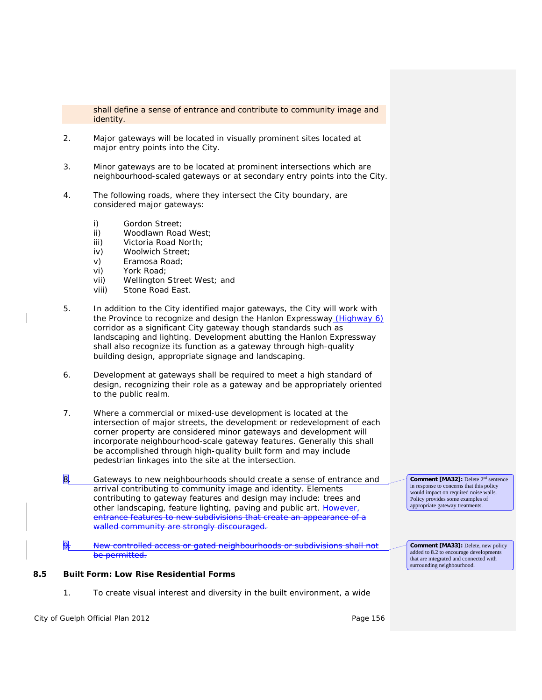shall define a sense of entrance and contribute to community image and identity.

- 2. Major gateways will be located in visually prominent sites located at major entry points into the City.
- 3. Minor gateways are to be located at prominent intersections which are neighbourhood-scaled gateways or at secondary entry points into the City.
- 4. The following roads, where they intersect the City boundary, are considered major gateways:
	- i) Gordon Street;
	- ii) Woodlawn Road West;
	- iii) Victoria Road North;
	- iv) Woolwich Street;
	- v) Eramosa Road;
	- vi) York Road;
	- vii) Wellington Street West; and
	- viii) Stone Road East.
- 5. In addition to the City identified major gateways, the City will work with the Province to recognize and design the Hanlon Expressway (Highway 6) corridor as a significant City gateway though standards such as landscaping and lighting. *Development* abutting the Hanlon Expressway shall also recognize its function as a gateway through high-quality building design, appropriate signage and landscaping.
- 6. *Developmen*t at gateways shall be required to meet a high standard of design, recognizing their role as a gateway and be appropriately oriented to the *public realm*.
- 7. Where a commercial or mixed-use development is located at the intersection of major streets, the *development* or *redevelopment* of each corner property are considered minor gateways and development will incorporate neighbourhood-scale gateway features. Generally this shall be accomplished through high-quality built form and may include pedestrian linkages into the site at the intersection.
- 8. Gateways to new neighbourhoods should create a sense of entrance and arrival contributing to community image and identity. Elements contributing to gateway features and design may include: trees and other landscaping, feature lighting, paving and public art. However, entrance features to new subdivisions that create an appearance of a walled community are strongly discouraged.
- 9. New controlled access or gated neighbourhoods or subdivisions shall not be permitted.

Policy provides some examples of appropriate gateway treatments.

**Comment [MA33]:** Delete, new policy added to 8.2 to encourage developments that are integrated and connected with surrounding neighbourhood.

**Comment [MA32]:** Delete 2nd sentence in response to concerns that this policy would impact on required noise walls.

# **8.5 Built Form: Low Rise Residential Forms**

1. To create visual interest and diversity in the built environment, a wide

City of Guelph Official Plan 2012 **Page 156** Page 156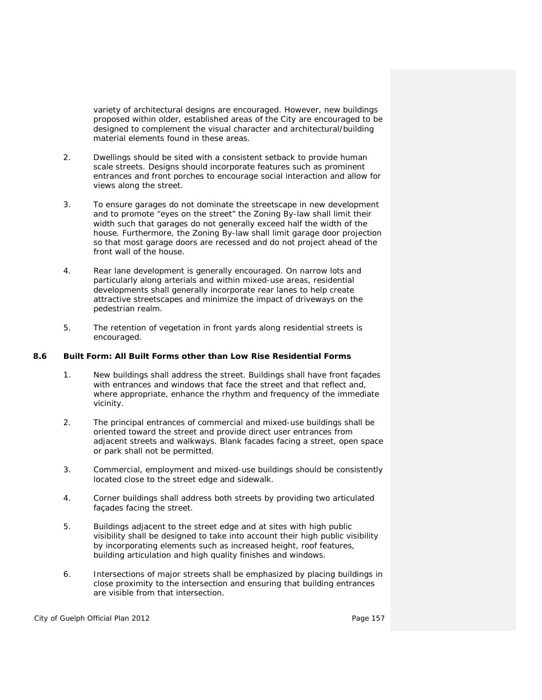variety of architectural designs are encouraged. However, new buildings proposed within older, established areas of the City are encouraged to be designed to complement the visual character and architectural/building material elements found in these areas.

- 2. Dwellings should be sited with a consistent setback to provide human scale streets. Designs should incorporate features such as prominent entrances and front porches to encourage social interaction and allow for views along the street.
- 3. To ensure garages do not dominate the streetscape in new *development* and to promote "eyes on the street" the *Zoning By-law* shall limit their width such that garages do not generally exceed half the width of the house. Furthermore, the *Zoning By-law* shall limit garage door projection so that most garage doors are recessed and do not project ahead of the front wall of the house.
- 4. Rear lane development is generally encouraged. On narrow lots and particularly along arterials and within mixed-use areas, residential developments shall generally incorporate rear lanes to help create attractive streetscapes and minimize the impact of driveways on the pedestrian realm.
- 5. The retention of vegetation in front yards along residential streets is encouraged.

## **8.6 Built Form: All Built Forms other than Low Rise Residential Forms**

- 1. New buildings shall address the street. Buildings shall have front façades with entrances and windows that face the street and that reflect and, where appropriate, enhance the rhythm and frequency of the immediate vicinity.
- 2. The principal entrances of commercial and mixed-use buildings shall be oriented toward the street and provide direct user entrances from adjacent streets and walkways. Blank facades facing a street, open space or park shall not be permitted.
- 3. Commercial, employment and mixed-use buildings should be consistently located close to the street edge and sidewalk.
- 4. Corner buildings shall address both streets by providing two articulated façades facing the street.
- 5. Buildings adjacent to the street edge and at sites with high public visibility shall be designed to take into account their high public visibility by incorporating elements such as increased height, roof features, building articulation and high quality finishes and windows.
- 6. Intersections of major streets shall be emphasized by placing buildings in close proximity to the intersection and ensuring that building entrances are visible from that intersection.

City of Guelph Official Plan 2012 **Page 157** Page 157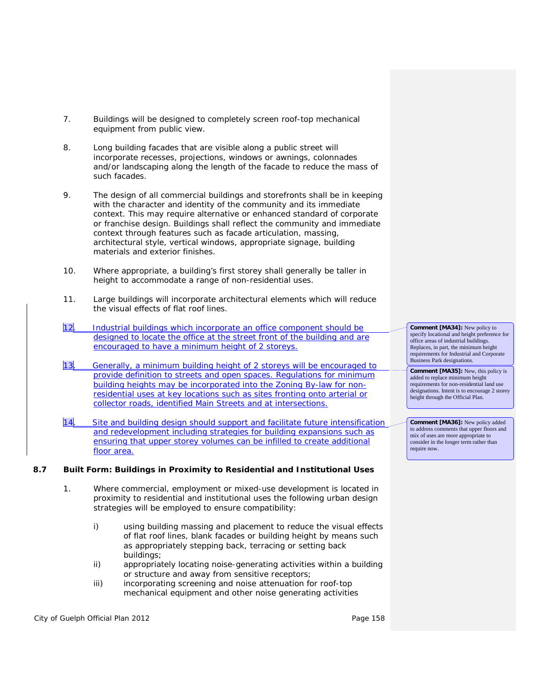- 7. Buildings will be designed to completely screen roof-top mechanical equipment from public view.
- 8. Long building facades that are visible along a public street will incorporate recesses, projections, windows or awnings, colonnades and/or landscaping along the length of the facade to reduce the mass of such facades.
- 9. The design of all commercial buildings and storefronts shall be in keeping with the character and identity of the community and its immediate context. This may require alternative or enhanced standard of corporate or franchise design. Buildings shall reflect the community and immediate context through features such as facade articulation, massing, architectural style, vertical windows, appropriate signage, building materials and exterior finishes.
- 10. Where appropriate, a building's first storey shall generally be taller in height to accommodate a range of non-residential uses.
- 11. Large buildings will incorporate architectural elements which will reduce the visual effects of flat roof lines.
- 12. Industrial buildings which incorporate an office component should be designed to locate the office at the street front of the building and are encouraged to have a minimum height of 2 storeys.
- 13. Generally, a minimum building height of 2 storeys will be encouraged to provide definition to streets and open spaces. Regulations for minimum building heights may be incorporated into the Zoning By-law for nonresidential uses at key locations such as sites fronting onto arterial or collector roads, identified Main Streets and at intersections.
- 14. Site and building design should support and facilitate future intensification and redevelopment including strategies for building expansions such as ensuring that upper storey volumes can be infilled to create additional floor area.

# **8.7 Built Form: Buildings in Proximity to Residential and Institutional Uses**

- 1. Where commercial, employment or mixed-use development is located in proximity to residential and institutional uses the following urban design strategies will be employed to ensure *compatibility*:
	- i) using building massing and placement to reduce the visual effects of flat roof lines, blank facades or building height by means such as appropriately stepping back, terracing or setting back buildings;
	- ii) appropriately locating noise-generating activities within a building or structure and away from sensitive receptors;
	- iii) incorporating screening and noise attenuation for roof-top mechanical equipment and other noise generating activities

City of Guelph Official Plan 2012 **Page 158** Page 158

**Comment [MA34]:** New policy to specify locational and height preference for office areas of industrial buildings. Replaces, in part, the minimum height requirements for Industrial and Corporate Business Park designations.

**Comment [MA35]:** New, this policy is added to replace minimum height requirements for non-residential land use designations. Intent is to encourage 2 storey height through the Official Plan.

**Comment [MA36]:** New policy added to address comments that upper floors and mix of uses are more appropriate to consider in the longer term rather than require now.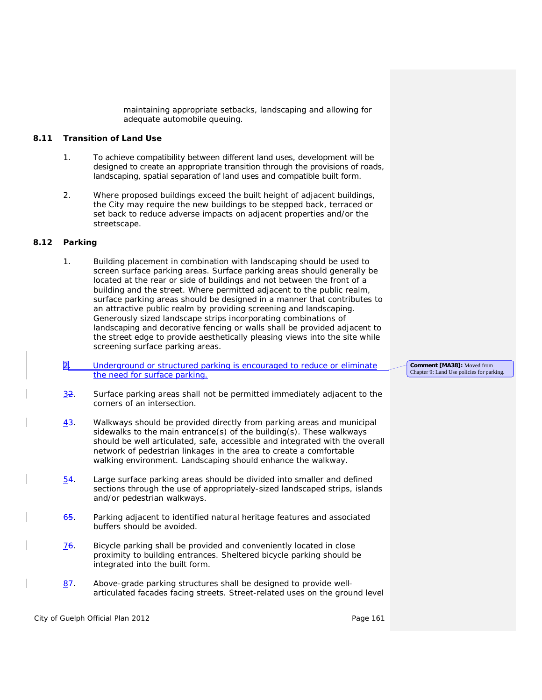maintaining appropriate setbacks, landscaping and allowing for adequate automobile queuing.

## **8.11 Transition of Land Use**

- 1. To achieve *compatibility* between different land uses, *development* will be designed to create an appropriate transition through the provisions of roads, landscaping, spatial separation of land uses and *compatible* built form.
- 2. Where proposed buildings exceed the built height of adjacent buildings, the City may require the new buildings to be stepped back, terraced or set back to reduce adverse impacts on adjacent properties and/or the streetscape.

#### **8.12 Parking**

- 1. Building placement in combination with landscaping should be used to screen surface parking areas. Surface parking areas should generally be located at the rear or side of buildings and not between the front of a building and the street. Where permitted adjacent to the *public realm*, surface parking areas should be designed in a manner that contributes to an attractive *public realm* by providing screening and landscaping. Generously sized landscape strips incorporating combinations of landscaping and decorative fencing or walls shall be provided adjacent to the street edge to provide aesthetically pleasing views into the site while screening surface parking areas.
- Underground or structured parking is encouraged to reduce or eliminate the need for surface parking.
- 32. Surface parking areas shall not be permitted immediately adjacent to the corners of an intersection.
- 43. Walkways should be provided directly from parking areas and municipal sidewalks to the main entrance(s) of the building(s). These walkways should be well articulated, safe, accessible and integrated with the overall network of pedestrian linkages in the area to create a comfortable walking environment. Landscaping should enhance the walkway.
- $54.$  Large surface parking areas should be divided into smaller and defined sections through the use of appropriately-sized landscaped strips, islands and/or pedestrian walkways.
- 65. Parking adjacent to identified *natural heritage features* and associated *buffers* should be avoided.
- 76. Bicycle parking shall be provided and conveniently located in close proximity to building entrances. Sheltered bicycle parking should be integrated into the built form.
- 87. Above-grade parking structures shall be designed to provide wellarticulated facades facing streets. Street-related uses on the ground level

City of Guelph Official Plan 2012 **Page 161** Page 161

**Comment [MA38]:** Moved from Chapter 9: Land Use policies for parking.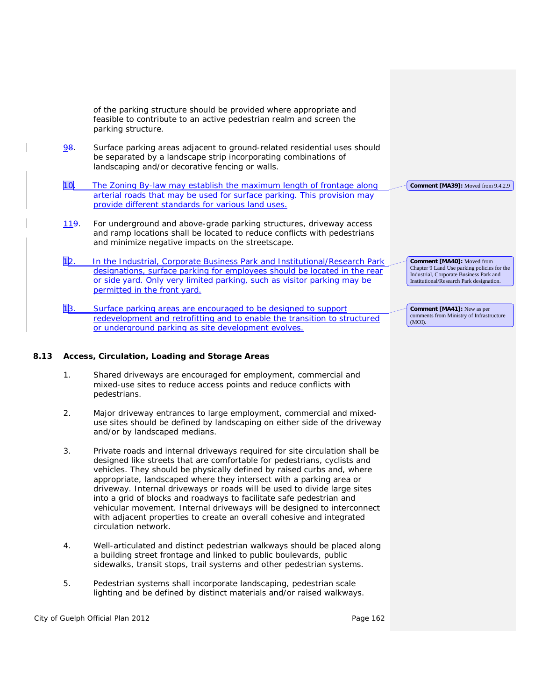|                 | of the parking structure should be provided where appropriate and<br>feasible to contribute to an active pedestrian realm and screen the<br>parking structure.                                                                                                                                                                                                                                                                                                                |                                                                                                                                                                  |
|-----------------|-------------------------------------------------------------------------------------------------------------------------------------------------------------------------------------------------------------------------------------------------------------------------------------------------------------------------------------------------------------------------------------------------------------------------------------------------------------------------------|------------------------------------------------------------------------------------------------------------------------------------------------------------------|
| <u>98.</u>      | Surface parking areas adjacent to ground-related residential uses should<br>be separated by a landscape strip incorporating combinations of<br>landscaping and/or decorative fencing or walls.                                                                                                                                                                                                                                                                                |                                                                                                                                                                  |
| 10 <sub>l</sub> | The Zoning By-law may establish the maximum length of frontage along                                                                                                                                                                                                                                                                                                                                                                                                          | Comment [MA39]: Moved from 9.4.2.9                                                                                                                               |
|                 | arterial roads that may be used for surface parking. This provision may<br>provide different standards for various land uses.                                                                                                                                                                                                                                                                                                                                                 |                                                                                                                                                                  |
| 119.            | For underground and above-grade parking structures, driveway access<br>and ramp locations shall be located to reduce conflicts with pedestrians<br>and minimize negative impacts on the streetscape.                                                                                                                                                                                                                                                                          |                                                                                                                                                                  |
| 1 2.            | In the Industrial, Corporate Business Park and Institutional/Research Park<br>designations, surface parking for employees should be located in the rear<br>or side yard. Only very limited parking, such as visitor parking may be<br>permitted in the front yard.                                                                                                                                                                                                            | Comment [MA40]: Moved from<br>Chapter 9 Land Use parking policies for the<br>Industrial, Corporate Business Park and<br>Institutional/Research Park designation. |
| 13.             | Surface parking areas are encouraged to be designed to support<br>redevelopment and retrofitting and to enable the transition to structured<br>or underground parking as site development evolves.                                                                                                                                                                                                                                                                            | <b>Comment [MA41]:</b> New as per<br>comments from Ministry of Infrastructure<br>(MOI).                                                                          |
|                 | Access, Circulation, Loading and Storage Areas                                                                                                                                                                                                                                                                                                                                                                                                                                |                                                                                                                                                                  |
| 1.              | Shared driveways are encouraged for employment, commercial and<br>mixed-use sites to reduce access points and reduce conflicts with<br>pedestrians.                                                                                                                                                                                                                                                                                                                           |                                                                                                                                                                  |
| 2.              | Major driveway entrances to large employment, commercial and mixed-<br>use sites should be defined by landscaping on either side of the driveway<br>and/or by landscaped medians.                                                                                                                                                                                                                                                                                             |                                                                                                                                                                  |
| 3.              | Private roads and internal driveways required for site circulation shall be<br>designed like streets that are comfortable for pedestrians, cyclists and                                                                                                                                                                                                                                                                                                                       |                                                                                                                                                                  |
|                 | vehicles. They should be physically defined by raised curbs and, where<br>appropriate, landscaped where they intersect with a parking area or<br>driveway. Internal driveways or roads will be used to divide large sites<br>into a grid of blocks and roadways to facilitate safe pedestrian and<br>vehicular movement. Internal driveways will be designed to interconnect<br>with adjacent properties to create an overall cohesive and integrated<br>circulation network. |                                                                                                                                                                  |
| 4.              | Well-articulated and distinct pedestrian walkways should be placed along<br>a building street frontage and linked to public boulevards, public<br>sidewalks, transit stops, trail systems and other pedestrian systems.                                                                                                                                                                                                                                                       |                                                                                                                                                                  |

City of Guelph Official Plan 2012 City of Guelph Official Plan 2012

 $\overline{\phantom{a}}$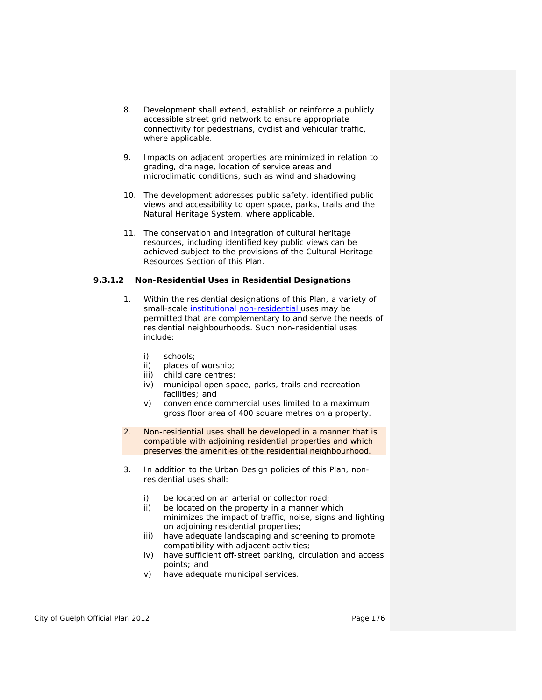- 8. *Development* shall extend, establish or reinforce a publicly accessible street grid network to ensure appropriate connectivity for pedestrians, cyclist and vehicular traffic, where applicable.
- 9. Impacts on adjacent properties are minimized in relation to grading, drainage, location of service areas and microclimatic conditions, such as wind and shadowing.
- 10. The *development* addresses public safety, identified *public views* and accessibility to open space, parks, trails and the *Natural Heritage System*, where applicable.
- 11. The conservation and integration of *cultural heritage resources*, including identified key *public views* can be achieved subject to the provisions of the *Cultural Heritage Resources* Section of this Plan.

#### **9.3.1.2 Non-Residential Uses in Residential Designations**

- 1. Within the residential designations of this Plan, a variety of small-scale institutional non-residential uses may be permitted that are complementary to and serve the needs of residential neighbourhoods. Such non-residential uses include:
	- i) schools;
	- ii) places of worship;
	- iii) *child care centres*;
	- iv) municipal open space, parks, trails and recreation facilities; and
	- v) *convenience commercial* uses limited to a maximum *gross floor area* of 400 square metres on a property.
- 2. Non-residential uses shall be developed in a manner that is *compatible* with adjoining residential properties and which preserves the amenities of the residential neighbourhood.
- 3. In addition to the Urban Design policies of this Plan, nonresidential uses shall:
	- i) be located on an arterial or collector road;
	- ii) be located on the property in a manner which minimizes the impact of traffic, noise, signs and lighting on adjoining residential properties;
	- iii) have adequate landscaping and screening to promote *compatibility* with adjacent activities;
	- iv) have sufficient off-street parking, circulation and access points; and
	- v) have adequate municipal services.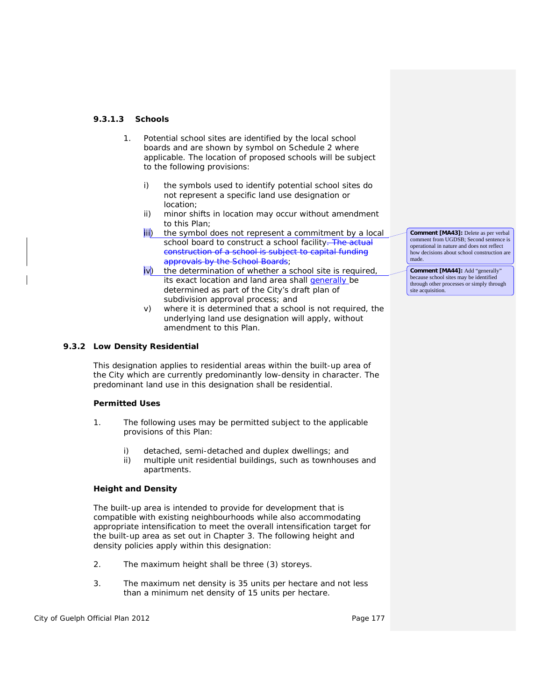# **9.3.1.3 Schools**

- 1. Potential school sites are identified by the local school boards and are shown by symbol on Schedule 2 where applicable. The location of proposed schools will be subject to the following provisions:
	- i) the symbols used to identify potential school sites do not represent a specific land use designation or location;
	- ii) minor shifts in location may occur without amendment to this Plan;
	- iii) the symbol does not represent a commitment by a local school board to construct a school facility. The actual construction of a school is subject to capital funding approvals by the School Boards;
	- iv) the determination of whether a school site is required, its exact location and land area shall generally be determined as part of the City's draft plan of subdivision approval process; and
	- v) where it is determined that a school is not required, the underlying land use designation will apply, without amendment to this Plan.

# **9.3.2 Low Density Residential**

This designation applies to residential areas within the *built-up area* of the City which are currently predominantly low-density in character. The predominant land use in this designation shall be residential.

# **Permitted Uses**

- 1. The following uses may be permitted subject to the applicable provisions of this Plan:
	- i) detached, semi-detached and duplex dwellings; and
	- ii) multiple unit residential buildings, such as townhouses and apartments.

# **Height and Density**

The *built-up area* is intended to provide for *development* that is *compatible* with existing neighbourhoods while also accommodating appropriate *intensification* to meet the overall *intensification target* for the *built-up area* as set out in Chapter 3. The following height and density policies apply within this designation:

- 2. The maximum height shall be three (3) storeys.
- 3. The maximum *net density* is 35 units per hectare and not less than a minimum *net density* of 15 units per hectare.

City of Guelph Official Plan 2012 **Page 177** Page 177

**Comment [MA43]:** Delete as per verbal comment from UGDSB; Second sentence is operational in nature and does not reflect how decisions about school construction are made.

**Comment [MA44]:** Add "generally" because school sites may be identified through other processes or simply through site acquisition.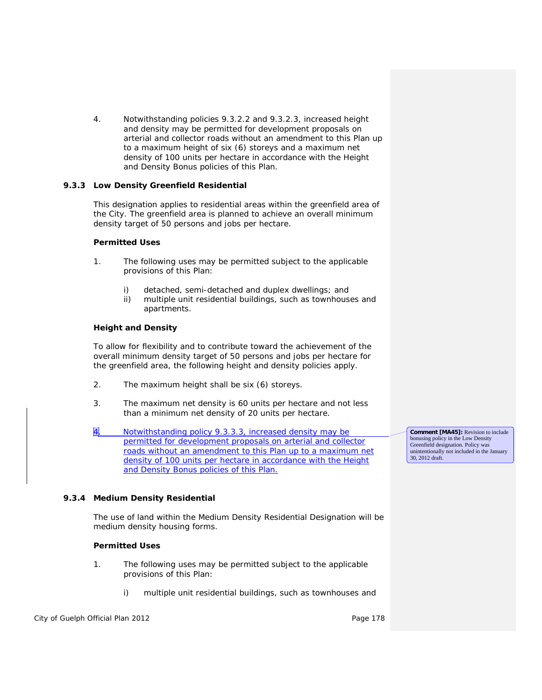4. Notwithstanding policies 9.3.2.2 and 9.3.2.3, increased height and density may be permitted for *development* proposals on arterial and collector roads without an amendment to this Plan up to a maximum height of six (6) storeys and a maximum *net density* of 100 units per hectare in accordance with the Height and Density Bonus policies of this Plan.

## **9.3.3 Low Density Greenfield Residential**

This designation applies to residential areas within the *greenfield area* of the City. The *greenfield area* is planned to achieve an overall minimum *density target* of 50 persons and jobs per hectare.

## **Permitted Uses**

- 1. The following uses may be permitted subject to the applicable provisions of this Plan:
	- i) detached, semi-detached and duplex dwellings; and
	- ii) multiple unit residential buildings, such as townhouses and apartments.

# **Height and Density**

To allow for flexibility and to contribute toward the achievement of the overall minimum *density target* of 50 persons and jobs per hectare for the *greenfield area*, the following height and density policies apply.

- 2. The maximum height shall be six (6) storeys.
- 3. The maximum *net density* is 60 units per hectare and not less than a minimum *net density* of 20 units per hectare.
- 4. Notwithstanding policy 9.3.3.3, increased density may be permitted for *development* proposals on arterial and collector roads without an amendment to this Plan up to a maximum *net density* of 100 units per hectare in accordance with the Height and Density Bonus policies of this Plan.

**Comment [MA45]:** Revision to include bonusing policy in the Low Density Greenfield designation. Policy was unintentionally not included in the January 30, 2012 draft.

# **9.3.4 Medium Density Residential**

The use of land within the Medium Density Residential Designation will be medium density housing forms.

## **Permitted Uses**

- 1. The following uses may be permitted subject to the applicable provisions of this Plan:
	- i) multiple unit residential buildings, such as townhouses and

# City of Guelph Official Plan 2012 **Page 178** Page 178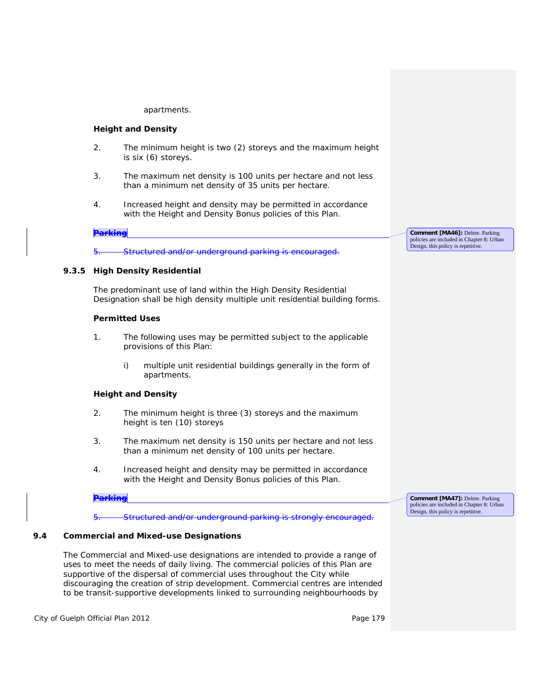#### apartments.

#### **Height and Density**

- 2. The minimum height is two (2) storeys and the maximum height is six (6) storeys.
- 3. The maximum *net density* is 100 units per hectare and not less than a minimum *net density* of 35 units per hectare.
- 4. Increased height and density may be permitted in accordance with the Height and Density Bonus policies of this Plan.

#### **Parking**

Structured and/or underground parking is encouraged.

#### **9.3.5 High Density Residential**

The predominant use of land within the High Density Residential Designation shall be high density multiple unit residential building forms.

#### **Permitted Uses**

- 1. The following uses may be permitted subject to the applicable provisions of this Plan:
	- i) multiple unit residential buildings generally in the form of apartments.

### **Height and Density**

- 2. The minimum height is three (3) storeys and the maximum height is ten (10) storeys
- 3. The maximum *net density* is 150 units per hectare and not less than a minimum *net density* of 100 units per hectare.
- 4. Increased height and density may be permitted in accordance with the Height and Density Bonus policies of this Plan.

**Parking**

5. Structured and/or underground parking is strongly encouraged.

#### **9.4 Commercial and Mixed-use Designations**

The Commercial and Mixed-use designations are intended to provide a range of uses to meet the needs of daily living. The commercial policies of this Plan are supportive of the dispersal of commercial uses throughout the City while discouraging the creation of strip development. Commercial centres are intended to be *transit-supportive* developments linked to surrounding neighbourhoods by

City of Guelph Official Plan 2012 **Page 179** Page 179

**Comment [MA46]:** Delete. Parking policies are included in Chapter 8: Urban Design, this policy is repetitive.

**Comment [MA47]:** Delete. Parking policies are included in Chapter 8: Urban Design, this policy is repetitive.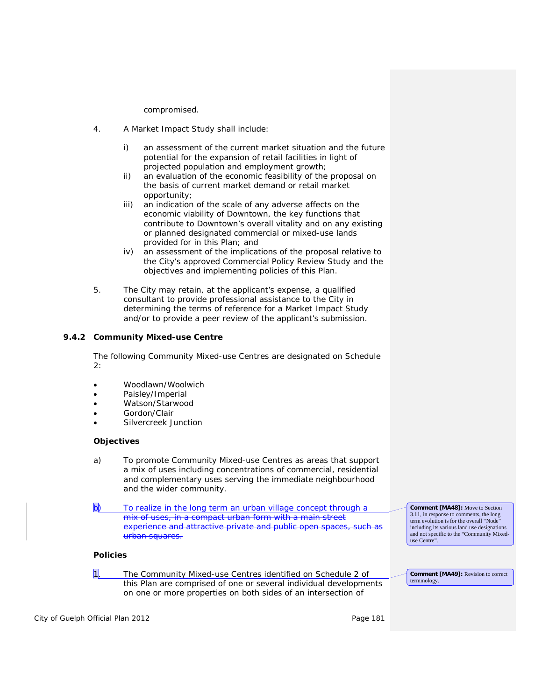compromised.

- 4. A Market Impact Study shall include:
	- i) an assessment of the current market situation and the future potential for the expansion of retail facilities in light of projected population and employment growth;
	- ii) an evaluation of the economic feasibility of the proposal on the basis of current market demand or retail market opportunity;
	- iii) an indication of the scale of any adverse affects on the economic viability of Downtown, the key functions that contribute to Downtown's overall vitality and on any existing or planned designated commercial or mixed-use lands provided for in this Plan; and
	- iv) an assessment of the implications of the proposal relative to the City's approved Commercial Policy Review Study and the objectives and implementing policies of this Plan.
- 5. The City may retain, at the applicant's expense, a qualified consultant to provide professional assistance to the City in determining the terms of reference for a Market Impact Study and/or to provide a peer review of the applicant's submission.

## **9.4.2 Community Mixed-use Centre**

The following Community Mixed-use Centres are designated on Schedule 2:

- Woodlawn/Woolwich
- Paisley/Imperial
- Watson/Starwood
- Gordon/Clair
- Silvercreek Junction

## **Objectives**

- a) To promote Community Mixed-use Centres as areas that support a mix of uses including concentrations of commercial, residential and complementary uses serving the immediate neighbourhood and the wider community.
- To realize in the long term an urban village concept through a mix of uses, in a *compact urban form* with a main street experience and attractive private and public open spaces, such as urban squares.

#### **Policies**

1. The Community Mixed-use Centres identified on Schedule 2 of this Plan are comprised of one or several individual developments on one or more properties on both sides of an intersection of

including its various land use designations and not specific to the "Community Mixeduse Centre".

**Comment [MA48]:** Move to Section 3.11, in response to comments, the long term evolution is for the overall "Node"

**Comment [MA49]:** Revision to correct terminology.

City of Guelph Official Plan 2012 **Page 181** Page 181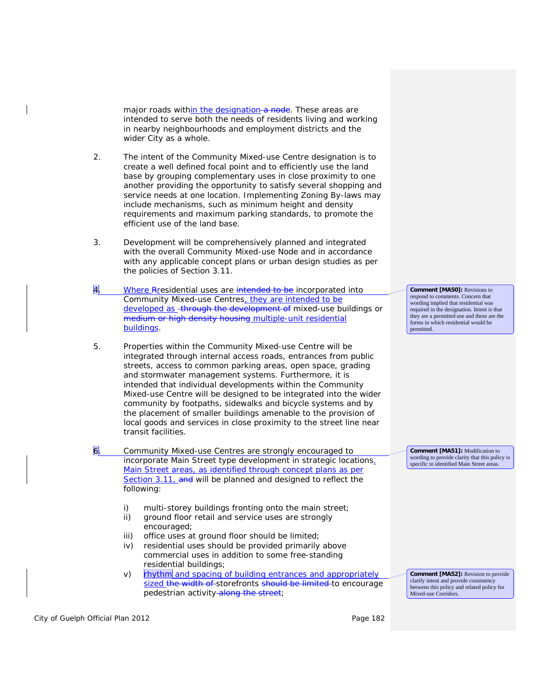major roads within the designation a node. These areas are intended to serve both the needs of residents living and working in nearby neighbourhoods and employment districts and the wider City as a whole.

- 2. The intent of the Community Mixed-use Centre designation is to create a well defined focal point and to efficiently use the land base by grouping complementary uses in close proximity to one another providing the opportunity to satisfy several shopping and service needs at one location. Implementing *Zoning By-laws* may include mechanisms, such as minimum height and density requirements and maximum parking standards, to promote the efficient use of the land base.
- 3. *Development* will be comprehensively planned and integrated with the overall Community Mixed-use Node and in accordance with any applicable concept plans or urban design studies as per the policies of Section 3.11.
- 4. Where Residential uses are intended to be incorporated into Community Mixed-use Centres, they are intended to be developed as - through the development of mixed-use buildings or medium or high density housing multiple-unit residential buildings.
- 5. Properties within the Community Mixed-use Centre will be integrated through internal access roads, entrances from public streets, access to common parking areas, open space, grading and stormwater management systems. Furthermore, it is intended that individual developments within the Community Mixed-use Centre will be designed to be integrated into the wider community by footpaths, sidewalks and bicycle systems and by the placement of smaller buildings amenable to the provision of local goods and services in close proximity to the street line near transit facilities.
- 6. Community Mixed-use Centres are strongly encouraged to incorporate Main Street type development in strategic locations. Main Street areas, as identified through concept plans as per Section 3.11, and will be planned and designed to reflect the following:
	- i) multi-storey buildings fronting onto the main street;
	- ii) ground floor retail and service uses are strongly encouraged;
	- iii) office uses at ground floor should be limited;
	- iv) residential uses should be provided primarily above commercial uses in addition to some free-standing residential buildings;
	- v) rhythm and spacing of building entrances and appropriately sized the width of storefronts should be limited to encourage pedestrian activity along the street;

**Comment [MA50]:** Revisions to respond to comments. Concern that wording implied that residential was required in the designation. Intent is that they are a permitted use and these are the forms in which residential would be permitted.

**Comment [MA51]:** Modification to wording to provide clarity that this policy is specific to identified Main Street areas.

**Comment [MA52]:** Revision to provide clarify intent and provide consistency between this policy and related policy for Mixed-use Corridors.

City of Guelph Official Plan 2012 **Page 182 Page 182**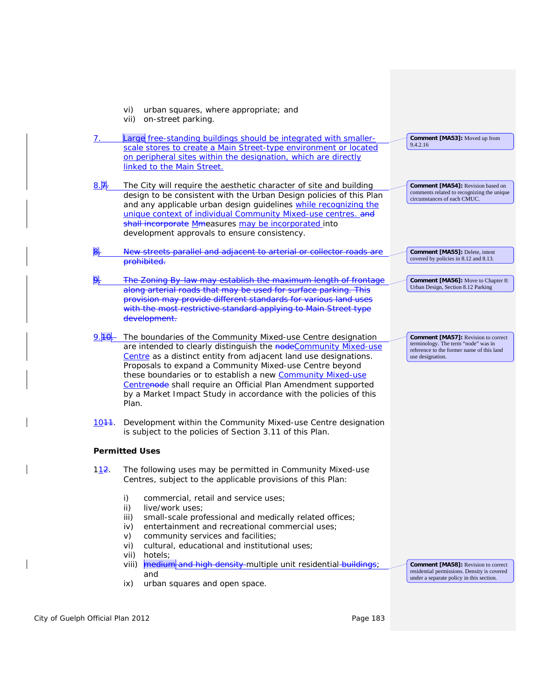|                    | vi)<br>urban squares, where appropriate; and<br>on-street parking.<br>vii)                                                                                                                                                                                                                                                                                                                                                                                                 |                                                                                                                                                    |
|--------------------|----------------------------------------------------------------------------------------------------------------------------------------------------------------------------------------------------------------------------------------------------------------------------------------------------------------------------------------------------------------------------------------------------------------------------------------------------------------------------|----------------------------------------------------------------------------------------------------------------------------------------------------|
| 7.                 | Large free-standing buildings should be integrated with smaller-<br>scale stores to create a Main Street-type environment or located                                                                                                                                                                                                                                                                                                                                       | <b>Comment [MA53]:</b> Moved up from<br>9.4.2.16                                                                                                   |
|                    | on peripheral sites within the designation, which are directly<br>linked to the Main Street.                                                                                                                                                                                                                                                                                                                                                                               |                                                                                                                                                    |
| $8.\overline{7}$   | The City will require the aesthetic character of site and building<br>design to be consistent with the Urban Design policies of this Plan<br>and any applicable urban design guidelines while recognizing the<br>unique context of individual Community Mixed-use centres. and<br>shall incorporate Mmeasures may be incorporated into<br>development approvals to ensure consistency.                                                                                     | Comment [MA54]: Revision based on<br>comments related to recognizing the unique<br>circumstances of each CMUC.                                     |
| Β.                 | New streets parallel and adjacent to arterial or collector roads are<br>prohibited.                                                                                                                                                                                                                                                                                                                                                                                        | Comment [MA55]: Delete, intent<br>covered by policies in 8.12 and 8.13.                                                                            |
|                    | The Zoning By-law may establish the maximum length of frontage<br>along arterial roads that may be used for surface parking. This<br>provision may provide different standards for various land uses<br>with the most restrictive standard applying to Main Street type<br>development.                                                                                                                                                                                    | <b>Comment [MA56]:</b> Move to Chapter 8:<br>Urban Design, Section 8.12 Parking                                                                    |
|                    | The boundaries of the Community Mixed-use Centre designation<br>are intended to clearly distinguish the nodeCommunity Mixed-use<br>Centre as a distinct entity from adjacent land use designations.<br>Proposals to expand a Community Mixed-use Centre beyond<br>these boundaries or to establish a new Community Mixed-use<br>Centrenode shall require an Official Plan Amendment supported<br>by a Market Impact Study in accordance with the policies of this<br>Plan. | <b>Comment [MA57]:</b> Revision to correct<br>terminology. The term "node" was in<br>reference to the former name of this land<br>use designation. |
| 10 <del>11</del> . | Development within the Community Mixed-use Centre designation<br>is subject to the policies of Section 3.11 of this Plan.                                                                                                                                                                                                                                                                                                                                                  |                                                                                                                                                    |
|                    | <b>Permitted Uses</b>                                                                                                                                                                                                                                                                                                                                                                                                                                                      |                                                                                                                                                    |
| 112.               | The following uses may be permitted in Community Mixed-use<br>Centres, subject to the applicable provisions of this Plan:                                                                                                                                                                                                                                                                                                                                                  |                                                                                                                                                    |
|                    | i)<br>commercial, retail and service uses;<br>ii)<br>live/work uses;<br>small-scale professional and medically related offices;<br>iii)<br>entertainment and recreational commercial uses;<br>iv)<br>community services and facilities;<br>V)<br>cultural, educational and institutional uses;<br>vi)<br>hotels;<br>vii)<br>medium and high density multiple unit residential buildings;<br>viii)<br>and<br>ix)<br>urban squares and open space.                           | <b>Comment [MA58]: Revision to correct</b><br>residential permissions. Density is covered<br>under a separate policy in this section.              |

City of Guelph Official Plan 2012 City of Guelph Official Plan 2012

 $\overline{\phantom{a}}$ 

 $\overline{\phantom{a}}$ 

 $\overline{\phantom{a}}$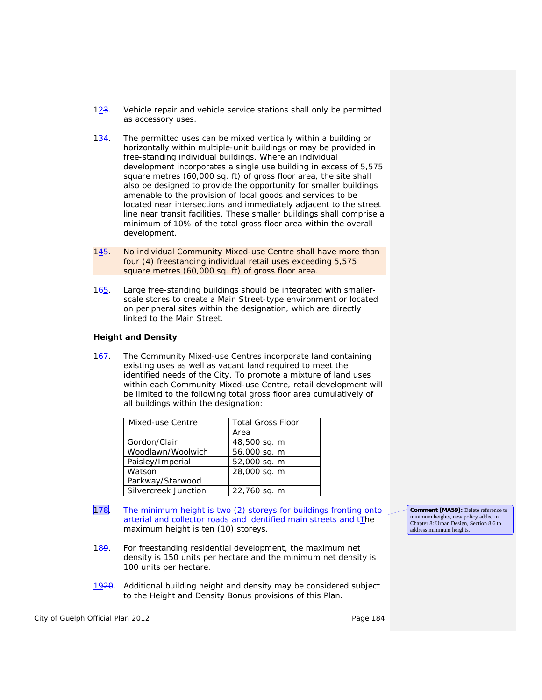- $123$ . Vehicle repair and vehicle service stations shall only be permitted as accessory uses.
- $1\frac{34}{1}$ . The permitted uses can be mixed vertically within a building or horizontally within multiple-unit buildings or may be provided in free-standing individual buildings. Where an individual development incorporates a single use building in excess of 5,575 square metres (60,000 sq. ft) of *gross floor area*, the site shall also be designed to provide the opportunity for smaller buildings amenable to the provision of local goods and services to be located near intersections and immediately adjacent to the street line near transit facilities. These smaller buildings shall comprise a minimum of 10% of the total *gross floor area* within the overall development.
- 145. No individual Community Mixed-use Centre shall have more than four (4) freestanding individual retail uses exceeding 5,575 square metres (60,000 sq. ft) of *gross floor area*.
- 165. Large free-standing buildings should be integrated with smallerscale stores to create a Main Street-type environment or located on peripheral sites within the designation, which are directly linked to the Main Street.

#### **Height and Density**

167. The Community Mixed-use Centres incorporate land containing existing uses as well as vacant land required to meet the identified needs of the City. To promote a mixture of land uses within each Community Mixed-use Centre, retail development will be limited to the following total *gross floor area* cumulatively of all buildings within the designation:

| Mixed-use Centre     | <b>Total Gross Floor</b> |  |  |  |
|----------------------|--------------------------|--|--|--|
|                      | Area                     |  |  |  |
| Gordon/Clair         | 48,500 sq. m             |  |  |  |
| Woodlawn/Woolwich    | 56,000 sq. m             |  |  |  |
| Paisley/Imperial     | 52,000 sq. m             |  |  |  |
| Watson               | 28,000 sq. m             |  |  |  |
| Parkway/Starwood     |                          |  |  |  |
| Silvercreek Junction | 22,760 sq. m             |  |  |  |

- 178. The minimum height is two (2) storeys for buildings fronting onto arterial and collector roads and identified main streets and tThe maximum height is ten (10) storeys.
- 189. For freestanding residential *development*, the maximum *net density* is 150 units per hectare and the minimum *net density* is 100 units per hectare.
- 1920. Additional building height and density may be considered subject to the Height and Density Bonus provisions of this Plan.

City of Guelph Official Plan 2012 **Page 184** Page 184

**Comment [MA59]:** Delete reference to minimum heights, new policy added in Chapter 8: Urban Design, Section 8.6 to address minimum heights.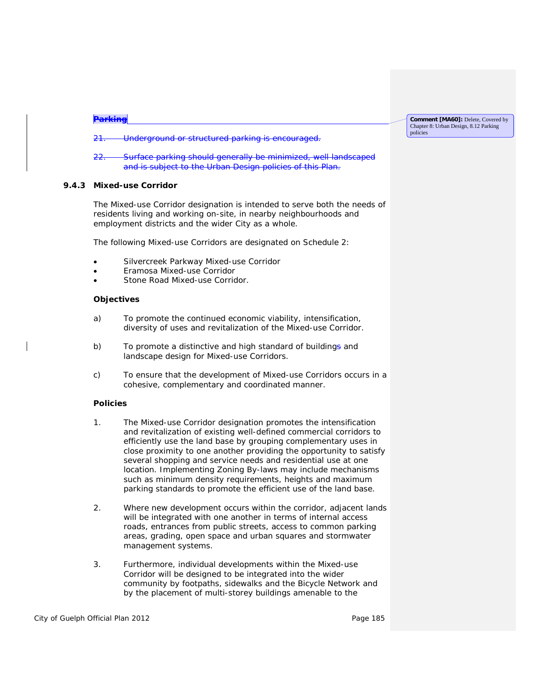| $D = L$<br><u>rannie</u>                                                                                                                                                                                                          | <b>Comment [MA60]:</b> Delete, Covered by<br>Chapter 8: Urban Design, 8.12 Parking |  |
|-----------------------------------------------------------------------------------------------------------------------------------------------------------------------------------------------------------------------------------|------------------------------------------------------------------------------------|--|
| Underground or structured perking is encouraged<br>21<br><del>onderground or structured parking is encouraged.</del><br>2T                                                                                                        | policies                                                                           |  |
| Curface parking should generally be minimized well landscaped<br>ົດດ<br>$\overline{z}$ .<br><u>Juriace parking should generally be infifficially well-landscaped</u><br>and is subject to the Urban Design policies of this Plan. |                                                                                    |  |

### **9.4.3 Mixed-use Corridor**

The Mixed-use Corridor designation is intended to serve both the needs of residents living and working on-site, in nearby neighbourhoods and employment districts and the wider City as a whole.

The following Mixed-use Corridors are designated on Schedule 2:

- Silvercreek Parkway Mixed-use Corridor
- Eramosa Mixed-use Corridor
- Stone Road Mixed-use Corridor.

### **Objectives**

- a) To promote the continued economic viability, intensification, diversity of uses and revitalization of the Mixed-use Corridor.
- b) To promote a distinctive and high standard of buildings and landscape design for Mixed-use Corridors.
- c) To ensure that the development of Mixed-use Corridors occurs in a cohesive, complementary and coordinated manner.

## **Policies**

- 1. The Mixed-use Corridor designation promotes the *intensification* and revitalization of existing well-defined commercial corridors to efficiently use the land base by grouping complementary uses in close proximity to one another providing the opportunity to satisfy several shopping and service needs and residential use at one location. Implementing *Zoning By-laws* may include mechanisms such as minimum density requirements, heights and maximum parking standards to promote the efficient use of the land base.
- 2. Where new *development* occurs within the corridor, adjacent lands will be integrated with one another in terms of internal access roads, entrances from public streets, access to common parking areas, grading, open space and urban squares and stormwater management systems.
- 3. Furthermore, individual *developments* within the Mixed-use Corridor will be designed to be integrated into the wider community by footpaths, sidewalks and the Bicycle Network and by the placement of multi-storey buildings amenable to the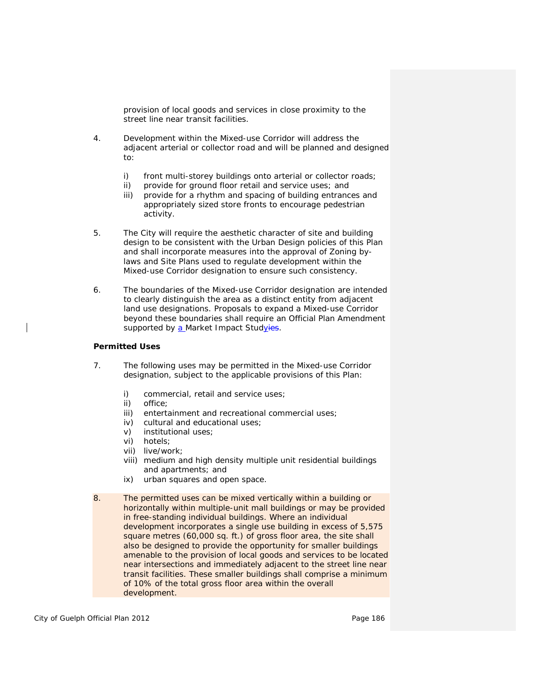provision of local goods and services in close proximity to the street line near transit facilities.

- 4. *Development* within the Mixed-use Corridor will address the adjacent arterial or collector road and will be planned and designed to:
	- i) front multi-storey buildings onto arterial or collector roads;
	- ii) provide for ground floor retail and service uses; and
	- iii) provide for a rhythm and spacing of building entrances and appropriately sized store fronts to encourage pedestrian activity.
- 5. The City will require the aesthetic character of site and building design to be consistent with the Urban Design policies of this Plan and shall incorporate measures into the approval of *Zoning bylaws* and Site Plans used to regulate development within the Mixed-use Corridor designation to ensure such consistency.
- 6. The boundaries of the Mixed-use Corridor designation are intended to clearly distinguish the area as a distinct entity from adjacent land use designations. Proposals to expand a Mixed-use Corridor beyond these boundaries shall require an Official Plan Amendment supported by a Market Impact Studyies.

#### **Permitted Uses**

- 7. The following uses may be permitted in the Mixed-use Corridor designation, subject to the applicable provisions of this Plan:
	- i) commercial, retail and service uses;
	- ii) office;
	- iii) entertainment and recreational commercial uses;
	- iv) cultural and educational uses;
	- v) institutional uses;
	- vi) hotels;
	- vii) *live/work*;
	- viii) medium and high density multiple unit residential buildings and apartments; and
	- ix) urban squares and open space.
- 8. The permitted uses can be mixed vertically within a building or horizontally within multiple-unit mall buildings or may be provided in free-standing individual buildings. Where an individual development incorporates a single use building in excess of 5,575 square metres (60,000 sq. ft.) of *gross floor area*, the site shall also be designed to provide the opportunity for smaller buildings amenable to the provision of local goods and services to be located near intersections and immediately adjacent to the street line near transit facilities. These smaller buildings shall comprise a minimum of 10% of the total *gross floor area* within the overall development.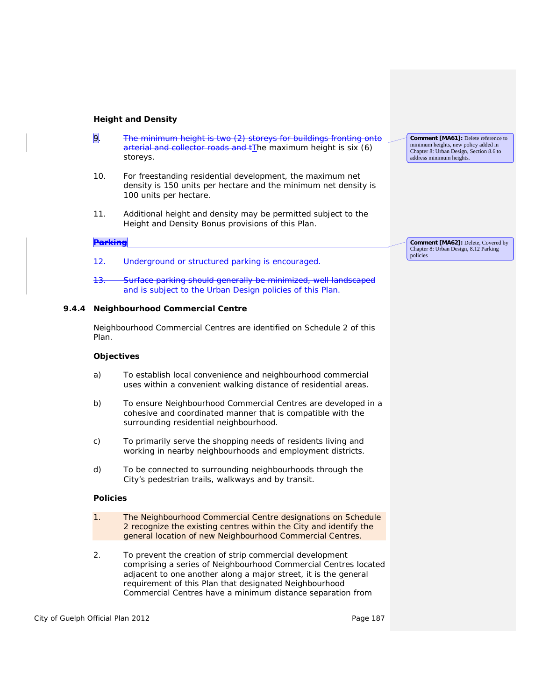# **Height and Density**

|       | 9.                 | The minimum height is two (2) storeys for buildings fronting onto<br>arterial and collector roads and tThe maximum height is six (6)<br>storeys.                                                                                                        | Comment [MA61]: Delete reference to<br>minimum heights, new policy added in<br>Chapter 8: Urban Design, Section 8.6 to<br>address minimum heights. |
|-------|--------------------|---------------------------------------------------------------------------------------------------------------------------------------------------------------------------------------------------------------------------------------------------------|----------------------------------------------------------------------------------------------------------------------------------------------------|
|       | 10.                | For freestanding residential <i>development</i> , the maximum <i>net</i><br><i>density</i> is 150 units per hectare and the minimum net density is<br>100 units per hectare.                                                                            |                                                                                                                                                    |
|       | 11.                | Additional height and density may be permitted subject to the<br>Height and Density Bonus provisions of this Plan.                                                                                                                                      |                                                                                                                                                    |
|       | <del>Parking</del> |                                                                                                                                                                                                                                                         | Comment [MA62]: Delete, Covered by                                                                                                                 |
|       | <del>12.</del>     | Underground or structured parking is encouraged.                                                                                                                                                                                                        | Chapter 8: Urban Design, 8.12 Parking<br>policies                                                                                                  |
|       | <del>13.</del>     | <u>Surface parking should generally be minimized, well landscaped</u><br>and is subject to the Urban Design policies of this Plan.                                                                                                                      |                                                                                                                                                    |
| 9.4.4 |                    | <b>Neighbourhood Commercial Centre</b>                                                                                                                                                                                                                  |                                                                                                                                                    |
|       | Plan.              | Neighbourhood Commercial Centres are identified on Schedule 2 of this                                                                                                                                                                                   |                                                                                                                                                    |
|       | <b>Objectives</b>  |                                                                                                                                                                                                                                                         |                                                                                                                                                    |
|       | a)                 | To establish local convenience and neighbourhood commercial<br>uses within a convenient walking distance of residential areas.                                                                                                                          |                                                                                                                                                    |
|       | b)                 | To ensure Neighbourhood Commercial Centres are developed in a<br>cohesive and coordinated manner that is <i>compatible</i> with the<br>surrounding residential neighbourhood.                                                                           |                                                                                                                                                    |
|       | c)                 | To primarily serve the shopping needs of residents living and<br>working in nearby neighbourhoods and employment districts.                                                                                                                             |                                                                                                                                                    |
|       | d)                 | To be connected to surrounding neighbourhoods through the<br>City's pedestrian trails, walkways and by transit.                                                                                                                                         |                                                                                                                                                    |
|       | <b>Policies</b>    |                                                                                                                                                                                                                                                         |                                                                                                                                                    |
|       | 1 <sub>1</sub>     | The Neighbourhood Commercial Centre designations on Schedule<br>2 recognize the existing centres within the City and identify the<br>general location of new Neighbourhood Commercial Centres.                                                          |                                                                                                                                                    |
|       | 2.                 | To prevent the creation of strip commercial development<br>comprising a series of Neighbourhood Commercial Centres located<br>adjacent to one another along a major street, it is the general<br>requirement of this Plan that designated Neighbourhood |                                                                                                                                                    |

Commercial Centres have a minimum distance separation from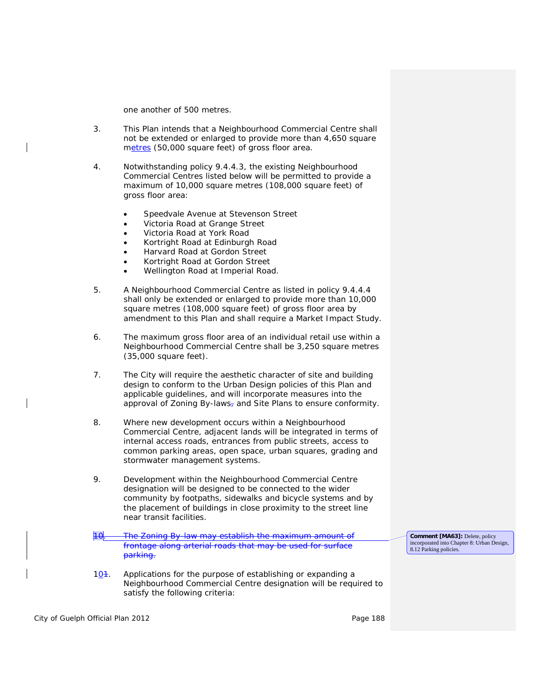one another of 500 metres.

- 3. This Plan intends that a Neighbourhood Commercial Centre shall not be extended or enlarged to provide more than 4,650 square metres (50,000 square feet) of *gross floor area*.
- 4. Notwithstanding policy 9.4.4.3, the existing Neighbourhood Commercial Centres listed below will be permitted to provide a maximum of 10,000 square metres (108,000 square feet) of *gross floor area:*
	- Speedvale Avenue at Stevenson Street
	- Victoria Road at Grange Street
	- Victoria Road at York Road
	- Kortright Road at Edinburgh Road
	- Harvard Road at Gordon Street
	- Kortright Road at Gordon Street
	- Wellington Road at Imperial Road.
- 5. A Neighbourhood Commercial Centre as listed in policy 9.4.4.4 shall only be extended or enlarged to provide more than 10,000 square metres (108,000 square feet) of *gross floor area* by amendment to this Plan and shall require a Market Impact Study.
- 6. The maximum *gross floor area* of an individual retail use within a Neighbourhood Commercial Centre shall be 3,250 square metres (35,000 square feet).
- 7. The City will require the aesthetic character of site and building design to conform to the Urban Design policies of this Plan and applicable guidelines, and will incorporate measures into the approval of *Zoning By-laws,* and *Site Plans* to ensure conformity.
- 8. Where new *development* occurs within a Neighbourhood Commercial Centre, adjacent lands will be integrated in terms of internal access roads, entrances from public streets, access to common parking areas, open space, urban squares, grading and stormwater management systems.
- 9. *Development* within the Neighbourhood Commercial Centre designation will be designed to be connected to the wider community by footpaths, sidewalks and bicycle systems and by the placement of buildings in close proximity to the street line near transit facilities.
- 10. The *Zoning By-law* may establish the maximum amount of frontage along arterial roads that may be used for surface parking.

**Comment [MA63]:** Delete, policy incorporated into Chapter 8: Urban Design, 8.12 Parking policies.

 $10<sup>4</sup>$ . Applications for the purpose of establishing or expanding a Neighbourhood Commercial Centre designation will be required to satisfy the following criteria:

City of Guelph Official Plan 2012 **Page 188**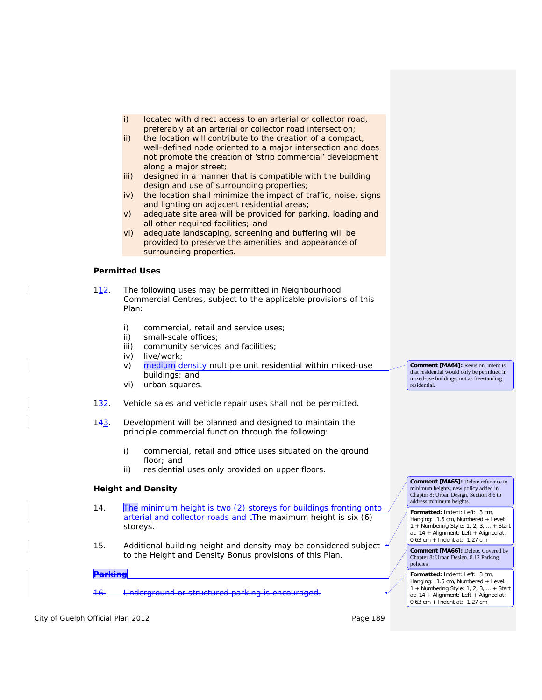- i) located with direct access to an arterial or collector road, preferably at an arterial or collector road intersection;
- ii) the location will contribute to the creation of a compact, well-defined node oriented to a major intersection and does not promote the creation of 'strip commercial' development along a major street;
- iii) designed in a manner that is *compatible* with the building design and use of surrounding properties;
- iv) the location shall minimize the impact of traffic, noise, signs and lighting on adjacent residential areas;
- v) adequate site area will be provided for parking, loading and all other required facilities; and
- vi) adequate landscaping, screening and buffering will be provided to preserve the amenities and appearance of surrounding properties.

## **Permitted Uses**

112. The following uses may be permitted in Neighbourhood Commercial Centres, subject to the applicable provisions of this Plan:

- i) commercial, retail and service uses;
- ii) small-scale offices;
- iii) community services and facilities;
- iv) *live/work*;
- v) medium density multiple unit residential within mixed-use buildings; and
- vi) urban squares.
- 132. Vehicle sales and vehicle repair uses shall not be permitted.
- 143. *Development* will be planned and designed to maintain the principle commercial function through the following:
	- i) commercial, retail and office uses situated on the ground floor; and
	- ii) residential uses only provided on upper floors.

#### **Height and Density**

- 14. **The minimum height is two (2) storeys for buildings fronting onto** arterial and collector roads and tThe maximum height is six (6) storeys.
- 15. Additional building height and density may be considered subject to the Height and Density Bonus provisions of this Plan.

#### **Parking**

16. Underground or structured parking is encouraged.

City of Guelph Official Plan 2012 **Page 189** Page 189

**Comment [MA64]:** Revision, intent is that residential would only be permitted in mixed-use buildings, not as freestanding residential.

**Comment [MA65]:** Delete reference to minimum heights, new policy added in Chapter 8: Urban Design, Section 8.6 to address minimum heights.

**Formatted:** Indent: Left: 3 cm, Hanging: 1.5 cm, Numbered + Level: 1 + Numbering Style: 1, 2, 3, … + Start at: 14 + Alignment: Left + Aligned at: 0.63 cm + Indent at: 1.27 cm

**Comment [MA66]:** Delete, Covered by Chapter 8: Urban Design, 8.12 Parking policies

**Formatted:** Indent: Left: 3 cm, Hanging: 1.5 cm, Numbered + Level: 1 + Numbering Style: 1, 2, 3, … + Start at: 14 + Alignment: Left + Aligned at: 0.63 cm + Indent at: 1.27 cm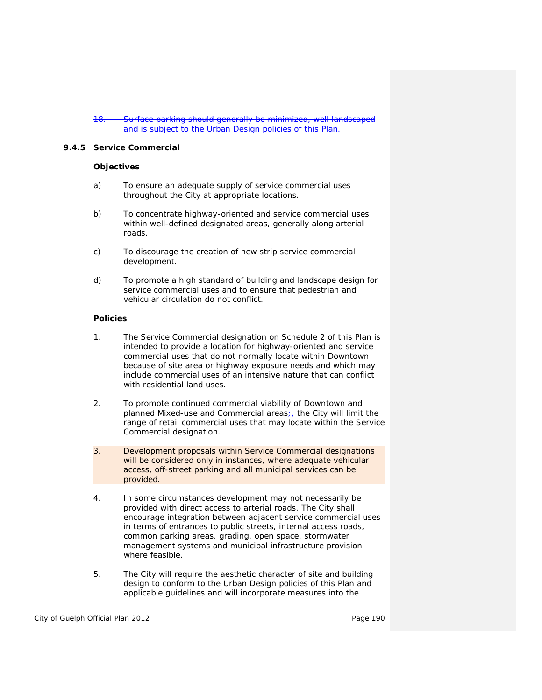Surface parking should generally be minimized, well landscaped and is subject to the Urban Design policies of this Plan.

#### **9.4.5 Service Commercial**

#### **Objectives**

- a) To ensure an adequate supply of *service commercial* uses throughout the City at appropriate locations.
- b) To concentrate highway-oriented and *service commercial* uses within well-defined designated areas, generally along arterial roads.
- c) To discourage the creation of new strip *service commercial development*.
- d) To promote a high standard of building and landscape design for *service commercial* uses and to ensure that pedestrian and vehicular circulation do not conflict.

### **Policies**

- 1. The Service Commercial designation on Schedule 2 of this Plan is intended to provide a location for highway-oriented and *service commercial* uses that do not normally locate within Downtown because of site area or highway exposure needs and which may include commercial uses of an intensive nature that can conflict with residential land uses.
- 2. To promote continued commercial viability of Downtown and planned Mixed-use and Commercial areas $\frac{1}{27}$  the City will limit the range of *retail commercial* uses that may locate within the Service Commercial designation.
- 3. *Development* proposals within Service Commercial designations will be considered only in instances, where adequate vehicular access, off-street parking and all municipal services can be provided.
- 4. In some circumstances *development* may not necessarily be provided with direct access to arterial roads. The City shall encourage integration between adjacent *service commercial* uses in terms of entrances to public streets, internal access roads, common parking areas, grading, open space, stormwater management systems and municipal *infrastructure* provision where feasible.
- 5. The City will require the aesthetic character of site and building design to conform to the Urban Design policies of this Plan and applicable guidelines and will incorporate measures into the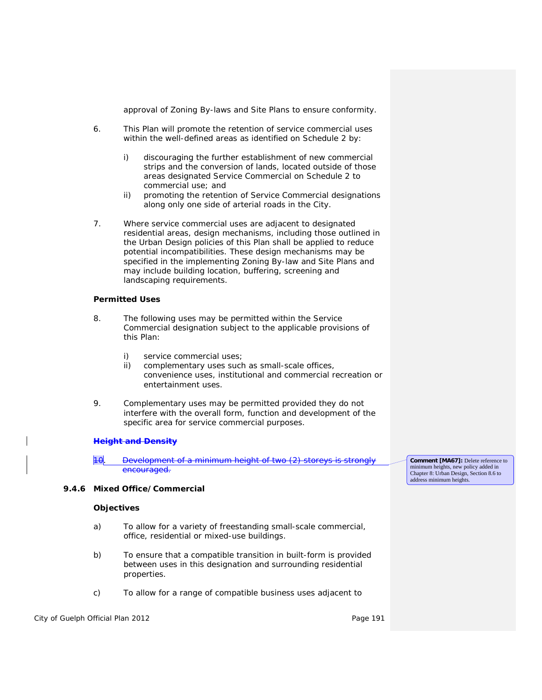approval of *Zoning By-laws* and Site Plans to ensure conformity.

- 6. This Plan will promote the retention of *service commercial* uses within the well-defined areas as identified on Schedule 2 by:
	- i) discouraging the further establishment of new commercial strips and the conversion of lands, located outside of those areas designated Service Commercial on Schedule 2 to commercial use; and
	- ii) promoting the retention of Service Commercial designations along only one side of arterial roads in the City.
- 7. Where *service commercial* uses are adjacent to designated residential areas, design mechanisms, including those outlined in the Urban Design policies of this Plan shall be applied to reduce potential incompatibilities. These design mechanisms may be specified in the implementing *Zoning By-law* and Site Plans and may include building location, buffering, screening and landscaping requirements.

#### **Permitted Uses**

- 8. The following uses may be permitted within the Service Commercial designation subject to the applicable provisions of this Plan:
	- i) *service commercial* uses;
	- ii) complementary uses such as small-scale offices, convenience uses, institutional and commercial recreation or entertainment uses.
- 9. Complementary uses may be permitted provided they do not interfere with the overall form, function and development of the specific area for *service commercial* purposes.

#### **Height and Density**

10. Development of a minimum height of two (2) storeys is strongly encouraged.

#### **9.4.6 Mixed Office/Commercial**

#### **Objectives**

- a) To allow for a variety of freestanding small-scale commercial, office, residential or mixed-use buildings.
- b) To ensure that a *compatible* transition in built-form is provided between uses in this designation and surrounding residential properties.
- c) To allow for a range of *compatible* business uses adjacent to

City of Guelph Official Plan 2012 **Page 191** Page 191

**Comment [MA67]:** Delete reference to minimum heights, new policy added in Chapter 8: Urban Design, Section 8.6 to address minimum heights.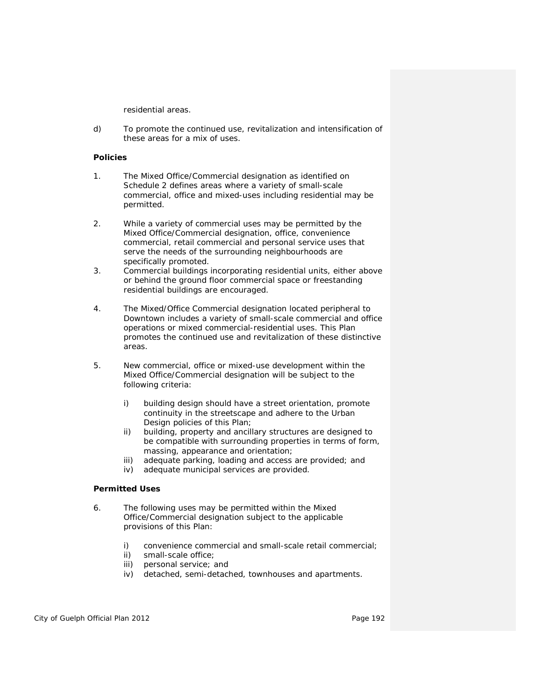residential areas.

d) To promote the continued use, revitalization and *intensification* of these areas for a mix of uses.

#### **Policies**

- 1. The Mixed Office/Commercial designation as identified on Schedule 2 defines areas where a variety of small-scale commercial, office and mixed-uses including residential may be permitted.
- 2. While a variety of commercial uses may be permitted by the Mixed Office/Commercial designation, office, *convenience commercial*, *retail commercial* and personal service uses that serve the needs of the surrounding neighbourhoods are specifically promoted.
- 3. Commercial buildings incorporating *residential units*, either above or behind the ground floor commercial space or freestanding residential buildings are encouraged.
- 4. The Mixed/Office Commercial designation located peripheral to Downtown includes a variety of small-scale commercial and office operations or mixed commercial-residential uses. This Plan promotes the continued use and revitalization of these distinctive areas.
- 5. New commercial, office or mixed-use *development* within the Mixed Office/Commercial designation will be subject to the following criteria:
	- i) building design should have a street orientation, promote continuity in the streetscape and adhere to the Urban Design policies of this Plan;
	- ii) building, property and ancillary structures are designed to be *compatible* with surrounding properties in terms of form, massing, appearance and orientation;
	- iii) adequate parking, loading and access are provided; and
	- iv) adequate municipal services are provided.

## **Permitted Uses**

- 6. The following uses may be permitted within the Mixed Office/Commercial designation subject to the applicable provisions of this Plan:
	- i) *convenience commercial* and small-scale *retail commercial*;
	- ii) small-scale office;
	- iii) personal service; and
	- iv) detached, semi-detached, townhouses and apartments.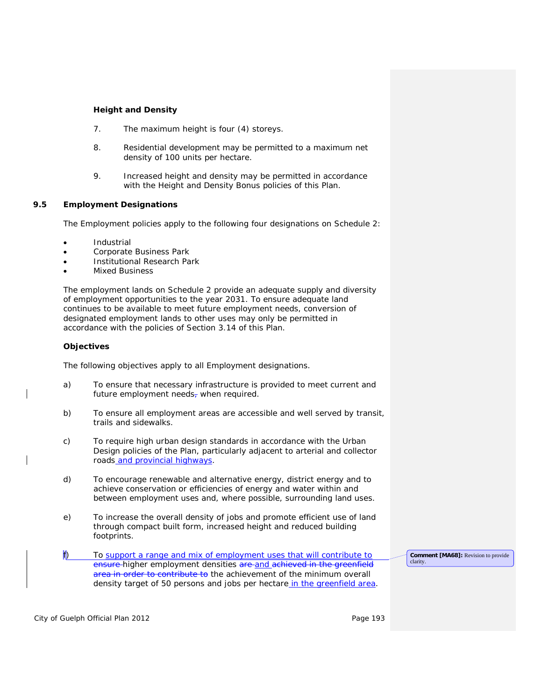### **Height and Density**

- 7. The maximum height is four (4) storeys.
- 8. Residential *development* may be permitted to a maximum *net density* of 100 units per hectare.
- 9. Increased height and density may be permitted in accordance with the Height and Density Bonus policies of this Plan.

## **9.5 Employment Designations**

The Employment policies apply to the following four designations on Schedule 2:

- **Industrial**
- Corporate Business Park
- Institutional Research Park
- **Mixed Business**

The employment lands on Schedule 2 provide an adequate supply and diversity of employment opportunities to the year 2031. To ensure adequate land continues to be available to meet future employment needs, *conversion* of designated employment lands to other uses may only be permitted in accordance with the policies of Section 3.14 of this Plan.

#### **Objectives**

The following objectives apply to all Employment designations.

- a) To ensure that necessary *infrastructure* is provided to meet current and future employment needs- when required.
- b) To ensure all *employment areas* are accessible and well served by transit, trails and sidewalks.
- c) To require high urban design standards in accordance with the Urban Design policies of the Plan, particularly adjacent to arterial and collector roads and provincial highways.
- d) To encourage renewable and alternative energy, *district energy* and to achieve conservation or efficiencies of energy and water within and between employment uses and, where possible, surrounding land uses.
- e) To increase the overall density of jobs and promote efficient use of land through compact built form, increased height and reduced building footprints.
- f) To support a range and mix of employment uses that will contribute to ensure higher employment densities are and achieved in the *greenfield area* in order to contribute to the achievement of the minimum overall *density target* of 50 persons and jobs per hectare in the *greenfield area*.

**Comment [MA68]:** Revision to provide clarity.

City of Guelph Official Plan 2012 **Page 193** Page 193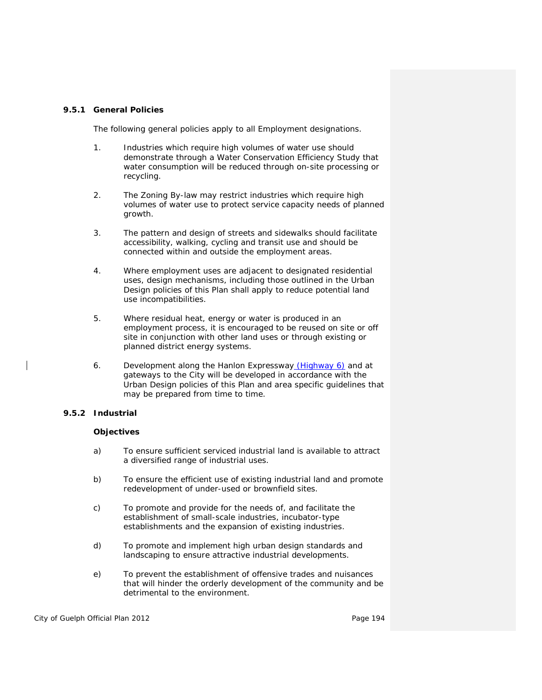#### **9.5.1 General Policies**

The following general policies apply to all Employment designations.

- 1. Industries which require high volumes of water use should demonstrate through a Water Conservation Efficiency Study that water consumption will be reduced through on-site processing or recycling.
- 2. The *Zoning By-law* may restrict industries which require high volumes of water use to protect service capacity needs of planned growth.
- 3. The pattern and design of streets and sidewalks should facilitate accessibility, walking, cycling and transit use and should be connected within and outside the *employment areas*.
- 4. Where employment uses are adjacent to designated residential uses, design mechanisms, including those outlined in the Urban Design policies of this Plan shall apply to reduce potential land use incompatibilities.
- 5. Where residual heat, energy or water is produced in an employment process, it is encouraged to be reused on site or off site in conjunction with other land uses or through existing or planned *district energy* systems.
- 6. *Development* along the Hanlon Expressway (Highway 6) and at gateways to the City will be developed in accordance with the Urban Design policies of this Plan and area specific guidelines that may be prepared from time to time.

## **9.5.2 Industrial**

#### **Objectives**

- a) To ensure sufficient serviced industrial land is available to attract a diversified range of industrial uses.
- b) To ensure the efficient use of existing industrial land and promote *redevelopment* of under-used or *brownfield sites*.
- c) To promote and provide for the needs of, and facilitate the establishment of small-scale industries, incubator-type establishments and the expansion of existing industries.
- d) To promote and implement high urban design standards and landscaping to ensure attractive industrial *developments*.
- e) To prevent the establishment of offensive trades and nuisances that will hinder the orderly development of the community and be detrimental to the environment.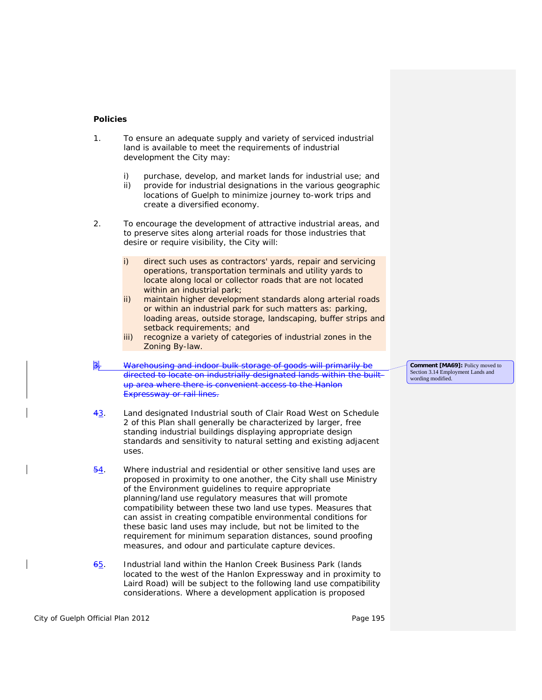#### **Policies**

- 1. To ensure an adequate supply and variety of serviced industrial land is available to meet the requirements of industrial development the City may:
	- i) purchase, develop, and market lands for industrial use; and
	- ii) provide for industrial designations in the various geographic locations of Guelph to minimize journey to-work trips and create a diversified economy.
- 2. To encourage the *development* of attractive industrial areas, and to preserve sites along arterial roads for those industries that desire or require visibility, the City will:
	- i) direct such uses as contractors' yards, repair and servicing operations, transportation terminals and utility yards to locate along local or collector roads that are not located within an *industrial park*;
	- ii) maintain higher development standards along arterial roads or within an *industrial park* for such matters as: parking, loading areas, outside storage, landscaping, buffer strips and setback requirements; and
	- iii) recognize a variety of categories of industrial zones in the *Zoning By-law.*
- $\frac{1}{3}$ . Warehousing and indoor bulk storage of goods will primarily directed to locate on industrially designated lands within the *builtup area* where there is convenient access to the Hanlon Expressway or rail lines.
- 43. Land designated Industrial south of Clair Road West on Schedule 2 of this Plan shall generally be characterized by larger, free standing industrial buildings displaying appropriate design standards and sensitivity to natural setting and existing adjacent uses.
- 54. Where industrial and residential or other *sensitive land uses* are proposed in proximity to one another, the City shall use Ministry of the Environment guidelines to require appropriate planning/land use regulatory measures that will promote *compatibility* between these two land use types. Measures that can assist in creating *compatible* environmental conditions for these basic land uses may include, but not be limited to the requirement for minimum separation distances, sound proofing measures, and odour and particulate capture devices.
- 65. Industrial land within the Hanlon Creek Business Park (lands located to the west of the Hanlon Expressway and in proximity to Laird Road) will be subject to the following land use *compatibility* considerations. Where a *development* application is proposed

**Comment [MA69]:** Policy moved to Section 3.14 Employment Lands and wording modified.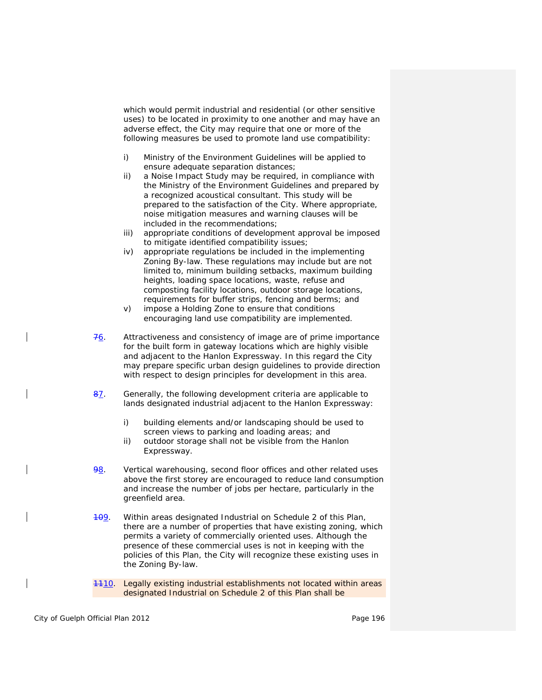which would permit industrial and residential (or other sensitive uses) to be located in proximity to one another and may have an adverse effect, the City may require that one or more of the following measures be used to promote land use *compatibility*:

- i) Ministry of the Environment Guidelines will be applied to ensure adequate separation distances;
- ii) a Noise Impact Study may be required, in compliance with the Ministry of the Environment Guidelines and prepared by a recognized acoustical consultant. This study will be prepared to the satisfaction of the City. Where appropriate, noise mitigation measures and warning clauses will be included in the recommendations;
- iii) appropriate conditions of *development* approval be imposed to mitigate identified *compatibility* issues;
- iv) appropriate regulations be included in the implementing *Zoning By-law*. These regulations may include but are not limited to, minimum building setbacks, maximum building heights, loading space locations, waste, refuse and composting facility locations, outdoor storage locations, requirements for buffer strips, fencing and berms; and
- v) impose a Holding Zone to ensure that conditions encouraging land use *compatibility* are implemented.
- $76.$  Attractiveness and consistency of image are of prime importance for the built form in gateway locations which are highly visible and adjacent to the Hanlon Expressway. In this regard the City may prepare specific urban design guidelines to provide direction with respect to design principles for *development* in this area.
- 87. Generally, the following *development* criteria are applicable to lands designated industrial adjacent to the Hanlon Expressway:
	- i) building elements and/or landscaping should be used to screen views to parking and loading areas; and
	- ii) outdoor storage shall not be visible from the Hanlon Expressway.
- 98. Vertical warehousing, second floor offices and other related uses above the first storey are encouraged to reduce land consumption and increase the number of jobs per hectare, particularly in the *greenfield area*.
- 409. Within areas designated Industrial on Schedule 2 of this Plan, there are a number of properties that have existing zoning, which permits a variety of commercially oriented uses. Although the presence of these commercial uses is not in keeping with the policies of this Plan, the City will recognize these existing uses in the *Zoning By-law*.
- 1110. Legally existing industrial establishments not located within areas designated Industrial on Schedule 2 of this Plan shall be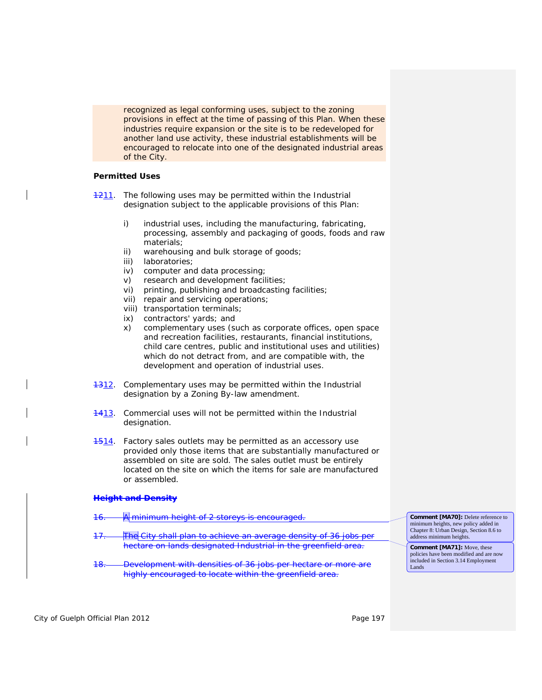recognized as legal conforming uses, subject to the zoning provisions in effect at the time of passing of this Plan. When these industries require expansion or the site is to be redeveloped for another land use activity, these industrial establishments will be encouraged to relocate into one of the designated industrial areas of the City.

## **Permitted Uses**

**1211.** The following uses may be permitted within the Industrial designation subject to the applicable provisions of this Plan:

- i) industrial uses, including the manufacturing, fabricating, processing, assembly and packaging of goods, foods and raw materials;
- ii) warehousing and bulk storage of goods;
- iii) laboratories;
- iv) computer and data processing;
- v) research and development facilities;
- vi) printing, publishing and broadcasting facilities;
- vii) repair and servicing operations;
- viii) transportation terminals;
- ix) contractors' yards; and
- x) complementary uses (such as corporate offices, open space and recreation facilities, restaurants, financial institutions, *child care centres*, public and institutional uses and utilities) which do not detract from, and are *compatible* with, the development and operation of industrial uses.
- 1312. Complementary uses may be permitted within the Industrial designation by a *Zoning By-law* amendment.
- 4413. Commercial uses will not be permitted within the Industrial designation.
- 4514. Factory sales outlets may be permitted as an accessory use provided only those items that are substantially manufactured or assembled on site are sold. The sales outlet must be entirely located on the site on which the items for sale are manufactured or assembled.

#### **Height and Density**

| 11<br><del>to.</del> | minimum height of 2 storeys is encouraged.                                                                                             | <b>Comment [MA70]:</b> Delete reference to                                                                                    |
|----------------------|----------------------------------------------------------------------------------------------------------------------------------------|-------------------------------------------------------------------------------------------------------------------------------|
| 17<br>$+$ .          | The City shall plan to achieve an average density of 36 jobs per                                                                       | minimum heights, new policy added in<br>Chapter 8: Urban Design, Section 8.6 to<br>address minimum heights.                   |
| <u>10</u><br>тσ.     | hectare on lands designated Industrial in the greenfield area.<br><i>Development</i> with densities of 36 jobs per hectare or more are | <b>Comment [MA71]:</b> Move, these<br>policies have been modified and are now<br>included in Section 3.14 Employment<br>Lands |
|                      | highly encouraged to locate within the greenfield area.                                                                                |                                                                                                                               |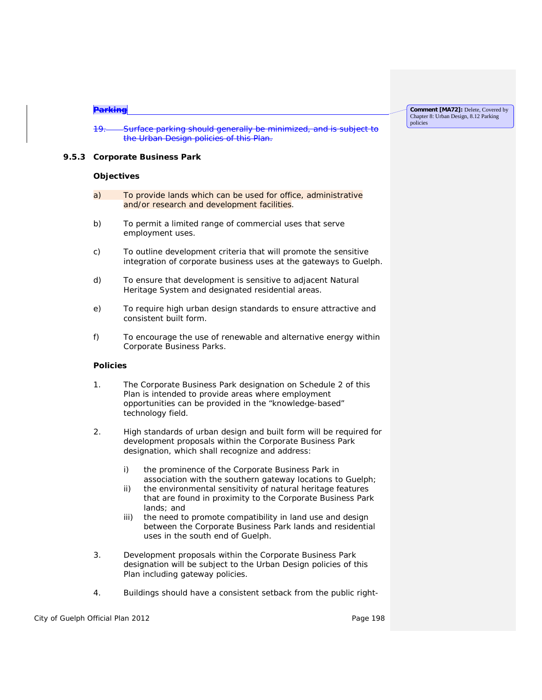#### **Parking**

19. Surface parking should generally be minimized, and is subject to the Urban Design policies of this Plan.

#### **9.5.3 Corporate Business Park**

#### **Objectives**

- a) To provide lands which can be used for office, administrative and/or research and development facilities.
- b) To permit a limited range of commercial uses that serve employment uses.
- c) To outline *development* criteria that will promote the sensitive integration of corporate business uses at the gateways to Guelph.
- d) To ensure that *development* is sensitive to adjacent *Natural Heritage System* and designated residential areas.
- e) To require high urban design standards to ensure attractive and consistent built form.
- f) To encourage the use of renewable and alternative energy within Corporate Business Parks.

#### **Policies**

- 1. The Corporate Business Park designation on Schedule 2 of this Plan is intended to provide areas where employment opportunities can be provided in the "knowledge-based" technology field.
- 2. High standards of urban design and built form will be required for *development* proposals within the Corporate Business Park designation, which shall recognize and address:
	- i) the prominence of the Corporate Business Park in association with the southern gateway locations to Guelph;
	- ii) the environmental sensitivity of *natural heritage features* that are found in proximity to the Corporate Business Park lands; and
	- iii) the need to promote *compatibility* in land use and design between the Corporate Business Park lands and residential uses in the south end of Guelph.
- 3. *Development* proposals within the Corporate Business Park designation will be subject to the Urban Design policies of this Plan including gateway policies.
- 4. Buildings should have a consistent setback from the public right-

City of Guelph Official Plan 2012 **Page 198** Page 198

**Comment [MA72]:** Delete, Covered by Chapter 8: Urban Design, 8.12 Parking policies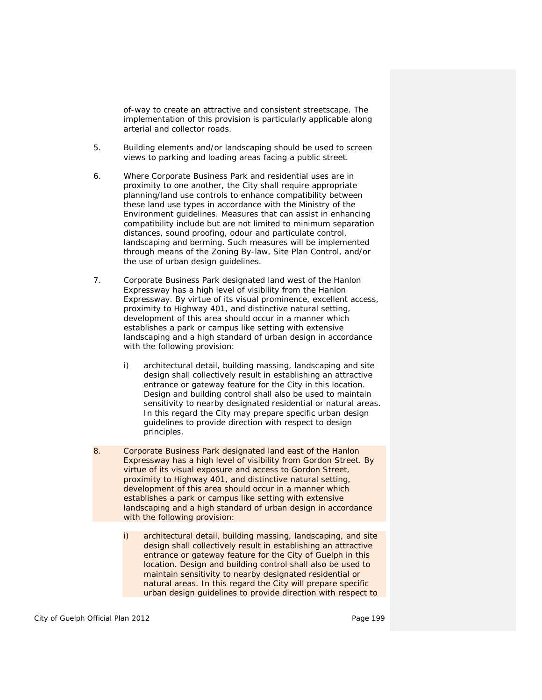of-way to create an attractive and consistent streetscape. The implementation of this provision is particularly applicable along arterial and collector roads.

- 5. Building elements and/or landscaping should be used to screen views to parking and loading areas facing a public street.
- 6. Where Corporate Business Park and residential uses are in proximity to one another, the City shall require appropriate planning/land use controls to enhance *compatibility* between these land use types in accordance with the Ministry of the Environment guidelines. Measures that can assist in enhancing *compatibility* include but are not limited to minimum separation distances, sound proofing, odour and particulate control, landscaping and berming. Such measures will be implemented through means of the *Zoning By-law*, *Site Plan* Control, and/or the use of urban design guidelines.
- 7. Corporate Business Park designated land west of the Hanlon Expressway has a high level of visibility from the Hanlon Expressway. By virtue of its visual prominence, excellent access, proximity to Highway 401, and distinctive natural setting, *development* of this area should occur in a manner which establishes a park or campus like setting with extensive landscaping and a high standard of urban design in accordance with the following provision:
	- i) architectural detail, building massing, landscaping and site design shall collectively result in establishing an attractive entrance or gateway feature for the City in this location. Design and building control shall also be used to maintain sensitivity to nearby designated residential or natural areas. In this regard the City may prepare specific urban design guidelines to provide direction with respect to design principles.
- 8. Corporate Business Park designated land east of the Hanlon Expressway has a high level of visibility from Gordon Street. By virtue of its visual exposure and access to Gordon Street, proximity to Highway 401, and distinctive natural setting, *development* of this area should occur in a manner which establishes a park or campus like setting with extensive landscaping and a high standard of urban design in accordance with the following provision:
	- i) architectural detail, building massing, landscaping, and site design shall collectively result in establishing an attractive entrance or gateway feature for the City of Guelph in this location. Design and building control shall also be used to maintain sensitivity to nearby designated residential or natural areas. In this regard the City will prepare specific urban design guidelines to provide direction with respect to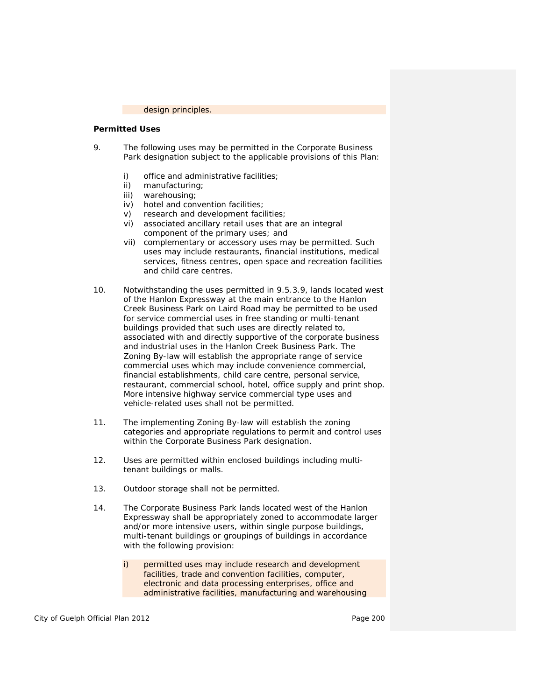design principles.

#### **Permitted Uses**

- 9. The following uses may be permitted in the Corporate Business Park designation subject to the applicable provisions of this Plan:
	- i) office and administrative facilities;
	- ii) manufacturing;
	- iii) warehousing;<br>iv) hotel and con
	- hotel and convention facilities;
	- v) research and development facilities;
	- vi) associated ancillary retail uses that are an integral component of the primary uses; and
	- vii) complementary or accessory uses may be permitted. Such uses may include restaurants, financial institutions, medical services, fitness centres, open space and recreation facilities and *child care centres*.
- 10. Notwithstanding the uses permitted in 9.5.3.9, lands located west of the Hanlon Expressway at the main entrance to the Hanlon Creek Business Park on Laird Road may be permitted to be used for *service commercial* uses in free standing or multi-tenant buildings provided that such uses are directly related to, associated with and directly supportive of the corporate business and industrial uses in the Hanlon Creek Business Park. The *Zoning By-law* will establish the appropriate range of *service commercial* uses which may include *convenience commercial*, financial establishments, *child care centre*, personal service, restaurant, commercial school, hotel, office supply and print shop. More intensive highway *service commercial* type uses and vehicle-related uses shall not be permitted.
- 11. The implementing *Zoning By-law* will establish the zoning categories and appropriate regulations to permit and control uses within the Corporate Business Park designation.
- 12. Uses are permitted within enclosed buildings including multitenant buildings or malls.
- 13. Outdoor storage shall not be permitted.
- 14. The Corporate Business Park lands located west of the Hanlon Expressway shall be appropriately zoned to accommodate larger and/or more intensive users, within single purpose buildings, multi-tenant buildings or groupings of buildings in accordance with the following provision:
	- i) permitted uses may include research and development facilities, trade and convention facilities, computer, electronic and data processing enterprises, office and administrative facilities, manufacturing and warehousing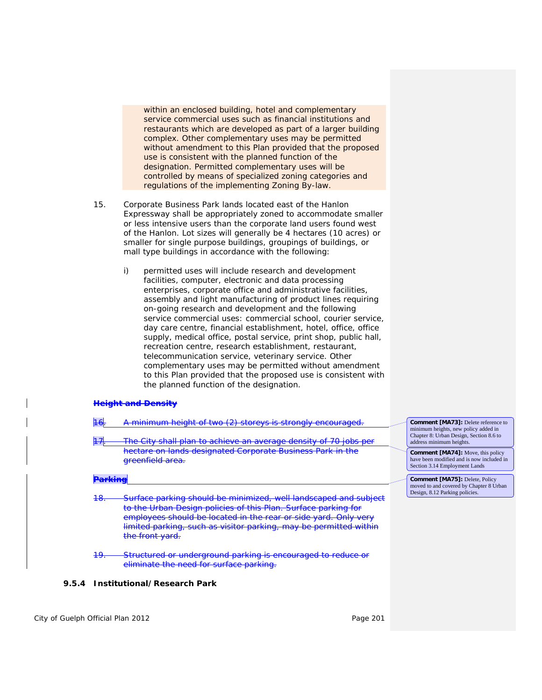within an enclosed building, hotel and complementary *service commercial* uses such as financial institutions and restaurants which are developed as part of a larger building complex. Other complementary uses may be permitted without amendment to this Plan provided that the proposed use is consistent with the planned function of the designation. Permitted complementary uses will be controlled by means of specialized zoning categories and regulations of the implementing *Zoning By-law*.

- 15. Corporate Business Park lands located east of the Hanlon Expressway shall be appropriately zoned to accommodate smaller or less intensive users than the corporate land users found west of the Hanlon. Lot sizes will generally be 4 hectares (10 acres) or smaller for single purpose buildings, groupings of buildings, or mall type buildings in accordance with the following:
	- i) permitted uses will include research and development facilities, computer, electronic and data processing enterprises, corporate office and administrative facilities, assembly and light manufacturing of product lines requiring on-going research and development and the following *service commercial* uses: commercial school, courier service, *day care centre*, financial establishment, hotel, office, office supply, medical office, postal service, print shop, public hall, recreation centre, research establishment, restaurant, telecommunication service, veterinary service. Other complementary uses may be permitted without amendment to this Plan provided that the proposed use is consistent with the planned function of the designation.

#### **Height and Density**

| 17<br>T 71.     | A minimum height of two (2) storeys is strongly encouraged.<br>The City shall plan to achieve an average density of 70 jobs per                                                                                                                                                                                            | <b>Comment [MA73]:</b> Delete reference to<br>minimum heights, new policy added in<br>Chapter 8: Urban Design, Section 8.6 to<br>address minimum heights. |
|-----------------|----------------------------------------------------------------------------------------------------------------------------------------------------------------------------------------------------------------------------------------------------------------------------------------------------------------------------|-----------------------------------------------------------------------------------------------------------------------------------------------------------|
|                 | hectare on lands designated Corporate Business Park in the<br>greenfield area.                                                                                                                                                                                                                                             | <b>Comment [MA74]:</b> Move, this policy<br>have been modified and is now included in<br>Section 3.14 Employment Lands                                    |
| <b>CITATILE</b> |                                                                                                                                                                                                                                                                                                                            | <b>Comment [MA75]: Delete, Policy</b><br>moved to and covered by Chapter 8 Urban<br>Design, 8.12 Parking policies.                                        |
| <del>18.</del>  | Surface parking should be minimized, well landscaped and subject<br>to the Urban Design policies of this Plan. Surface parking for<br>employees should be located in the rear or side yard. Only very<br>limited parking, such as visitor parking, may be permitted within<br>the front yard<br><del>the front yaru.</del> |                                                                                                                                                           |
| ┯               | Structured or underground parking is encouraged to reduce or<br>eliminate the need for surface parking.                                                                                                                                                                                                                    |                                                                                                                                                           |

#### **9.5.4 Institutional/Research Park**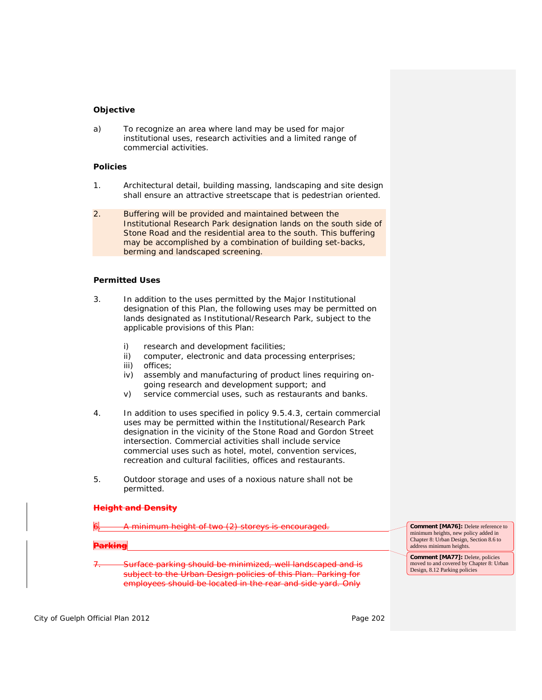## **Objective**

a) To recognize an area where land may be used for major institutional uses, research activities and a limited range of commercial activities.

## **Policies**

- 1. Architectural detail, building massing, landscaping and site design shall ensure an attractive streetscape that is pedestrian oriented.
- 2. *Buffering* will be provided and maintained between the Institutional Research Park designation lands on the south side of Stone Road and the residential area to the south. This *buffering* may be accomplished by a combination of building set-backs, berming and landscaped screening.

#### **Permitted Uses**

- 3. In addition to the uses permitted by the Major Institutional designation of this Plan, the following uses may be permitted on lands designated as Institutional/Research Park, subject to the applicable provisions of this Plan:
	- i) research and development facilities;
	- ii) computer, electronic and data processing enterprises;
	- iii) offices;
	- iv) assembly and manufacturing of product lines requiring ongoing research and development support; and
	- v) *service commercial uses*, such as restaurants and banks.
- 4. In addition to uses specified in policy 9.5.4.3, certain commercial uses may be permitted within the Institutional/Research Park designation in the vicinity of the Stone Road and Gordon Street intersection. Commercial activities shall include *service commercial* uses such as hotel, motel, convention services, recreation and cultural facilities, offices and restaurants.
- 5. Outdoor storage and uses of a noxious nature shall not be permitted.

#### **Height and Density**

minimum height of two (2) storeys is encouraged.

**Parking** 

Surface parking should be minimized, well landscaped and is subject to the Urban Design policies of this Plan. Parking for employees should be located in the rear and side yard. Only

**Comment [MA76]:** Delete reference to minimum heights, new policy added in Chapter 8: Urban Design, Section 8.6 to address minimum heights.

**Comment [MA77]:** Delete, policies moved to and covered by Chapter 8: Urban Design, 8.12 Parking policies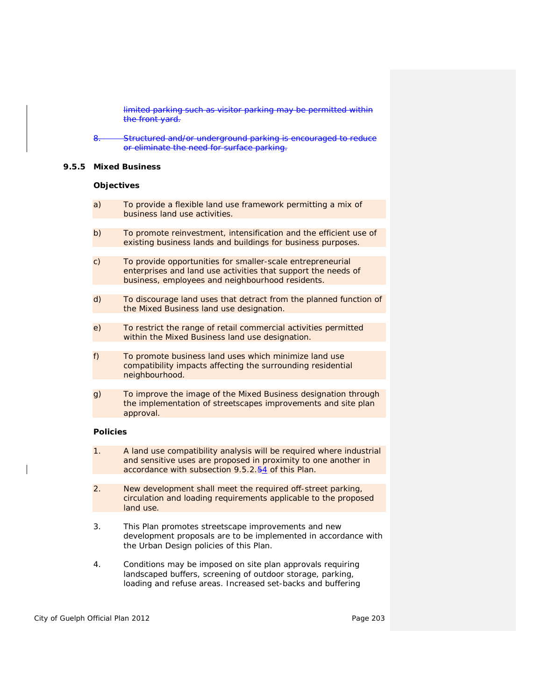limited parking such as visitor parking may be permitted within the front yard.

Structured and/or underground parking is encouraged to reduce or eliminate the need for surface parking.

#### **9.5.5 Mixed Business**

#### **Objectives**

- a) To provide a flexible land use framework permitting a mix of business land use activities.
- b) To promote reinvestment, *intensification* and the efficient use of existing business lands and buildings for business purposes.
- c) To provide opportunities for smaller-scale entrepreneurial enterprises and land use activities that support the needs of business, employees and neighbourhood residents.
- d) To discourage land uses that detract from the planned function of the Mixed Business land use designation.
- e) To restrict the range of *retail commercial* activities permitted within the Mixed Business land use designation.
- f) To promote business land uses which minimize land use compatibility impacts affecting the surrounding residential neighbourhood.
- g) To improve the image of the Mixed Business designation through the implementation of streetscapes improvements and site plan approval.

## **Policies**

- 1. A land use compatibility analysis will be required where industrial and *sensitive uses* are proposed in proximity to one another in accordance with subsection 9.5.2.54 of this Plan.
- 2. New *development* shall meet the required off-street parking, circulation and loading requirements applicable to the proposed land use.
- 3. This Plan promotes streetscape improvements and new *development* proposals are to be implemented in accordance with the Urban Design policies of this Plan.
- 4. Conditions may be imposed on site plan approvals requiring landscaped buffers, screening of outdoor storage, parking, loading and refuse areas. Increased set-backs and buffering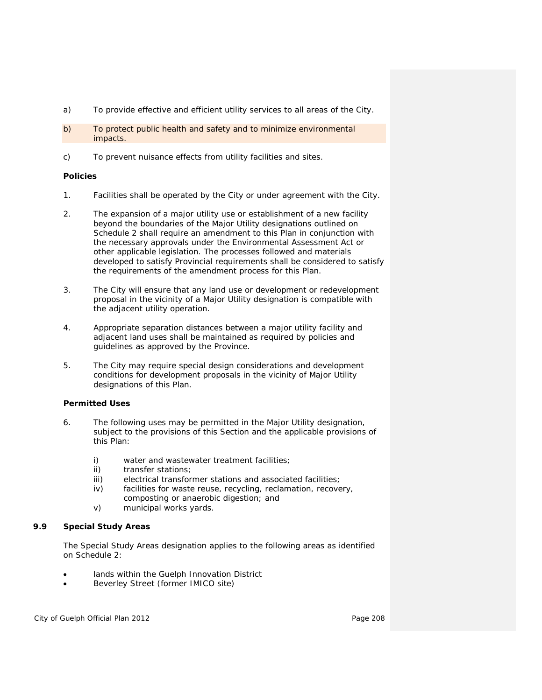- a) To provide effective and efficient utility services to all areas of the City.
- b) To protect public health and safety and to minimize environmental impacts.
- c) To prevent nuisance effects from utility facilities and sites.

# **Policies**

- 1. Facilities shall be operated by the City or under agreement with the City.
- 2. The expansion of a major utility use or establishment of a new facility beyond the boundaries of the Major Utility designations outlined on Schedule 2 shall require an amendment to this Plan in conjunction with the necessary approvals under the *Environmental Assessment Act* or other applicable legislation. The processes followed and materials developed to satisfy Provincial requirements shall be considered to satisfy the requirements of the amendment process for this Plan.
- 3. The City will ensure that any land use or *development* or *redevelopment* proposal in the vicinity of a Major Utility designation is *compatible* with the adjacent utility operation.
- 4. Appropriate separation distances between a major utility facility and adjacent land uses shall be maintained as required by policies and guidelines as approved by the Province.
- 5. The City may require special design considerations and development conditions for *development* proposals in the vicinity of Major Utility designations of this Plan.

# **Permitted Uses**

- 6. The following uses may be permitted in the Major Utility designation, subject to the provisions of this Section and the applicable provisions of this Plan:
	- i) water and wastewater treatment facilities;
	- ii) transfer stations;
	- iii) electrical transformer stations and associated facilities;
	- iv) facilities for waste reuse, recycling, reclamation, recovery, composting or anaerobic digestion; and
	- v) municipal works yards.

# **9.9 Special Study Areas**

The Special Study Areas designation applies to the following areas as identified on Schedule 2:

- lands within the Guelph Innovation District
- Beverley Street (former IMICO site)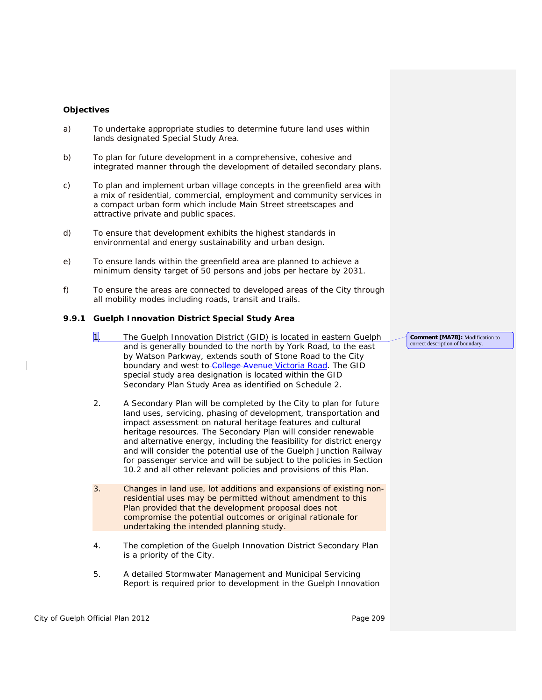### **Objectives**

- a) To undertake appropriate studies to determine future land uses within lands designated Special Study Area.
- b) To plan for future *development* in a comprehensive, cohesive and integrated manner through the development of detailed secondary plans.
- c) To plan and implement urban village concepts in the *greenfield area* with a mix of residential, commercial, employment and community services in a *compact urban form* which include Main Street streetscapes and attractive private and public spaces.
- d) To ensure that *development* exhibits the highest standards in environmental and energy sustainability and urban design.
- e) To ensure lands within the *greenfield area* are planned to achieve a minimum *density target* of 50 persons and jobs per hectare by 2031.
- f) To ensure the areas are connected to developed areas of the City through all mobility modes including roads, transit and trails.

#### **9.9.1 Guelph Innovation District Special Study Area**

- 1. The Guelph Innovation District (GID) is located in eastern Guelph and is generally bounded to the north by York Road, to the east by Watson Parkway, extends south of Stone Road to the City boundary and west to College Avenue Victoria Road. The GID special study area designation is located within the GID Secondary Plan Study Area as identified on Schedule 2.
- 2. A Secondary Plan will be completed by the City to plan for future land uses, servicing, phasing of development, transportation and impact assessment on natural heritage features and cultural heritage resources. The Secondary Plan will consider renewable and alternative energy, including the feasibility for *district energy* and will consider the potential use of the Guelph Junction Railway for passenger service and will be subject to the policies in Section 10.2 and all other relevant policies and provisions of this Plan.
- 3. Changes in land use, lot additions and expansions of existing nonresidential uses may be *permitted* without amendment to this Plan provided that the *development* proposal does not compromise the potential outcomes or original rationale for undertaking the intended planning study.
- 4. The completion of the Guelph Innovation District Secondary Plan is a priority of the City.
- 5. A detailed Stormwater Management and Municipal Servicing Report is required prior to *development* in the Guelph Innovation

**Comment [MA78]:** Modification to correct description of boundary.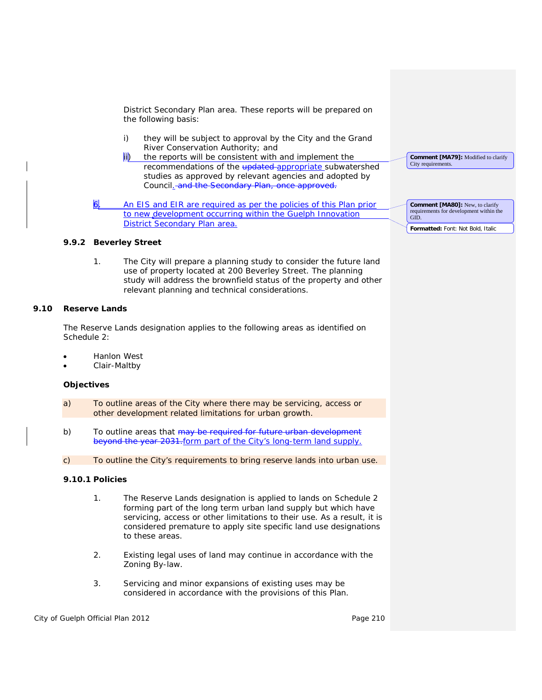District Secondary Plan area. These reports will be prepared on the following basis:

- i) they will be subject to approval by the City and the Grand River Conservation Authority; and
- the reports will be consistent with and implement the recommendations of the updated appropriate subwatershed studies as approved by relevant agencies and adopted by Council. and the Secondary Plan, once approved.

An EIS and EIR are required as per the policies of this Plan prior to new *development* occurring within the Guelph Innovation District Secondary Plan area.

#### **9.9.2 Beverley Street**

1. The City will prepare a planning study to consider the future land use of property located at 200 Beverley Street. The planning study will address the *brownfield* status of the property and other relevant planning and technical considerations.

## **9.10 Reserve Lands**

The Reserve Lands designation applies to the following areas as identified on Schedule 2:

- Hanlon West
- Clair-Maltby

#### **Objectives**

- a) To outline areas of the City where there may be servicing, access or other *development* related limitations for urban growth.
- b) To outline areas that may be required for future urban development beyond the year 2031. form part of the City's long-term land supply.
- c) To outline the City's requirements to bring reserve lands into urban use.

## **9.10.1 Policies**

- 1. The Reserve Lands designation is applied to lands on Schedule 2 forming part of the long term urban land supply but which have servicing, access or other limitations to their use. As a result, it is considered premature to apply site specific land use designations to these areas.
- 2. Existing legal uses of land may continue in accordance with the *Zoning By-law*.
- 3. Servicing and minor expansions of existing uses may be considered in accordance with the provisions of this Plan.

**Comment [MA79]:** Modified to clarify City requirements.

**Comment [MA80]:** New, to clarify requirements for development within the GID.

**Formatted:** Font: Not Bold, Italic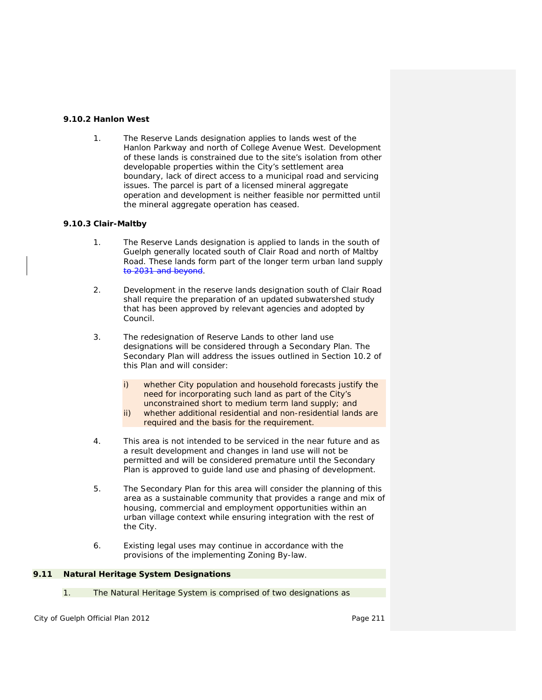## **9.10.2 Hanlon West**

1. The Reserve Lands designation applies to lands west of the Hanlon Parkway and north of College Avenue West. *Development* of these lands is constrained due to the site's isolation from other developable properties within the City's *settlement area* boundary, lack of direct access to a municipal road and servicing issues. The parcel is part of a licensed *mineral aggregate operation* and *development* is neither feasible nor permitted until the *mineral aggregate operation* has ceased.

# **9.10.3 Clair-Maltby**

- 1. The Reserve Lands designation is applied to lands in the south of Guelph generally located south of Clair Road and north of Maltby Road. These lands form part of the longer term urban land supply to 2031 and beyond.
- 2. *Development* in the reserve lands designation south of Clair Road shall require the preparation of an updated subwatershed study that has been approved by relevant agencies and adopted by Council.
- 3. The redesignation of Reserve Lands to other land use designations will be considered through a Secondary Plan. The Secondary Plan will address the issues outlined in Section 10.2 of this Plan and will consider:
	- i) whether City population and household forecasts justify the need for incorporating such land as part of the City's unconstrained short to medium term land supply; and
	- ii) whether additional residential and non-residential lands are required and the basis for the requirement.
- 4. This area is not intended to be serviced in the near future and as a result *development* and changes in land use will not be permitted and will be considered premature until the Secondary Plan is approved to guide land use and phasing of *development*.
- 5. The Secondary Plan for this area will consider the planning of this area as a sustainable community that provides a range and mix of housing, commercial and employment opportunities within an urban village context while ensuring integration with the rest of the City.
- 6. Existing legal uses may continue in accordance with the provisions of the implementing *Zoning By-law*.

## **9.11 Natural Heritage System Designations**

1. The *Natural Heritage System* is comprised of two designations as

City of Guelph Official Plan 2012 **Page 211** Page 211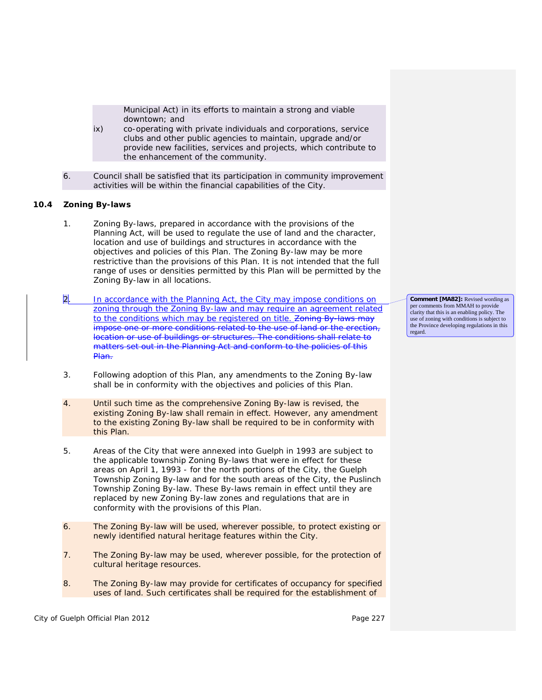Municipal Act) in its efforts to maintain a strong and viable downtown; and

- ix) co-operating with private individuals and corporations, service clubs and other public agencies to maintain, upgrade and/or provide new facilities, services and projects, which contribute to the enhancement of the community.
- 6. Council shall be satisfied that its participation in community improvement activities will be within the financial capabilities of the City.

## **10.4 Zoning By-laws**

- 1. *Zoning By-laws*, prepared in accordance with the provisions of the *Planning Act*, will be used to regulate the use of land and the character, location and use of buildings and structures in accordance with the objectives and policies of this Plan. The *Zoning By-law* may be more restrictive than the provisions of this Plan. It is not intended that the full range of uses or densities permitted by this Plan will be permitted by the *Zoning By-law* in all locations.
- 2. In accordance with the *Planning Act*, the City may impose conditions on zoning through the *Zoning By-law* and may require an agreement related to the conditions which may be registered on title. *Zoning By-laws* may impose one or more conditions related to the use of land or the erection, location or use of buildings or structures. The conditions shall relate to matters set out in the *Planning Act* and conform to the policies of this Plan.
- 3. Following adoption of this Plan, any amendments to the *Zoning By-law* shall be in conformity with the objectives and policies of this Plan.
- 4. Until such time as the comprehensive *Zoning By-law* is revised, the existing *Zoning By-law* shall remain in effect. However, any amendment to the existing *Zoning By-law* shall be required to be in conformity with this Plan.
- 5. Areas of the City that were annexed into Guelph in 1993 are subject to the applicable township *Zoning By-laws* that were in effect for these areas on April 1, 1993 - for the north portions of the City, the Guelph Township *Zoning By-law* and for the south areas of the City, the Puslinch Township *Zoning By-law*. These By-laws remain in effect until they are replaced by new *Zoning By-law* zones and regulations that are in conformity with the provisions of this Plan.
- 6. The *Zoning By-law* will be used, wherever possible, to protect existing or newly identified *natural heritage features* within the City.
- 7. The *Zoning By-law* may be used, wherever possible, for the protection of *cultural heritage resources*.
- 8. The *Zoning By-law* may provide for certificates of occupancy for specified uses of land. Such certificates shall be required for the establishment of

City of Guelph Official Plan 2012 **Page 227 Page 227** 

**Comment [MA82]:** Revised wording as per comments from MMAH to provide clarity that this is an enabling policy. The use of zoning with conditions is subject to the Province developing regulations in this regard.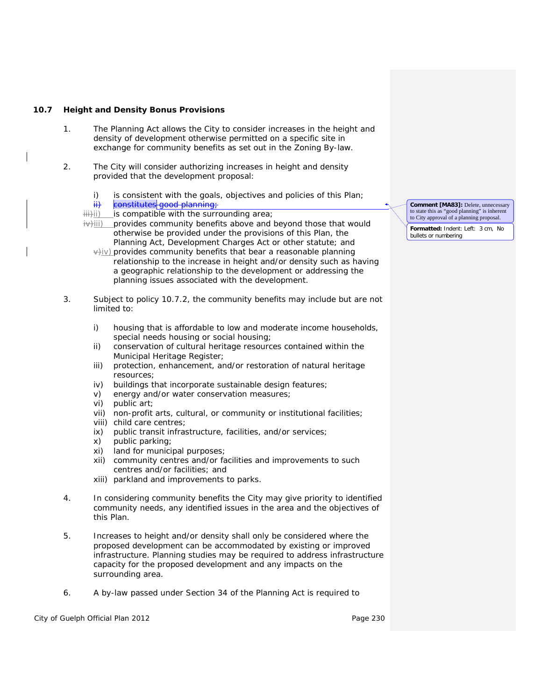### **10.7 Height and Density Bonus Provisions**

- 1. The *Planning Act* allows the City to consider increases in the height and density of *development* otherwise permitted on a specific site in exchange for community benefits as set out in the *Zoning By-law*.
- 2. The City will consider authorizing increases in height and density provided that the *development* proposal:
	- i) is consistent with the goals, objectives and policies of this Plan;
	- ii) constitutes good planning
	- iii)ii) is *compatible* with the surrounding area;
	- $\frac{1}{2}$ iii) provides community benefits above and beyond those that would otherwise be provided under the provisions of this Plan, the *Planning Act*, *Development Charges Act* or other statute; and

 $\forall$ iv) provides community benefits that bear a reasonable planning relationship to the increase in height and/or density such as having a geographic relationship to the development or addressing the planning issues associated with the development.

- 3. Subject to policy 10.7.2, the community benefits may include but are not limited to:
	- i) housing that is affordable to *low and moderate income households*, *special needs housing* or *social housing*;
	- ii) conservation of *cultural heritage resources* contained within the Municipal *Heritage Register*;
	- iii) protection, enhancement, and/or *restoration* of natural heritage resources;
	- iv) buildings that incorporate sustainable design features;
	- v) energy and/or water conservation measures;
	- vi) public art;
	- vii) non-profit arts, cultural, or community or institutional facilities;
	- viii) *child care centres*;
	- ix) public transit infrastructure, facilities, and/or services;
	- x) public parking;
	- xi) land for municipal purposes;
	- xii) community centres and/or facilities and improvements to such centres and/or facilities; and
	- xiii) parkland and improvements to parks.
- 4. In considering community benefits the City may give priority to identified community needs, any identified issues in the area and the objectives of this Plan.
- 5. Increases to height and/or density shall only be considered where the proposed *development* can be accommodated by existing or improved *infrastructure*. Planning studies may be required to address *infrastructure*  capacity for the proposed *development* and any impacts on the surrounding area.
- 6. A by-law passed under Section 34 of the *Planning Act* is required to

City of Guelph Official Plan 2012 **Page 230** 

**Comment [MA83]:** Delete, unnecessary to state this as "good planning" is inherent to City approval of a planning proposal.

**Formatted:** Indent: Left: 3 cm, No bullets or numbering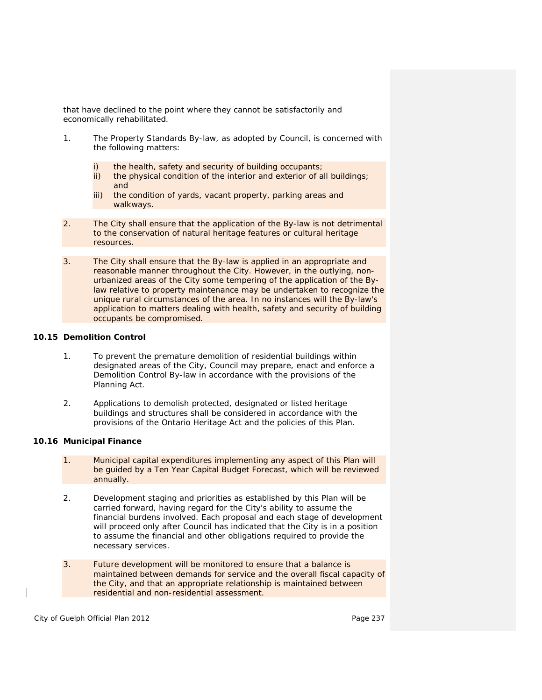that have declined to the point where they cannot be satisfactorily and economically rehabilitated.

- 1. The *Property Standards By-law*, as adopted by Council, is concerned with the following matters:
	- i) the health, safety and security of building occupants;
	- ii) the physical condition of the interior and exterior of all buildings; and
	- iii) the condition of yards, vacant property, parking areas and walkways.
- 2. The City shall ensure that the application of the By-law is not detrimental to the conservation of *natural heritage features* or *cultural heritage resources*.
- 3. The City shall ensure that the By-law is applied in an appropriate and reasonable manner throughout the City. However, in the outlying, nonurbanized areas of the City some tempering of the application of the Bylaw relative to property maintenance may be undertaken to recognize the unique rural circumstances of the area. In no instances will the By-law's application to matters dealing with health, safety and security of building occupants be compromised.

## **10.15 Demolition Control**

- 1. To prevent the premature demolition of residential buildings within designated areas of the City, Council may prepare, enact and enforce a Demolition Control By-law in accordance with the provisions of the *Planning Act*.
- 2. Applications to demolish protected, designated or listed heritage buildings and structures shall be considered in accordance with the provisions of the *Ontario Heritage Act* and the policies of this Plan.

## **10.16 Municipal Finance**

- 1. Municipal capital expenditures implementing any aspect of this Plan will be guided by a Ten Year Capital Budget Forecast, which will be reviewed annually.
- 2. Development staging and priorities as established by this Plan will be carried forward, having regard for the City's ability to assume the financial burdens involved. Each proposal and each stage of *development* will proceed only after Council has indicated that the City is in a position to assume the financial and other obligations required to provide the necessary services.
- 3. Future *development* will be monitored to ensure that a balance is maintained between demands for service and the overall fiscal capacity of the City, and that an appropriate relationship is maintained between residential and non-residential assessment.